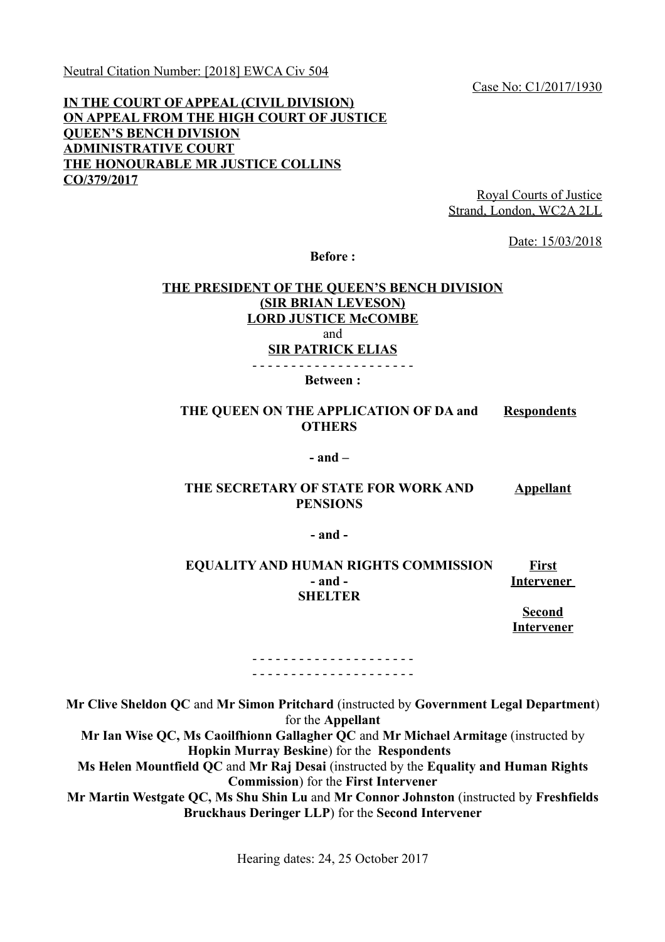Neutral Citation Number: [2018] EWCA Civ 504

Case No: C1/2017/1930

# **IN THE COURT OF APPEAL (CIVIL DIVISION) ON APPEAL FROM THE HIGH COURT OF JUSTICE QUEEN'S BENCH DIVISION ADMINISTRATIVE COURT THE HONOURABLE MR JUSTICE COLLINS CO/379/2017**

Royal Courts of Justice Strand, London, WC2A 2LL

Date: 15/03/2018

**Before :**

# **THE PRESIDENT OF THE QUEEN'S BENCH DIVISION (SIR BRIAN LEVESON) LORD JUSTICE McCOMBE** and **SIR PATRICK ELIAS**

- - - - - - - - - - - - - - - - - - - - -

**Between :**

#### **THE QUEEN ON THE APPLICATION OF DA and OTHERS Respondents**

#### **- and –**

#### **THE SECRETARY OF STATE FOR WORK AND PENSIONS Appellant**

**- and -**

#### **EQUALITY AND HUMAN RIGHTS COMMISSION - and - SHELTER First Intervener**

**Second**

**Intervener**

#### - - - - - - - - - - - - - - - - - - - - - - - - - - - - - - - - - - - - - - - - - -

**Mr Clive Sheldon QC** and **Mr Simon Pritchard** (instructed by **Government Legal Department**) for the **Appellant Mr Ian Wise QC, Ms Caoilfhionn Gallagher QC** and **Mr Michael Armitage** (instructed by **Hopkin Murray Beskine**) for the **Respondents Ms Helen Mountfield QC** and **Mr Raj Desai** (instructed by the **Equality and Human Rights Commission**) for the **First Intervener Mr Martin Westgate QC, Ms Shu Shin Lu** and **Mr Connor Johnston** (instructed by **Freshfields Bruckhaus Deringer LLP**) for the **Second Intervener**

Hearing dates: 24, 25 October 2017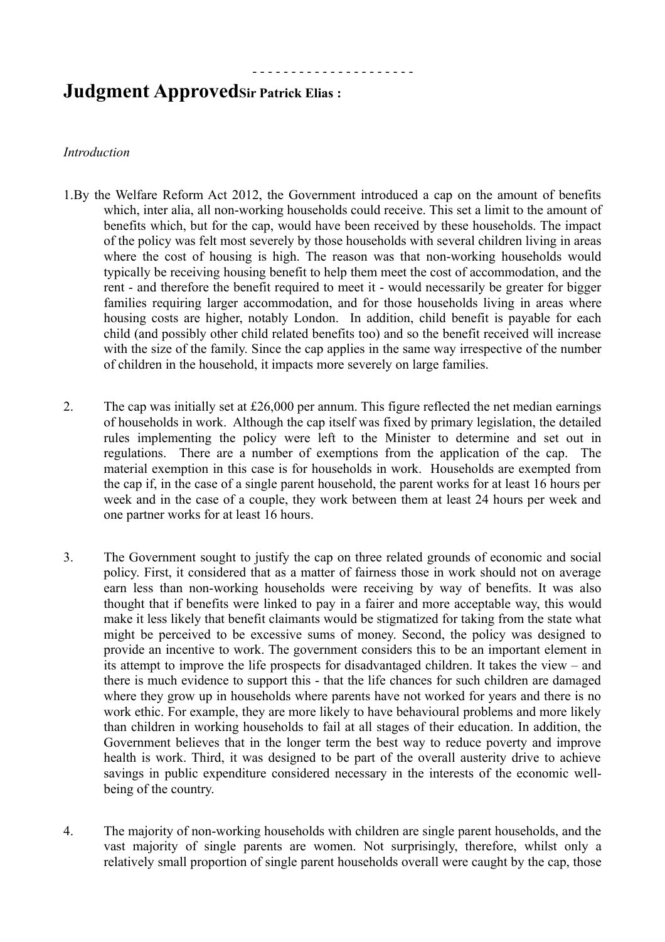# **Judgment ApprovedSir Patrick Elias :**

#### *Introduction*

1.By the Welfare Reform Act 2012, the Government introduced a cap on the amount of benefits which, inter alia, all non-working households could receive. This set a limit to the amount of benefits which, but for the cap, would have been received by these households. The impact of the policy was felt most severely by those households with several children living in areas where the cost of housing is high. The reason was that non-working households would typically be receiving housing benefit to help them meet the cost of accommodation, and the rent - and therefore the benefit required to meet it - would necessarily be greater for bigger families requiring larger accommodation, and for those households living in areas where housing costs are higher, notably London. In addition, child benefit is payable for each child (and possibly other child related benefits too) and so the benefit received will increase with the size of the family. Since the cap applies in the same way irrespective of the number of children in the household, it impacts more severely on large families.

- - - - - - - - - - - - - - - - - - - - -

- 2. The cap was initially set at £26,000 per annum. This figure reflected the net median earnings of households in work. Although the cap itself was fixed by primary legislation, the detailed rules implementing the policy were left to the Minister to determine and set out in regulations. There are a number of exemptions from the application of the cap. The material exemption in this case is for households in work. Households are exempted from the cap if, in the case of a single parent household, the parent works for at least 16 hours per week and in the case of a couple, they work between them at least 24 hours per week and one partner works for at least 16 hours.
- 3. The Government sought to justify the cap on three related grounds of economic and social policy. First, it considered that as a matter of fairness those in work should not on average earn less than non-working households were receiving by way of benefits. It was also thought that if benefits were linked to pay in a fairer and more acceptable way, this would make it less likely that benefit claimants would be stigmatized for taking from the state what might be perceived to be excessive sums of money. Second, the policy was designed to provide an incentive to work. The government considers this to be an important element in its attempt to improve the life prospects for disadvantaged children. It takes the view – and there is much evidence to support this - that the life chances for such children are damaged where they grow up in households where parents have not worked for years and there is no work ethic. For example, they are more likely to have behavioural problems and more likely than children in working households to fail at all stages of their education. In addition, the Government believes that in the longer term the best way to reduce poverty and improve health is work. Third, it was designed to be part of the overall austerity drive to achieve savings in public expenditure considered necessary in the interests of the economic wellbeing of the country.
- 4. The majority of non-working households with children are single parent households, and the vast majority of single parents are women. Not surprisingly, therefore, whilst only a relatively small proportion of single parent households overall were caught by the cap, those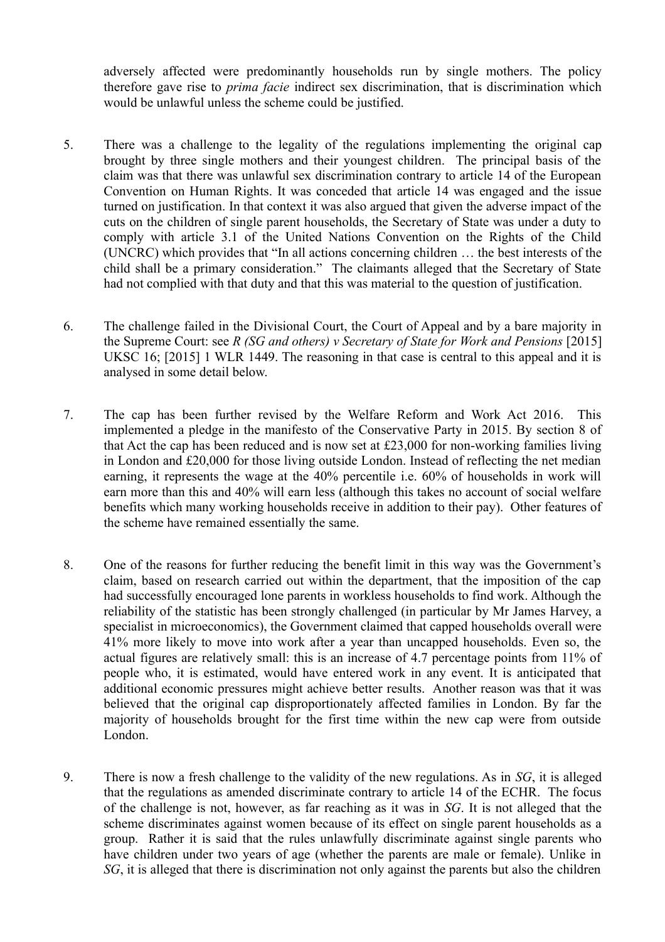adversely affected were predominantly households run by single mothers. The policy therefore gave rise to *prima facie* indirect sex discrimination, that is discrimination which would be unlawful unless the scheme could be justified.

- 5. There was a challenge to the legality of the regulations implementing the original cap brought by three single mothers and their youngest children. The principal basis of the claim was that there was unlawful sex discrimination contrary to article 14 of the European Convention on Human Rights. It was conceded that article 14 was engaged and the issue turned on justification. In that context it was also argued that given the adverse impact of the cuts on the children of single parent households, the Secretary of State was under a duty to comply with article 3.1 of the United Nations Convention on the Rights of the Child (UNCRC) which provides that "In all actions concerning children … the best interests of the child shall be a primary consideration." The claimants alleged that the Secretary of State had not complied with that duty and that this was material to the question of justification.
- 6. The challenge failed in the Divisional Court, the Court of Appeal and by a bare majority in the Supreme Court: see *R (SG and others) v Secretary of State for Work and Pensions* [2015] UKSC 16; [2015] 1 WLR 1449. The reasoning in that case is central to this appeal and it is analysed in some detail below.
- 7. The cap has been further revised by the Welfare Reform and Work Act 2016. This implemented a pledge in the manifesto of the Conservative Party in 2015. By section 8 of that Act the cap has been reduced and is now set at £23,000 for non-working families living in London and £20,000 for those living outside London. Instead of reflecting the net median earning, it represents the wage at the 40% percentile i.e. 60% of households in work will earn more than this and 40% will earn less (although this takes no account of social welfare benefits which many working households receive in addition to their pay). Other features of the scheme have remained essentially the same.
- 8. One of the reasons for further reducing the benefit limit in this way was the Government's claim, based on research carried out within the department, that the imposition of the cap had successfully encouraged lone parents in workless households to find work. Although the reliability of the statistic has been strongly challenged (in particular by Mr James Harvey, a specialist in microeconomics), the Government claimed that capped households overall were 41% more likely to move into work after a year than uncapped households. Even so, the actual figures are relatively small: this is an increase of 4.7 percentage points from 11% of people who, it is estimated, would have entered work in any event. It is anticipated that additional economic pressures might achieve better results. Another reason was that it was believed that the original cap disproportionately affected families in London. By far the majority of households brought for the first time within the new cap were from outside London.
- 9. There is now a fresh challenge to the validity of the new regulations. As in *SG*, it is alleged that the regulations as amended discriminate contrary to article 14 of the ECHR. The focus of the challenge is not, however, as far reaching as it was in *SG*. It is not alleged that the scheme discriminates against women because of its effect on single parent households as a group. Rather it is said that the rules unlawfully discriminate against single parents who have children under two years of age (whether the parents are male or female). Unlike in *SG*, it is alleged that there is discrimination not only against the parents but also the children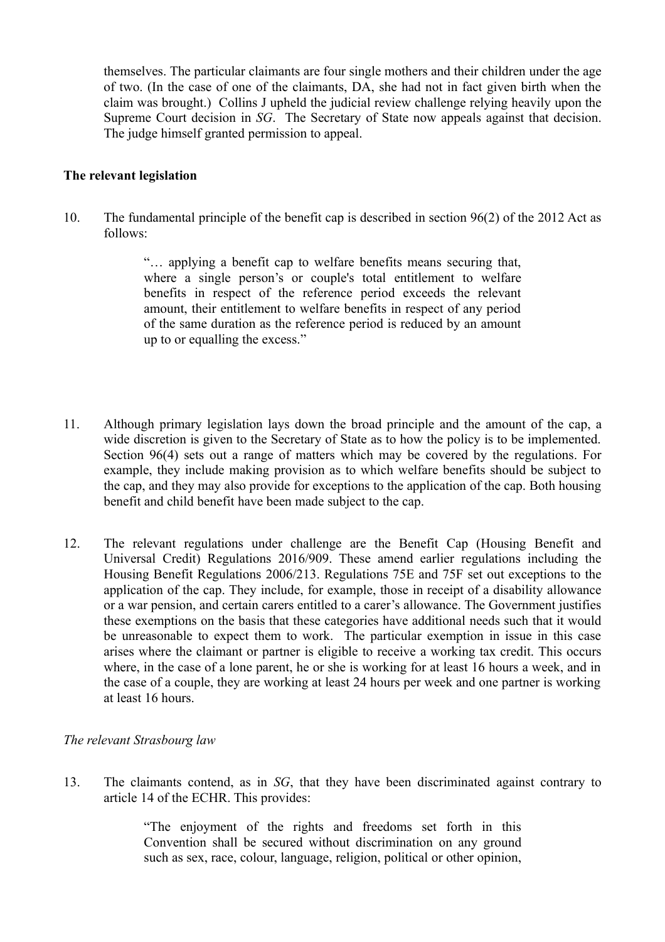themselves. The particular claimants are four single mothers and their children under the age of two. (In the case of one of the claimants, DA, she had not in fact given birth when the claim was brought.) Collins J upheld the judicial review challenge relying heavily upon the Supreme Court decision in *SG*. The Secretary of State now appeals against that decision. The judge himself granted permission to appeal.

#### **The relevant legislation**

10. The fundamental principle of the benefit cap is described in section 96(2) of the 2012 Act as follows:

> "… applying a benefit cap to welfare benefits means securing that, where a single person's or couple's total entitlement to welfare benefits in respect of the reference period exceeds the relevant amount, their entitlement to welfare benefits in respect of any period of the same duration as the reference period is reduced by an amount up to or equalling the excess."

- 11. Although primary legislation lays down the broad principle and the amount of the cap, a wide discretion is given to the Secretary of State as to how the policy is to be implemented. Section 96(4) sets out a range of matters which may be covered by the regulations. For example, they include making provision as to which welfare benefits should be subject to the cap, and they may also provide for exceptions to the application of the cap. Both housing benefit and child benefit have been made subject to the cap.
- 12. The relevant regulations under challenge are the Benefit Cap (Housing Benefit and Universal Credit) Regulations 2016/909. These amend earlier regulations including the Housing Benefit Regulations 2006/213. Regulations 75E and 75F set out exceptions to the application of the cap. They include, for example, those in receipt of a disability allowance or a war pension, and certain carers entitled to a carer's allowance. The Government justifies these exemptions on the basis that these categories have additional needs such that it would be unreasonable to expect them to work. The particular exemption in issue in this case arises where the claimant or partner is eligible to receive a working tax credit. This occurs where, in the case of a lone parent, he or she is working for at least 16 hours a week, and in the case of a couple, they are working at least 24 hours per week and one partner is working at least 16 hours.

### *The relevant Strasbourg law*

13. The claimants contend, as in *SG*, that they have been discriminated against contrary to article 14 of the ECHR. This provides:

> "The enjoyment of the rights and freedoms set forth in this Convention shall be secured without discrimination on any ground such as sex, race, colour, language, religion, political or other opinion,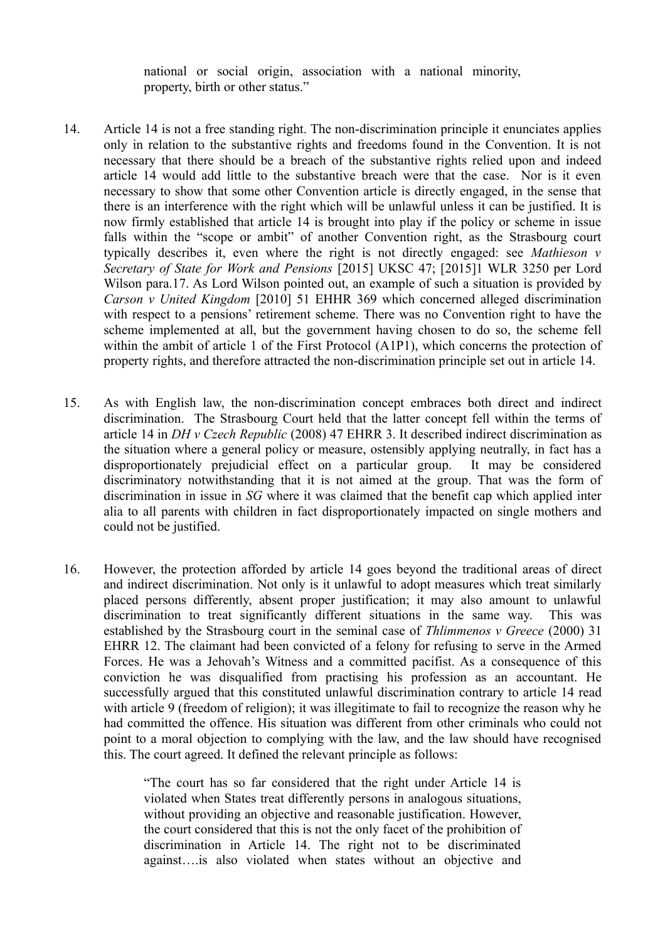national or social origin, association with a national minority, property, birth or other status."

- 14. Article 14 is not a free standing right. The non-discrimination principle it enunciates applies only in relation to the substantive rights and freedoms found in the Convention. It is not necessary that there should be a breach of the substantive rights relied upon and indeed article 14 would add little to the substantive breach were that the case. Nor is it even necessary to show that some other Convention article is directly engaged, in the sense that there is an interference with the right which will be unlawful unless it can be justified. It is now firmly established that article 14 is brought into play if the policy or scheme in issue falls within the "scope or ambit" of another Convention right, as the Strasbourg court typically describes it, even where the right is not directly engaged: see *Mathieson v Secretary of State for Work and Pensions* [2015] UKSC 47; [2015]1 WLR 3250 per Lord Wilson para.17. As Lord Wilson pointed out, an example of such a situation is provided by *Carson v United Kingdom* [2010] 51 EHHR 369 which concerned alleged discrimination with respect to a pensions' retirement scheme. There was no Convention right to have the scheme implemented at all, but the government having chosen to do so, the scheme fell within the ambit of article 1 of the First Protocol (A1P1), which concerns the protection of property rights, and therefore attracted the non-discrimination principle set out in article 14.
- 15. As with English law, the non-discrimination concept embraces both direct and indirect discrimination. The Strasbourg Court held that the latter concept fell within the terms of article 14 in *DH v Czech Republic* (2008) 47 EHRR 3. It described indirect discrimination as the situation where a general policy or measure, ostensibly applying neutrally, in fact has a disproportionately prejudicial effect on a particular group. It may be considered discriminatory notwithstanding that it is not aimed at the group. That was the form of discrimination in issue in *SG* where it was claimed that the benefit cap which applied inter alia to all parents with children in fact disproportionately impacted on single mothers and could not be justified.
- 16. However, the protection afforded by article 14 goes beyond the traditional areas of direct and indirect discrimination. Not only is it unlawful to adopt measures which treat similarly placed persons differently, absent proper justification; it may also amount to unlawful discrimination to treat significantly different situations in the same way. This was established by the Strasbourg court in the seminal case of *Thlimmenos v Greece* (2000) 31 EHRR 12. The claimant had been convicted of a felony for refusing to serve in the Armed Forces. He was a Jehovah's Witness and a committed pacifist. As a consequence of this conviction he was disqualified from practising his profession as an accountant. He successfully argued that this constituted unlawful discrimination contrary to article 14 read with article 9 (freedom of religion); it was illegitimate to fail to recognize the reason why he had committed the offence. His situation was different from other criminals who could not point to a moral objection to complying with the law, and the law should have recognised this. The court agreed. It defined the relevant principle as follows:

"The court has so far considered that the right under Article 14 is violated when States treat differently persons in analogous situations, without providing an objective and reasonable justification. However, the court considered that this is not the only facet of the prohibition of discrimination in Article 14. The right not to be discriminated against….is also violated when states without an objective and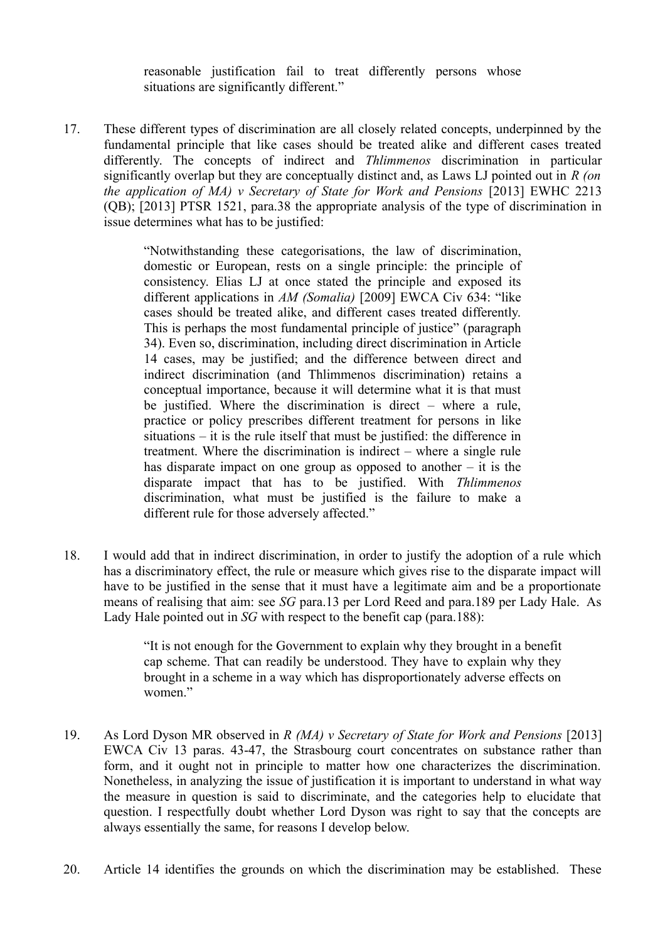reasonable justification fail to treat differently persons whose situations are significantly different."

17. These different types of discrimination are all closely related concepts, underpinned by the fundamental principle that like cases should be treated alike and different cases treated differently. The concepts of indirect and *Thlimmenos* discrimination in particular significantly overlap but they are conceptually distinct and, as Laws LJ pointed out in *R (on the application of MA) v Secretary of State for Work and Pensions* [2013] EWHC 2213 (QB); [2013] PTSR 1521, para.38 the appropriate analysis of the type of discrimination in issue determines what has to be justified:

> "Notwithstanding these categorisations, the law of discrimination, domestic or European, rests on a single principle: the principle of consistency. Elias LJ at once stated the principle and exposed its different applications in *AM (Somalia)* [2009] EWCA Civ 634: "like cases should be treated alike, and different cases treated differently. This is perhaps the most fundamental principle of justice" (paragraph 34). Even so, discrimination, including direct discrimination in Article 14 cases, may be justified; and the difference between direct and indirect discrimination (and Thlimmenos discrimination) retains a conceptual importance, because it will determine what it is that must be justified. Where the discrimination is direct – where a rule, practice or policy prescribes different treatment for persons in like situations – it is the rule itself that must be justified: the difference in treatment. Where the discrimination is indirect – where a single rule has disparate impact on one group as opposed to another – it is the disparate impact that has to be justified. With *Thlimmenos* discrimination, what must be justified is the failure to make a different rule for those adversely affected."

18. I would add that in indirect discrimination, in order to justify the adoption of a rule which has a discriminatory effect, the rule or measure which gives rise to the disparate impact will have to be justified in the sense that it must have a legitimate aim and be a proportionate means of realising that aim: see *SG* para.13 per Lord Reed and para.189 per Lady Hale. As Lady Hale pointed out in *SG* with respect to the benefit cap (para.188):

> "It is not enough for the Government to explain why they brought in a benefit cap scheme. That can readily be understood. They have to explain why they brought in a scheme in a way which has disproportionately adverse effects on women."

- 19. As Lord Dyson MR observed in *R (MA) v Secretary of State for Work and Pensions* [2013] EWCA Civ 13 paras. 43-47, the Strasbourg court concentrates on substance rather than form, and it ought not in principle to matter how one characterizes the discrimination. Nonetheless, in analyzing the issue of justification it is important to understand in what way the measure in question is said to discriminate, and the categories help to elucidate that question. I respectfully doubt whether Lord Dyson was right to say that the concepts are always essentially the same, for reasons I develop below.
- 20. Article 14 identifies the grounds on which the discrimination may be established. These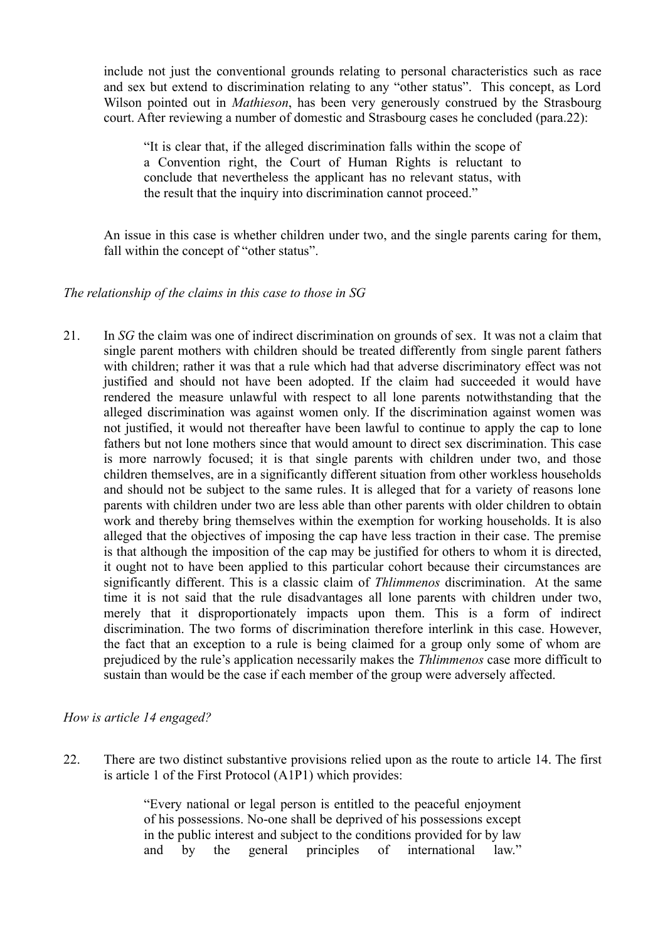include not just the conventional grounds relating to personal characteristics such as race and sex but extend to discrimination relating to any "other status". This concept, as Lord Wilson pointed out in *Mathieson*, has been very generously construed by the Strasbourg court. After reviewing a number of domestic and Strasbourg cases he concluded (para.22):

"It is clear that, if the alleged discrimination falls within the scope of a Convention right, the Court of Human Rights is reluctant to conclude that nevertheless the applicant has no relevant status, with the result that the inquiry into discrimination cannot proceed."

An issue in this case is whether children under two, and the single parents caring for them, fall within the concept of "other status".

#### *The relationship of the claims in this case to those in SG*

21. In *SG* the claim was one of indirect discrimination on grounds of sex. It was not a claim that single parent mothers with children should be treated differently from single parent fathers with children; rather it was that a rule which had that adverse discriminatory effect was not justified and should not have been adopted. If the claim had succeeded it would have rendered the measure unlawful with respect to all lone parents notwithstanding that the alleged discrimination was against women only. If the discrimination against women was not justified, it would not thereafter have been lawful to continue to apply the cap to lone fathers but not lone mothers since that would amount to direct sex discrimination. This case is more narrowly focused; it is that single parents with children under two, and those children themselves, are in a significantly different situation from other workless households and should not be subject to the same rules. It is alleged that for a variety of reasons lone parents with children under two are less able than other parents with older children to obtain work and thereby bring themselves within the exemption for working households. It is also alleged that the objectives of imposing the cap have less traction in their case. The premise is that although the imposition of the cap may be justified for others to whom it is directed, it ought not to have been applied to this particular cohort because their circumstances are significantly different. This is a classic claim of *Thlimmenos* discrimination. At the same time it is not said that the rule disadvantages all lone parents with children under two, merely that it disproportionately impacts upon them. This is a form of indirect discrimination. The two forms of discrimination therefore interlink in this case. However, the fact that an exception to a rule is being claimed for a group only some of whom are prejudiced by the rule's application necessarily makes the *Thlimmenos* case more difficult to sustain than would be the case if each member of the group were adversely affected.

### *How is article 14 engaged?*

22. There are two distinct substantive provisions relied upon as the route to article 14. The first is article 1 of the First Protocol (A1P1) which provides:

> "Every national or legal person is entitled to the peaceful enjoyment of his possessions. No-one shall be deprived of his possessions except in the public interest and subject to the conditions provided for by law and by the general principles of international law."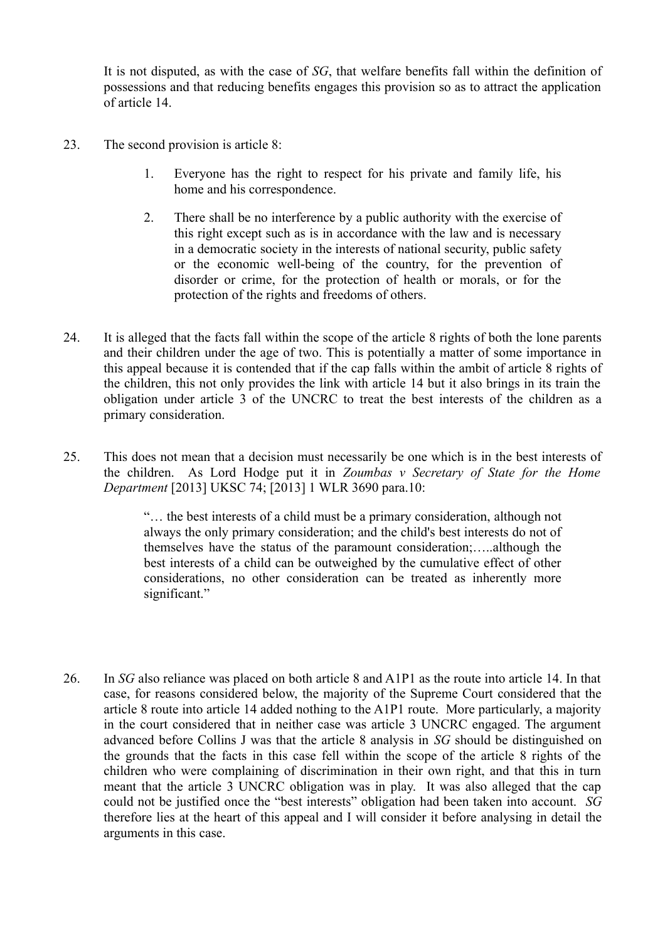It is not disputed, as with the case of *SG*, that welfare benefits fall within the definition of possessions and that reducing benefits engages this provision so as to attract the application of article 14.

- 23. The second provision is article 8:
	- 1. Everyone has the right to respect for his private and family life, his home and his correspondence.
	- 2. There shall be no interference by a public authority with the exercise of this right except such as is in accordance with the law and is necessary in a democratic society in the interests of national security, public safety or the economic well-being of the country, for the prevention of disorder or crime, for the protection of health or morals, or for the protection of the rights and freedoms of others.
- 24. It is alleged that the facts fall within the scope of the article 8 rights of both the lone parents and their children under the age of two. This is potentially a matter of some importance in this appeal because it is contended that if the cap falls within the ambit of article 8 rights of the children, this not only provides the link with article 14 but it also brings in its train the obligation under article 3 of the UNCRC to treat the best interests of the children as a primary consideration.
- 25. This does not mean that a decision must necessarily be one which is in the best interests of the children. As Lord Hodge put it in *Zoumbas v Secretary of State for the Home Department* [2013] UKSC 74; [2013] 1 WLR 3690 para.10:

"… the best interests of a child must be a primary consideration, although not always the only primary consideration; and the child's best interests do not of themselves have the status of the paramount consideration;…..although the best interests of a child can be outweighed by the cumulative effect of other considerations, no other consideration can be treated as inherently more significant."

26. In *SG* also reliance was placed on both article 8 and A1P1 as the route into article 14. In that case, for reasons considered below, the majority of the Supreme Court considered that the article 8 route into article 14 added nothing to the A1P1 route. More particularly, a majority in the court considered that in neither case was article 3 UNCRC engaged. The argument advanced before Collins J was that the article 8 analysis in *SG* should be distinguished on the grounds that the facts in this case fell within the scope of the article 8 rights of the children who were complaining of discrimination in their own right, and that this in turn meant that the article 3 UNCRC obligation was in play. It was also alleged that the cap could not be justified once the "best interests" obligation had been taken into account. *SG* therefore lies at the heart of this appeal and I will consider it before analysing in detail the arguments in this case.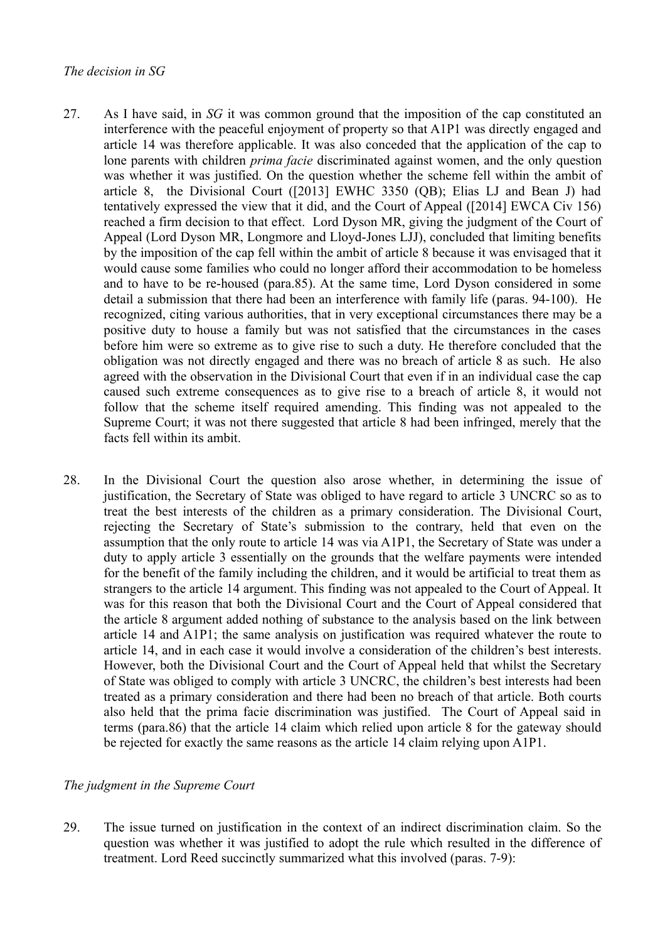- 27. As I have said, in *SG* it was common ground that the imposition of the cap constituted an interference with the peaceful enjoyment of property so that A1P1 was directly engaged and article 14 was therefore applicable. It was also conceded that the application of the cap to lone parents with children *prima facie* discriminated against women, and the only question was whether it was justified. On the question whether the scheme fell within the ambit of article 8, the Divisional Court ([2013] EWHC 3350 (QB); Elias LJ and Bean J) had tentatively expressed the view that it did, and the Court of Appeal ([2014] EWCA Civ 156) reached a firm decision to that effect. Lord Dyson MR, giving the judgment of the Court of Appeal (Lord Dyson MR, Longmore and Lloyd-Jones LJJ), concluded that limiting benefits by the imposition of the cap fell within the ambit of article 8 because it was envisaged that it would cause some families who could no longer afford their accommodation to be homeless and to have to be re-housed (para.85). At the same time, Lord Dyson considered in some detail a submission that there had been an interference with family life (paras. 94-100). He recognized, citing various authorities, that in very exceptional circumstances there may be a positive duty to house a family but was not satisfied that the circumstances in the cases before him were so extreme as to give rise to such a duty. He therefore concluded that the obligation was not directly engaged and there was no breach of article 8 as such. He also agreed with the observation in the Divisional Court that even if in an individual case the cap caused such extreme consequences as to give rise to a breach of article 8, it would not follow that the scheme itself required amending. This finding was not appealed to the Supreme Court; it was not there suggested that article 8 had been infringed, merely that the facts fell within its ambit.
- 28. In the Divisional Court the question also arose whether, in determining the issue of justification, the Secretary of State was obliged to have regard to article 3 UNCRC so as to treat the best interests of the children as a primary consideration. The Divisional Court, rejecting the Secretary of State's submission to the contrary, held that even on the assumption that the only route to article 14 was via A1P1, the Secretary of State was under a duty to apply article 3 essentially on the grounds that the welfare payments were intended for the benefit of the family including the children, and it would be artificial to treat them as strangers to the article 14 argument. This finding was not appealed to the Court of Appeal. It was for this reason that both the Divisional Court and the Court of Appeal considered that the article 8 argument added nothing of substance to the analysis based on the link between article 14 and A1P1; the same analysis on justification was required whatever the route to article 14, and in each case it would involve a consideration of the children's best interests. However, both the Divisional Court and the Court of Appeal held that whilst the Secretary of State was obliged to comply with article 3 UNCRC, the children's best interests had been treated as a primary consideration and there had been no breach of that article. Both courts also held that the prima facie discrimination was justified. The Court of Appeal said in terms (para.86) that the article 14 claim which relied upon article 8 for the gateway should be rejected for exactly the same reasons as the article 14 claim relying upon A1P1.

### *The judgment in the Supreme Court*

29. The issue turned on justification in the context of an indirect discrimination claim. So the question was whether it was justified to adopt the rule which resulted in the difference of treatment. Lord Reed succinctly summarized what this involved (paras. 7-9):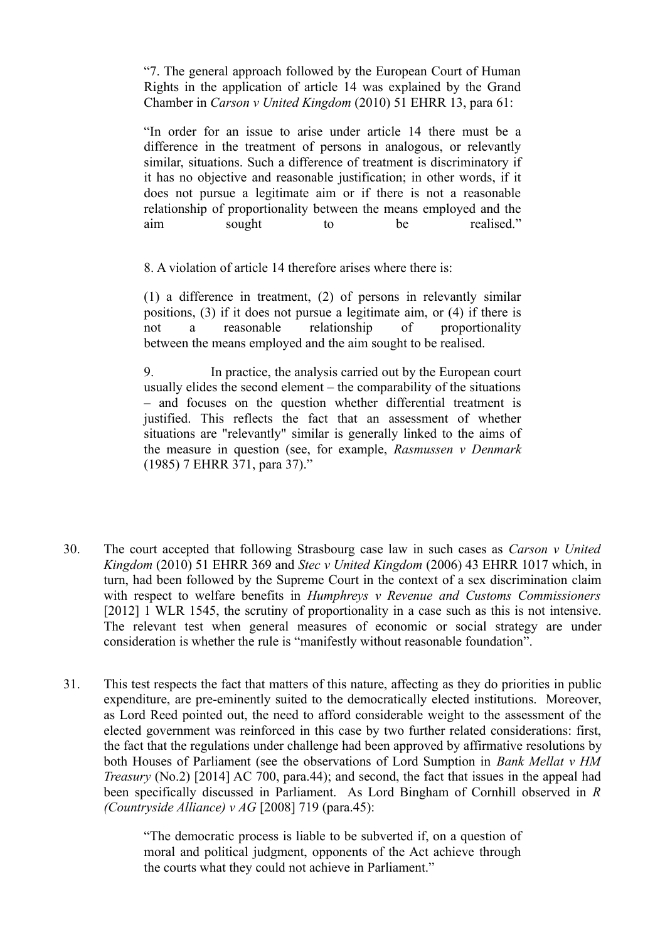"7. The general approach followed by the European Court of Human Rights in the application of article 14 was explained by the Grand Chamber in *Carson v United Kingdom* (2010) 51 EHRR 13, para 61:

"In order for an issue to arise under article 14 there must be a difference in the treatment of persons in analogous, or relevantly similar, situations. Such a difference of treatment is discriminatory if it has no objective and reasonable justification; in other words, if it does not pursue a legitimate aim or if there is not a reasonable relationship of proportionality between the means employed and the aim sought to be realised."

8. A violation of article 14 therefore arises where there is:

(1) a difference in treatment, (2) of persons in relevantly similar positions, (3) if it does not pursue a legitimate aim, or (4) if there is not a reasonable relationship of proportionality between the means employed and the aim sought to be realised.

9. In practice, the analysis carried out by the European court usually elides the second element – the comparability of the situations – and focuses on the question whether differential treatment is justified. This reflects the fact that an assessment of whether situations are "relevantly" similar is generally linked to the aims of the measure in question (see, for example, *Rasmussen v Denmark* (1985) 7 EHRR 371, para 37)."

- 30. The court accepted that following Strasbourg case law in such cases as *Carson v United Kingdom* (2010) 51 EHRR 369 and *Stec v United Kingdom* (2006) 43 EHRR 1017 which, in turn, had been followed by the Supreme Court in the context of a sex discrimination claim with respect to welfare benefits in *Humphreys v Revenue and Customs Commissioners* [2012] 1 WLR 1545, the scrutiny of proportionality in a case such as this is not intensive. The relevant test when general measures of economic or social strategy are under consideration is whether the rule is "manifestly without reasonable foundation".
- 31. This test respects the fact that matters of this nature, affecting as they do priorities in public expenditure, are pre-eminently suited to the democratically elected institutions. Moreover, as Lord Reed pointed out, the need to afford considerable weight to the assessment of the elected government was reinforced in this case by two further related considerations: first, the fact that the regulations under challenge had been approved by affirmative resolutions by both Houses of Parliament (see the observations of Lord Sumption in *Bank Mellat v HM Treasury* (No.2) [2014] AC 700, para.44); and second, the fact that issues in the appeal had been specifically discussed in Parliament. As Lord Bingham of Cornhill observed in *R (Countryside Alliance) v AG* [2008] 719 (para.45):

"The democratic process is liable to be subverted if, on a question of moral and political judgment, opponents of the Act achieve through the courts what they could not achieve in Parliament."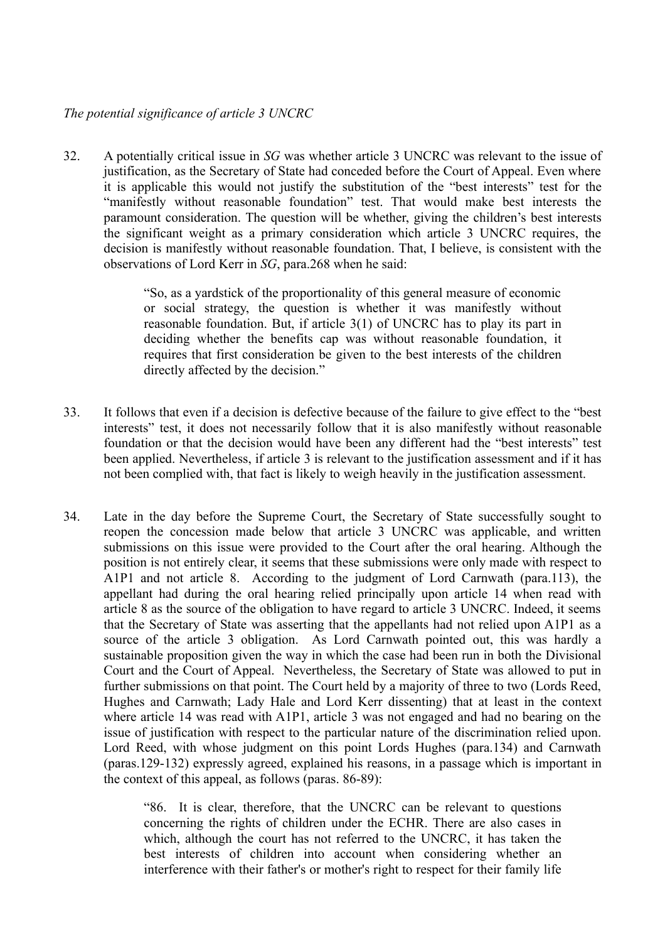#### *The potential significance of article 3 UNCRC*

32. A potentially critical issue in *SG* was whether article 3 UNCRC was relevant to the issue of justification, as the Secretary of State had conceded before the Court of Appeal. Even where it is applicable this would not justify the substitution of the "best interests" test for the "manifestly without reasonable foundation" test. That would make best interests the paramount consideration. The question will be whether, giving the children's best interests the significant weight as a primary consideration which article 3 UNCRC requires, the decision is manifestly without reasonable foundation. That, I believe, is consistent with the observations of Lord Kerr in *SG*, para.268 when he said:

> "So, as a yardstick of the proportionality of this general measure of economic or social strategy, the question is whether it was manifestly without reasonable foundation. But, if article 3(1) of UNCRC has to play its part in deciding whether the benefits cap was without reasonable foundation, it requires that first consideration be given to the best interests of the children directly affected by the decision."

- 33. It follows that even if a decision is defective because of the failure to give effect to the "best interests" test, it does not necessarily follow that it is also manifestly without reasonable foundation or that the decision would have been any different had the "best interests" test been applied. Nevertheless, if article 3 is relevant to the justification assessment and if it has not been complied with, that fact is likely to weigh heavily in the justification assessment.
- 34. Late in the day before the Supreme Court, the Secretary of State successfully sought to reopen the concession made below that article 3 UNCRC was applicable, and written submissions on this issue were provided to the Court after the oral hearing. Although the position is not entirely clear, it seems that these submissions were only made with respect to A1P1 and not article 8. According to the judgment of Lord Carnwath (para.113), the appellant had during the oral hearing relied principally upon article 14 when read with article 8 as the source of the obligation to have regard to article 3 UNCRC. Indeed, it seems that the Secretary of State was asserting that the appellants had not relied upon A1P1 as a source of the article 3 obligation. As Lord Carnwath pointed out, this was hardly a sustainable proposition given the way in which the case had been run in both the Divisional Court and the Court of Appeal. Nevertheless, the Secretary of State was allowed to put in further submissions on that point. The Court held by a majority of three to two (Lords Reed, Hughes and Carnwath; Lady Hale and Lord Kerr dissenting) that at least in the context where article 14 was read with A1P1, article 3 was not engaged and had no bearing on the issue of justification with respect to the particular nature of the discrimination relied upon. Lord Reed, with whose judgment on this point Lords Hughes (para.134) and Carnwath (paras.129-132) expressly agreed, explained his reasons, in a passage which is important in the context of this appeal, as follows (paras. 86-89):

"86. It is clear, therefore, that the UNCRC can be relevant to questions concerning the rights of children under the ECHR. There are also cases in which, although the court has not referred to the UNCRC, it has taken the best interests of children into account when considering whether an interference with their father's or mother's right to respect for their family life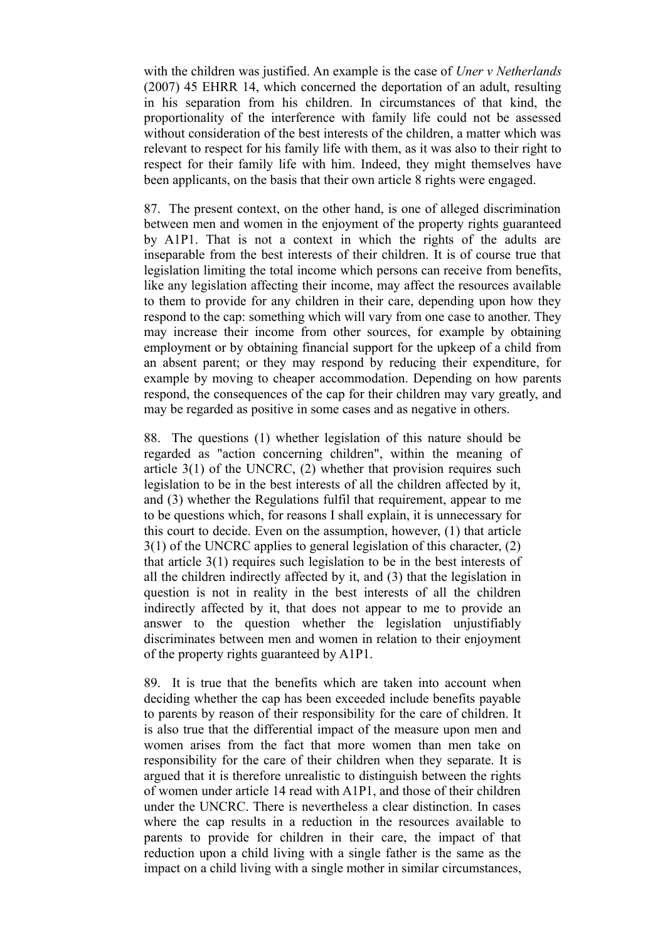with the children was justified. An example is the case of *Uner v Netherlands* (2007) 45 EHRR 14, which concerned the deportation of an adult, resulting in his separation from his children. In circumstances of that kind, the proportionality of the interference with family life could not be assessed without consideration of the best interests of the children, a matter which was relevant to respect for his family life with them, as it was also to their right to respect for their family life with him. Indeed, they might themselves have been applicants, on the basis that their own article 8 rights were engaged.

87. The present context, on the other hand, is one of alleged discrimination between men and women in the enjoyment of the property rights guaranteed by A1P1. That is not a context in which the rights of the adults are inseparable from the best interests of their children. It is of course true that legislation limiting the total income which persons can receive from benefits, like any legislation affecting their income, may affect the resources available to them to provide for any children in their care, depending upon how they respond to the cap: something which will vary from one case to another. They may increase their income from other sources, for example by obtaining employment or by obtaining financial support for the upkeep of a child from an absent parent; or they may respond by reducing their expenditure, for example by moving to cheaper accommodation. Depending on how parents respond, the consequences of the cap for their children may vary greatly, and may be regarded as positive in some cases and as negative in others.

88. The questions (1) whether legislation of this nature should be regarded as "action concerning children", within the meaning of article 3(1) of the UNCRC, (2) whether that provision requires such legislation to be in the best interests of all the children affected by it, and (3) whether the Regulations fulfil that requirement, appear to me to be questions which, for reasons I shall explain, it is unnecessary for this court to decide. Even on the assumption, however, (1) that article 3(1) of the UNCRC applies to general legislation of this character, (2) that article 3(1) requires such legislation to be in the best interests of all the children indirectly affected by it, and (3) that the legislation in question is not in reality in the best interests of all the children indirectly affected by it, that does not appear to me to provide an answer to the question whether the legislation unjustifiably discriminates between men and women in relation to their enjoyment of the property rights guaranteed by A1P1.

89. It is true that the benefits which are taken into account when deciding whether the cap has been exceeded include benefits payable to parents by reason of their responsibility for the care of children. It is also true that the differential impact of the measure upon men and women arises from the fact that more women than men take on responsibility for the care of their children when they separate. It is argued that it is therefore unrealistic to distinguish between the rights of women under article 14 read with A1P1, and those of their children under the UNCRC. There is nevertheless a clear distinction. In cases where the cap results in a reduction in the resources available to parents to provide for children in their care, the impact of that reduction upon a child living with a single father is the same as the impact on a child living with a single mother in similar circumstances,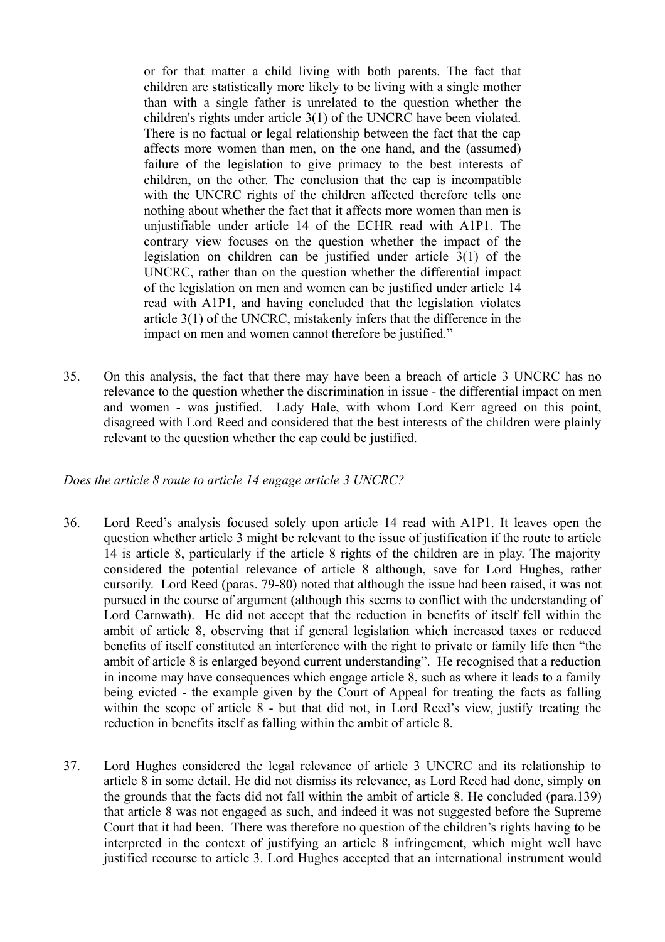or for that matter a child living with both parents. The fact that children are statistically more likely to be living with a single mother than with a single father is unrelated to the question whether the children's rights under article 3(1) of the UNCRC have been violated. There is no factual or legal relationship between the fact that the cap affects more women than men, on the one hand, and the (assumed) failure of the legislation to give primacy to the best interests of children, on the other. The conclusion that the cap is incompatible with the UNCRC rights of the children affected therefore tells one nothing about whether the fact that it affects more women than men is unjustifiable under article 14 of the ECHR read with A1P1. The contrary view focuses on the question whether the impact of the legislation on children can be justified under article 3(1) of the UNCRC, rather than on the question whether the differential impact of the legislation on men and women can be justified under article 14 read with A1P1, and having concluded that the legislation violates article 3(1) of the UNCRC, mistakenly infers that the difference in the impact on men and women cannot therefore be justified."

35. On this analysis, the fact that there may have been a breach of article 3 UNCRC has no relevance to the question whether the discrimination in issue - the differential impact on men and women - was justified. Lady Hale, with whom Lord Kerr agreed on this point, disagreed with Lord Reed and considered that the best interests of the children were plainly relevant to the question whether the cap could be justified.

#### *Does the article 8 route to article 14 engage article 3 UNCRC?*

- 36. Lord Reed's analysis focused solely upon article 14 read with A1P1. It leaves open the question whether article 3 might be relevant to the issue of justification if the route to article 14 is article 8, particularly if the article 8 rights of the children are in play. The majority considered the potential relevance of article 8 although, save for Lord Hughes, rather cursorily. Lord Reed (paras. 79-80) noted that although the issue had been raised, it was not pursued in the course of argument (although this seems to conflict with the understanding of Lord Carnwath). He did not accept that the reduction in benefits of itself fell within the ambit of article 8, observing that if general legislation which increased taxes or reduced benefits of itself constituted an interference with the right to private or family life then "the ambit of article 8 is enlarged beyond current understanding". He recognised that a reduction in income may have consequences which engage article 8, such as where it leads to a family being evicted - the example given by the Court of Appeal for treating the facts as falling within the scope of article 8 - but that did not, in Lord Reed's view, justify treating the reduction in benefits itself as falling within the ambit of article 8.
- 37. Lord Hughes considered the legal relevance of article 3 UNCRC and its relationship to article 8 in some detail. He did not dismiss its relevance, as Lord Reed had done, simply on the grounds that the facts did not fall within the ambit of article 8. He concluded (para.139) that article 8 was not engaged as such, and indeed it was not suggested before the Supreme Court that it had been. There was therefore no question of the children's rights having to be interpreted in the context of justifying an article 8 infringement, which might well have justified recourse to article 3. Lord Hughes accepted that an international instrument would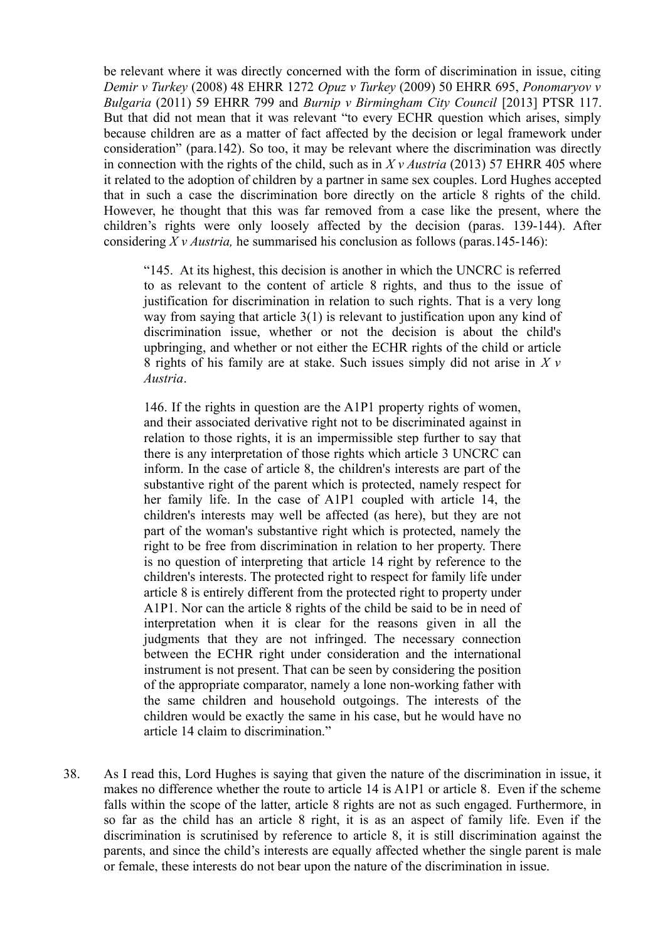be relevant where it was directly concerned with the form of discrimination in issue, citing *Demir v Turkey* (2008) 48 EHRR 1272 *Opuz v Turkey* (2009) 50 EHRR 695, *Ponomaryov v Bulgaria* (2011) 59 EHRR 799 and *Burnip v Birmingham City Council* [2013] PTSR 117. But that did not mean that it was relevant "to every ECHR question which arises, simply because children are as a matter of fact affected by the decision or legal framework under consideration" (para.142). So too, it may be relevant where the discrimination was directly in connection with the rights of the child, such as in *X v Austria* (2013) 57 EHRR 405 where it related to the adoption of children by a partner in same sex couples. Lord Hughes accepted that in such a case the discrimination bore directly on the article 8 rights of the child. However, he thought that this was far removed from a case like the present, where the children's rights were only loosely affected by the decision (paras. 139-144). After considering *X v Austria,* he summarised his conclusion as follows (paras.145-146):

"145. At its highest, this decision is another in which the UNCRC is referred to as relevant to the content of article 8 rights, and thus to the issue of justification for discrimination in relation to such rights. That is a very long way from saying that article 3(1) is relevant to justification upon any kind of discrimination issue, whether or not the decision is about the child's upbringing, and whether or not either the ECHR rights of the child or article 8 rights of his family are at stake. Such issues simply did not arise in *X v Austria*.

146. If the rights in question are the A1P1 property rights of women, and their associated derivative right not to be discriminated against in relation to those rights, it is an impermissible step further to say that there is any interpretation of those rights which article 3 UNCRC can inform. In the case of article 8, the children's interests are part of the substantive right of the parent which is protected, namely respect for her family life. In the case of A1P1 coupled with article 14, the children's interests may well be affected (as here), but they are not part of the woman's substantive right which is protected, namely the right to be free from discrimination in relation to her property. There is no question of interpreting that article 14 right by reference to the children's interests. The protected right to respect for family life under article 8 is entirely different from the protected right to property under A1P1. Nor can the article 8 rights of the child be said to be in need of interpretation when it is clear for the reasons given in all the judgments that they are not infringed. The necessary connection between the ECHR right under consideration and the international instrument is not present. That can be seen by considering the position of the appropriate comparator, namely a lone non-working father with the same children and household outgoings. The interests of the children would be exactly the same in his case, but he would have no article 14 claim to discrimination."

38. As I read this, Lord Hughes is saying that given the nature of the discrimination in issue, it makes no difference whether the route to article 14 is A1P1 or article 8. Even if the scheme falls within the scope of the latter, article 8 rights are not as such engaged. Furthermore, in so far as the child has an article 8 right, it is as an aspect of family life. Even if the discrimination is scrutinised by reference to article 8, it is still discrimination against the parents, and since the child's interests are equally affected whether the single parent is male or female, these interests do not bear upon the nature of the discrimination in issue.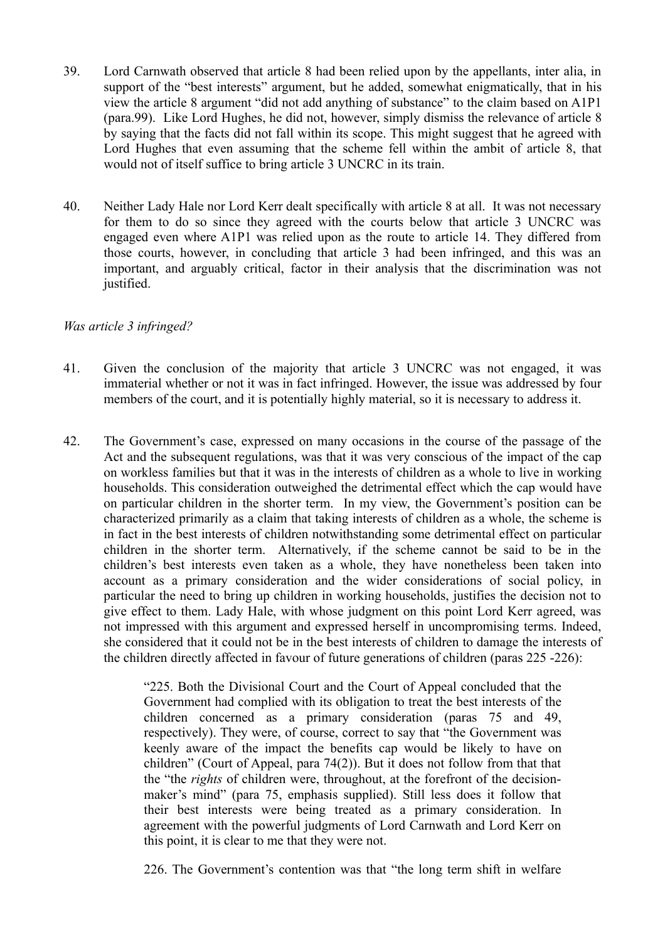- 39. Lord Carnwath observed that article 8 had been relied upon by the appellants, inter alia, in support of the "best interests" argument, but he added, somewhat enigmatically, that in his view the article 8 argument "did not add anything of substance" to the claim based on A1P1 (para.99). Like Lord Hughes, he did not, however, simply dismiss the relevance of article 8 by saying that the facts did not fall within its scope. This might suggest that he agreed with Lord Hughes that even assuming that the scheme fell within the ambit of article 8, that would not of itself suffice to bring article 3 UNCRC in its train.
- 40. Neither Lady Hale nor Lord Kerr dealt specifically with article 8 at all. It was not necessary for them to do so since they agreed with the courts below that article 3 UNCRC was engaged even where A1P1 was relied upon as the route to article 14. They differed from those courts, however, in concluding that article 3 had been infringed, and this was an important, and arguably critical, factor in their analysis that the discrimination was not justified.

#### *Was article 3 infringed?*

- 41. Given the conclusion of the majority that article 3 UNCRC was not engaged, it was immaterial whether or not it was in fact infringed. However, the issue was addressed by four members of the court, and it is potentially highly material, so it is necessary to address it.
- 42. The Government's case, expressed on many occasions in the course of the passage of the Act and the subsequent regulations, was that it was very conscious of the impact of the cap on workless families but that it was in the interests of children as a whole to live in working households. This consideration outweighed the detrimental effect which the cap would have on particular children in the shorter term. In my view, the Government's position can be characterized primarily as a claim that taking interests of children as a whole, the scheme is in fact in the best interests of children notwithstanding some detrimental effect on particular children in the shorter term. Alternatively, if the scheme cannot be said to be in the children's best interests even taken as a whole, they have nonetheless been taken into account as a primary consideration and the wider considerations of social policy, in particular the need to bring up children in working households, justifies the decision not to give effect to them. Lady Hale, with whose judgment on this point Lord Kerr agreed, was not impressed with this argument and expressed herself in uncompromising terms. Indeed, she considered that it could not be in the best interests of children to damage the interests of the children directly affected in favour of future generations of children (paras 225 -226):

"225. Both the Divisional Court and the Court of Appeal concluded that the Government had complied with its obligation to treat the best interests of the children concerned as a primary consideration (paras 75 and 49, respectively). They were, of course, correct to say that "the Government was keenly aware of the impact the benefits cap would be likely to have on children" (Court of Appeal, para 74(2)). But it does not follow from that that the "the *rights* of children were, throughout, at the forefront of the decisionmaker's mind" (para 75, emphasis supplied). Still less does it follow that their best interests were being treated as a primary consideration. In agreement with the powerful judgments of Lord Carnwath and Lord Kerr on this point, it is clear to me that they were not.

226. The Government's contention was that "the long term shift in welfare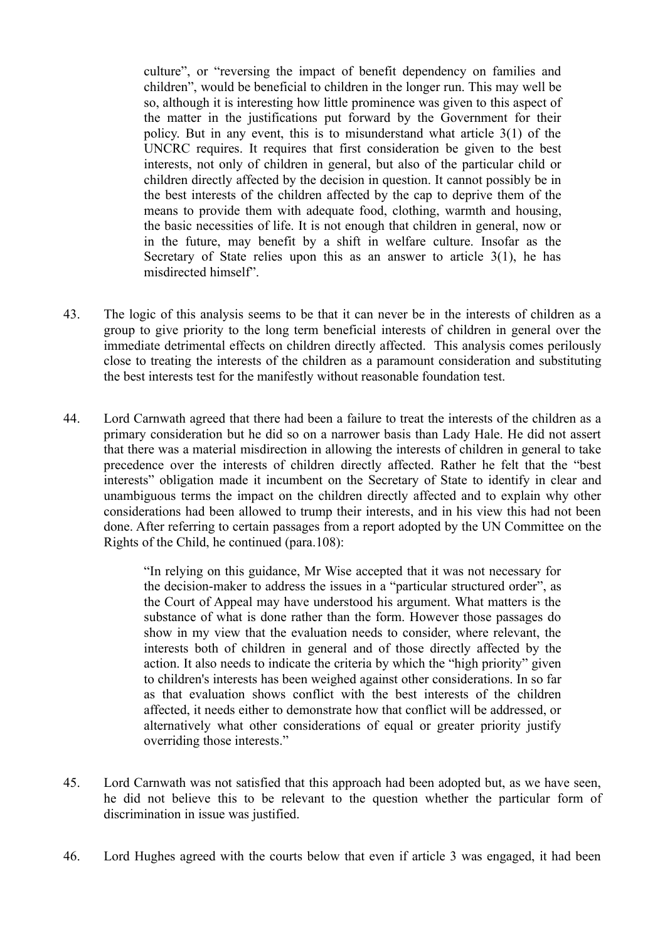culture", or "reversing the impact of benefit dependency on families and children", would be beneficial to children in the longer run. This may well be so, although it is interesting how little prominence was given to this aspect of the matter in the justifications put forward by the Government for their policy. But in any event, this is to misunderstand what article 3(1) of the UNCRC requires. It requires that first consideration be given to the best interests, not only of children in general, but also of the particular child or children directly affected by the decision in question. It cannot possibly be in the best interests of the children affected by the cap to deprive them of the means to provide them with adequate food, clothing, warmth and housing, the basic necessities of life. It is not enough that children in general, now or in the future, may benefit by a shift in welfare culture. Insofar as the Secretary of State relies upon this as an answer to article 3(1), he has misdirected himself".

- 43. The logic of this analysis seems to be that it can never be in the interests of children as a group to give priority to the long term beneficial interests of children in general over the immediate detrimental effects on children directly affected. This analysis comes perilously close to treating the interests of the children as a paramount consideration and substituting the best interests test for the manifestly without reasonable foundation test.
- 44. Lord Carnwath agreed that there had been a failure to treat the interests of the children as a primary consideration but he did so on a narrower basis than Lady Hale. He did not assert that there was a material misdirection in allowing the interests of children in general to take precedence over the interests of children directly affected. Rather he felt that the "best interests" obligation made it incumbent on the Secretary of State to identify in clear and unambiguous terms the impact on the children directly affected and to explain why other considerations had been allowed to trump their interests, and in his view this had not been done. After referring to certain passages from a report adopted by the UN Committee on the Rights of the Child, he continued (para.108):

"In relying on this guidance, Mr Wise accepted that it was not necessary for the decision-maker to address the issues in a "particular structured order", as the Court of Appeal may have understood his argument. What matters is the substance of what is done rather than the form. However those passages do show in my view that the evaluation needs to consider, where relevant, the interests both of children in general and of those directly affected by the action. It also needs to indicate the criteria by which the "high priority" given to children's interests has been weighed against other considerations. In so far as that evaluation shows conflict with the best interests of the children affected, it needs either to demonstrate how that conflict will be addressed, or alternatively what other considerations of equal or greater priority justify overriding those interests."

- 45. Lord Carnwath was not satisfied that this approach had been adopted but, as we have seen, he did not believe this to be relevant to the question whether the particular form of discrimination in issue was justified.
- 46. Lord Hughes agreed with the courts below that even if article 3 was engaged, it had been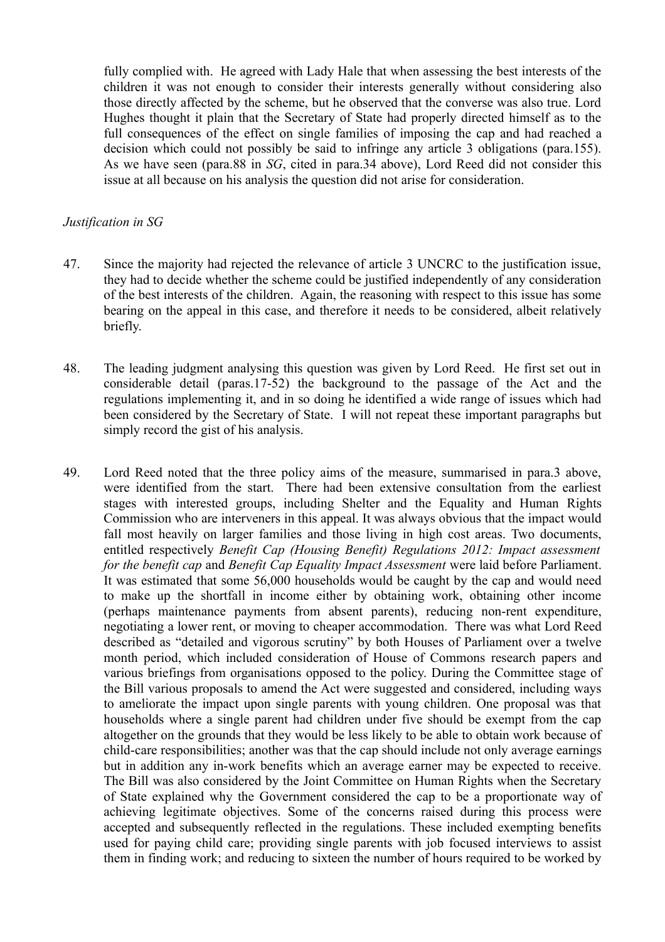fully complied with. He agreed with Lady Hale that when assessing the best interests of the children it was not enough to consider their interests generally without considering also those directly affected by the scheme, but he observed that the converse was also true. Lord Hughes thought it plain that the Secretary of State had properly directed himself as to the full consequences of the effect on single families of imposing the cap and had reached a decision which could not possibly be said to infringe any article 3 obligations (para.155). As we have seen (para.88 in *SG*, cited in para.34 above), Lord Reed did not consider this issue at all because on his analysis the question did not arise for consideration.

#### *Justification in SG*

- 47. Since the majority had rejected the relevance of article 3 UNCRC to the justification issue, they had to decide whether the scheme could be justified independently of any consideration of the best interests of the children. Again, the reasoning with respect to this issue has some bearing on the appeal in this case, and therefore it needs to be considered, albeit relatively briefly.
- 48. The leading judgment analysing this question was given by Lord Reed. He first set out in considerable detail (paras.17-52) the background to the passage of the Act and the regulations implementing it, and in so doing he identified a wide range of issues which had been considered by the Secretary of State. I will not repeat these important paragraphs but simply record the gist of his analysis.
- 49. Lord Reed noted that the three policy aims of the measure, summarised in para.3 above, were identified from the start. There had been extensive consultation from the earliest stages with interested groups, including Shelter and the Equality and Human Rights Commission who are interveners in this appeal. It was always obvious that the impact would fall most heavily on larger families and those living in high cost areas. Two documents, entitled respectively *Benefit Cap (Housing Benefit) Regulations 2012: Impact assessment for the benefit cap* and *Benefit Cap Equality Impact Assessment* were laid before Parliament. It was estimated that some 56,000 households would be caught by the cap and would need to make up the shortfall in income either by obtaining work, obtaining other income (perhaps maintenance payments from absent parents), reducing non-rent expenditure, negotiating a lower rent, or moving to cheaper accommodation. There was what Lord Reed described as "detailed and vigorous scrutiny" by both Houses of Parliament over a twelve month period, which included consideration of House of Commons research papers and various briefings from organisations opposed to the policy. During the Committee stage of the Bill various proposals to amend the Act were suggested and considered, including ways to ameliorate the impact upon single parents with young children. One proposal was that households where a single parent had children under five should be exempt from the cap altogether on the grounds that they would be less likely to be able to obtain work because of child-care responsibilities; another was that the cap should include not only average earnings but in addition any in-work benefits which an average earner may be expected to receive. The Bill was also considered by the Joint Committee on Human Rights when the Secretary of State explained why the Government considered the cap to be a proportionate way of achieving legitimate objectives. Some of the concerns raised during this process were accepted and subsequently reflected in the regulations. These included exempting benefits used for paying child care; providing single parents with job focused interviews to assist them in finding work; and reducing to sixteen the number of hours required to be worked by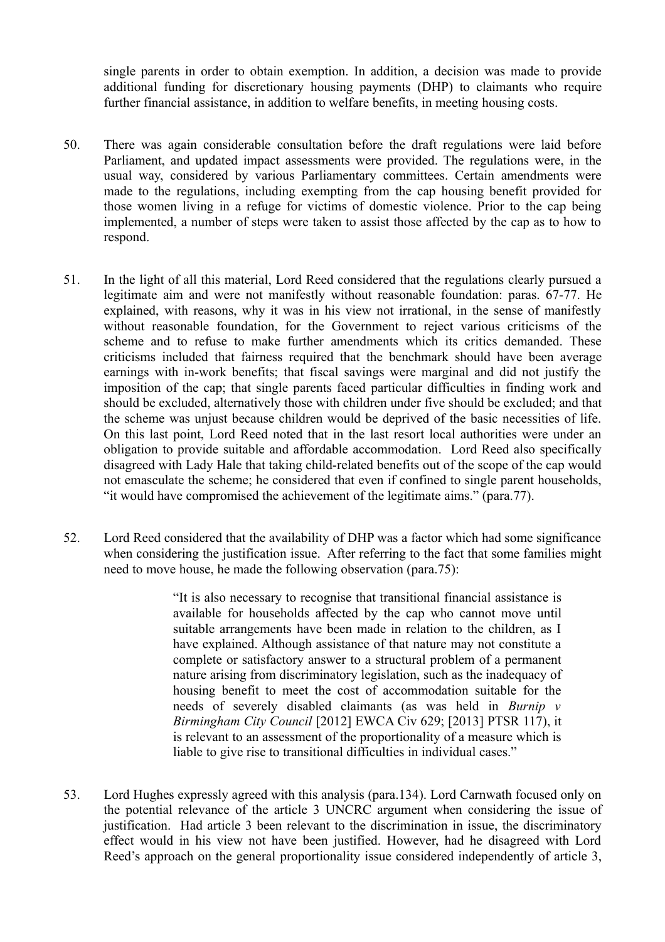single parents in order to obtain exemption. In addition, a decision was made to provide additional funding for discretionary housing payments (DHP) to claimants who require further financial assistance, in addition to welfare benefits, in meeting housing costs.

- 50. There was again considerable consultation before the draft regulations were laid before Parliament, and updated impact assessments were provided. The regulations were, in the usual way, considered by various Parliamentary committees. Certain amendments were made to the regulations, including exempting from the cap housing benefit provided for those women living in a refuge for victims of domestic violence. Prior to the cap being implemented, a number of steps were taken to assist those affected by the cap as to how to respond.
- 51. In the light of all this material, Lord Reed considered that the regulations clearly pursued a legitimate aim and were not manifestly without reasonable foundation: paras. 67-77. He explained, with reasons, why it was in his view not irrational, in the sense of manifestly without reasonable foundation, for the Government to reject various criticisms of the scheme and to refuse to make further amendments which its critics demanded. These criticisms included that fairness required that the benchmark should have been average earnings with in-work benefits; that fiscal savings were marginal and did not justify the imposition of the cap; that single parents faced particular difficulties in finding work and should be excluded, alternatively those with children under five should be excluded; and that the scheme was unjust because children would be deprived of the basic necessities of life. On this last point, Lord Reed noted that in the last resort local authorities were under an obligation to provide suitable and affordable accommodation. Lord Reed also specifically disagreed with Lady Hale that taking child-related benefits out of the scope of the cap would not emasculate the scheme; he considered that even if confined to single parent households, "it would have compromised the achievement of the legitimate aims." (para.77).
- 52. Lord Reed considered that the availability of DHP was a factor which had some significance when considering the justification issue. After referring to the fact that some families might need to move house, he made the following observation (para.75):

"It is also necessary to recognise that transitional financial assistance is available for households affected by the cap who cannot move until suitable arrangements have been made in relation to the children, as I have explained. Although assistance of that nature may not constitute a complete or satisfactory answer to a structural problem of a permanent nature arising from discriminatory legislation, such as the inadequacy of housing benefit to meet the cost of accommodation suitable for the needs of severely disabled claimants (as was held in *Burnip v Birmingham City Council* [2012] EWCA Civ 629; [2013] PTSR 117), it is relevant to an assessment of the proportionality of a measure which is liable to give rise to transitional difficulties in individual cases."

53. Lord Hughes expressly agreed with this analysis (para.134). Lord Carnwath focused only on the potential relevance of the article 3 UNCRC argument when considering the issue of justification. Had article 3 been relevant to the discrimination in issue, the discriminatory effect would in his view not have been justified. However, had he disagreed with Lord Reed's approach on the general proportionality issue considered independently of article 3,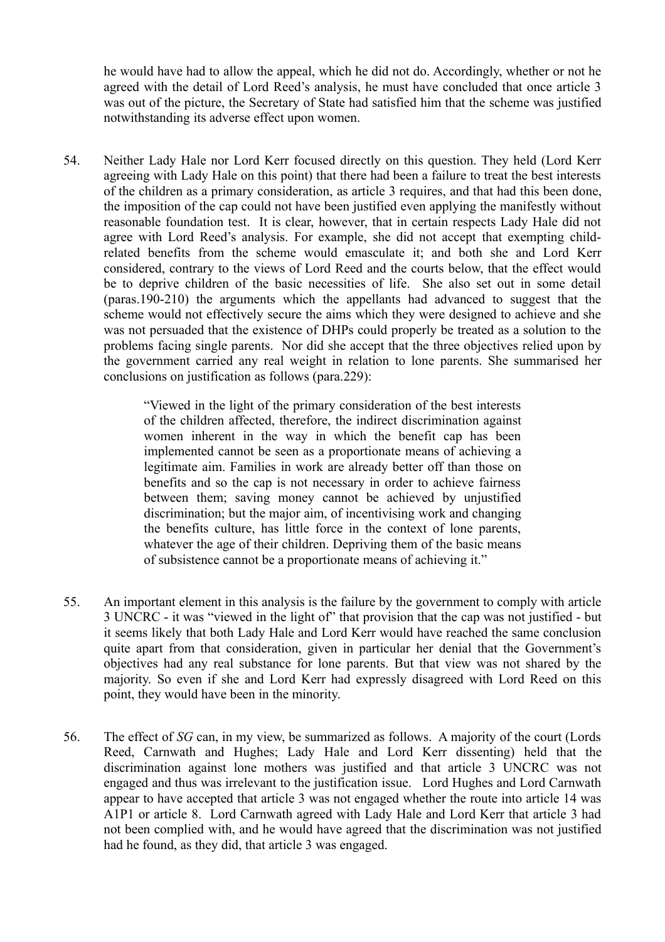he would have had to allow the appeal, which he did not do. Accordingly, whether or not he agreed with the detail of Lord Reed's analysis, he must have concluded that once article 3 was out of the picture, the Secretary of State had satisfied him that the scheme was justified notwithstanding its adverse effect upon women.

54. Neither Lady Hale nor Lord Kerr focused directly on this question. They held (Lord Kerr agreeing with Lady Hale on this point) that there had been a failure to treat the best interests of the children as a primary consideration, as article 3 requires, and that had this been done, the imposition of the cap could not have been justified even applying the manifestly without reasonable foundation test. It is clear, however, that in certain respects Lady Hale did not agree with Lord Reed's analysis. For example, she did not accept that exempting childrelated benefits from the scheme would emasculate it; and both she and Lord Kerr considered, contrary to the views of Lord Reed and the courts below, that the effect would be to deprive children of the basic necessities of life. She also set out in some detail (paras.190-210) the arguments which the appellants had advanced to suggest that the scheme would not effectively secure the aims which they were designed to achieve and she was not persuaded that the existence of DHPs could properly be treated as a solution to the problems facing single parents. Nor did she accept that the three objectives relied upon by the government carried any real weight in relation to lone parents. She summarised her conclusions on justification as follows (para.229):

> "Viewed in the light of the primary consideration of the best interests of the children affected, therefore, the indirect discrimination against women inherent in the way in which the benefit cap has been implemented cannot be seen as a proportionate means of achieving a legitimate aim. Families in work are already better off than those on benefits and so the cap is not necessary in order to achieve fairness between them; saving money cannot be achieved by unjustified discrimination; but the major aim, of incentivising work and changing the benefits culture, has little force in the context of lone parents, whatever the age of their children. Depriving them of the basic means of subsistence cannot be a proportionate means of achieving it."

- 55. An important element in this analysis is the failure by the government to comply with article 3 UNCRC - it was "viewed in the light of" that provision that the cap was not justified - but it seems likely that both Lady Hale and Lord Kerr would have reached the same conclusion quite apart from that consideration, given in particular her denial that the Government's objectives had any real substance for lone parents. But that view was not shared by the majority. So even if she and Lord Kerr had expressly disagreed with Lord Reed on this point, they would have been in the minority.
- 56. The effect of *SG* can, in my view, be summarized as follows. A majority of the court (Lords Reed, Carnwath and Hughes; Lady Hale and Lord Kerr dissenting) held that the discrimination against lone mothers was justified and that article 3 UNCRC was not engaged and thus was irrelevant to the justification issue. Lord Hughes and Lord Carnwath appear to have accepted that article 3 was not engaged whether the route into article 14 was A1P1 or article 8. Lord Carnwath agreed with Lady Hale and Lord Kerr that article 3 had not been complied with, and he would have agreed that the discrimination was not justified had he found, as they did, that article 3 was engaged.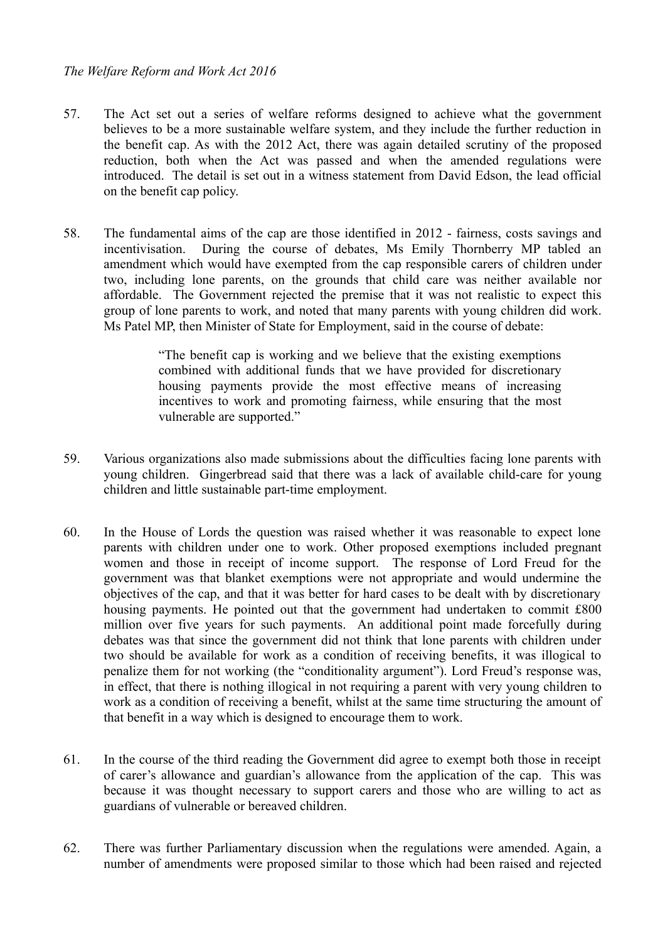- 57. The Act set out a series of welfare reforms designed to achieve what the government believes to be a more sustainable welfare system, and they include the further reduction in the benefit cap. As with the 2012 Act, there was again detailed scrutiny of the proposed reduction, both when the Act was passed and when the amended regulations were introduced. The detail is set out in a witness statement from David Edson, the lead official on the benefit cap policy.
- 58. The fundamental aims of the cap are those identified in 2012 fairness, costs savings and incentivisation. During the course of debates, Ms Emily Thornberry MP tabled an amendment which would have exempted from the cap responsible carers of children under two, including lone parents, on the grounds that child care was neither available nor affordable. The Government rejected the premise that it was not realistic to expect this group of lone parents to work, and noted that many parents with young children did work. Ms Patel MP, then Minister of State for Employment, said in the course of debate:

"The benefit cap is working and we believe that the existing exemptions combined with additional funds that we have provided for discretionary housing payments provide the most effective means of increasing incentives to work and promoting fairness, while ensuring that the most vulnerable are supported."

- 59. Various organizations also made submissions about the difficulties facing lone parents with young children. Gingerbread said that there was a lack of available child-care for young children and little sustainable part-time employment.
- 60. In the House of Lords the question was raised whether it was reasonable to expect lone parents with children under one to work. Other proposed exemptions included pregnant women and those in receipt of income support. The response of Lord Freud for the government was that blanket exemptions were not appropriate and would undermine the objectives of the cap, and that it was better for hard cases to be dealt with by discretionary housing payments. He pointed out that the government had undertaken to commit £800 million over five years for such payments. An additional point made forcefully during debates was that since the government did not think that lone parents with children under two should be available for work as a condition of receiving benefits, it was illogical to penalize them for not working (the "conditionality argument"). Lord Freud's response was, in effect, that there is nothing illogical in not requiring a parent with very young children to work as a condition of receiving a benefit, whilst at the same time structuring the amount of that benefit in a way which is designed to encourage them to work.
- 61. In the course of the third reading the Government did agree to exempt both those in receipt of carer's allowance and guardian's allowance from the application of the cap. This was because it was thought necessary to support carers and those who are willing to act as guardians of vulnerable or bereaved children.
- 62. There was further Parliamentary discussion when the regulations were amended. Again, a number of amendments were proposed similar to those which had been raised and rejected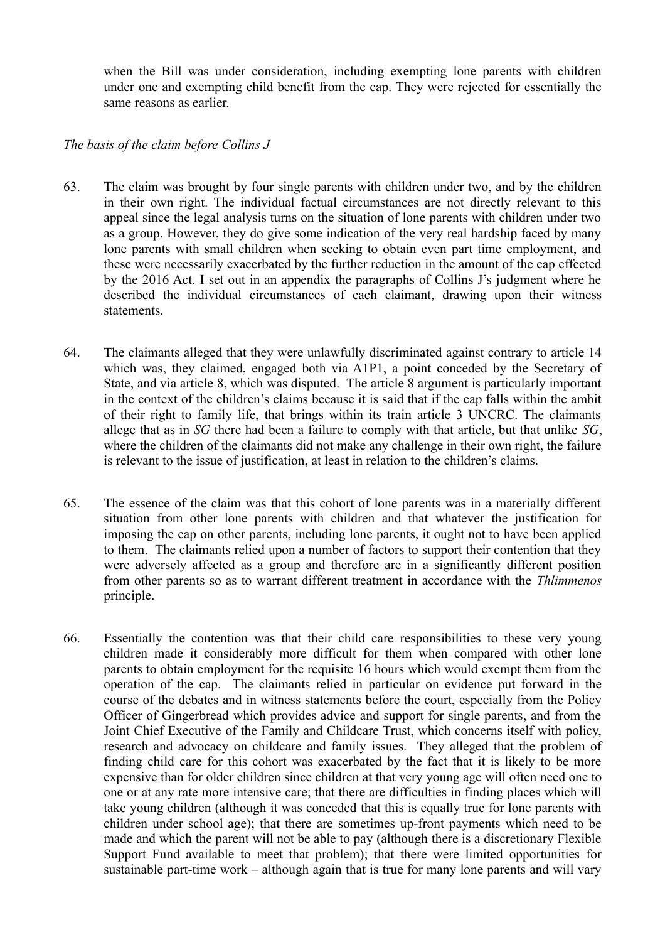when the Bill was under consideration, including exempting lone parents with children under one and exempting child benefit from the cap. They were rejected for essentially the same reasons as earlier.

#### *The basis of the claim before Collins J*

- 63. The claim was brought by four single parents with children under two, and by the children in their own right. The individual factual circumstances are not directly relevant to this appeal since the legal analysis turns on the situation of lone parents with children under two as a group. However, they do give some indication of the very real hardship faced by many lone parents with small children when seeking to obtain even part time employment, and these were necessarily exacerbated by the further reduction in the amount of the cap effected by the 2016 Act. I set out in an appendix the paragraphs of Collins J's judgment where he described the individual circumstances of each claimant, drawing upon their witness statements.
- 64. The claimants alleged that they were unlawfully discriminated against contrary to article 14 which was, they claimed, engaged both via A1P1, a point conceded by the Secretary of State, and via article 8, which was disputed. The article 8 argument is particularly important in the context of the children's claims because it is said that if the cap falls within the ambit of their right to family life, that brings within its train article 3 UNCRC. The claimants allege that as in *SG* there had been a failure to comply with that article, but that unlike *SG*, where the children of the claimants did not make any challenge in their own right, the failure is relevant to the issue of justification, at least in relation to the children's claims.
- 65. The essence of the claim was that this cohort of lone parents was in a materially different situation from other lone parents with children and that whatever the justification for imposing the cap on other parents, including lone parents, it ought not to have been applied to them. The claimants relied upon a number of factors to support their contention that they were adversely affected as a group and therefore are in a significantly different position from other parents so as to warrant different treatment in accordance with the *Thlimmenos* principle.
- 66. Essentially the contention was that their child care responsibilities to these very young children made it considerably more difficult for them when compared with other lone parents to obtain employment for the requisite 16 hours which would exempt them from the operation of the cap. The claimants relied in particular on evidence put forward in the course of the debates and in witness statements before the court, especially from the Policy Officer of Gingerbread which provides advice and support for single parents, and from the Joint Chief Executive of the Family and Childcare Trust, which concerns itself with policy, research and advocacy on childcare and family issues. They alleged that the problem of finding child care for this cohort was exacerbated by the fact that it is likely to be more expensive than for older children since children at that very young age will often need one to one or at any rate more intensive care; that there are difficulties in finding places which will take young children (although it was conceded that this is equally true for lone parents with children under school age); that there are sometimes up-front payments which need to be made and which the parent will not be able to pay (although there is a discretionary Flexible Support Fund available to meet that problem); that there were limited opportunities for sustainable part-time work – although again that is true for many lone parents and will vary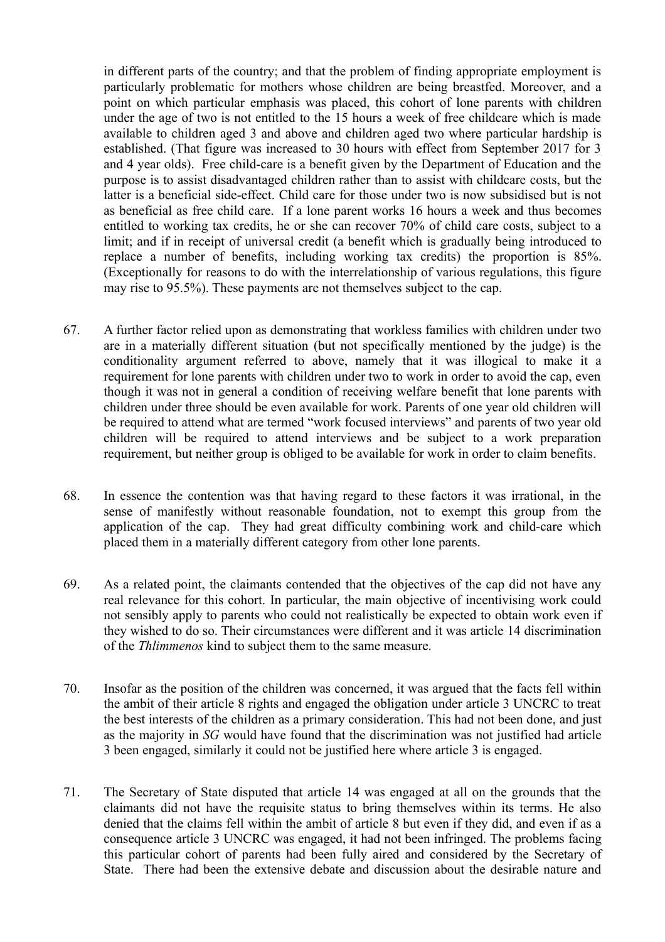in different parts of the country; and that the problem of finding appropriate employment is particularly problematic for mothers whose children are being breastfed. Moreover, and a point on which particular emphasis was placed, this cohort of lone parents with children under the age of two is not entitled to the 15 hours a week of free childcare which is made available to children aged 3 and above and children aged two where particular hardship is established. (That figure was increased to 30 hours with effect from September 2017 for 3 and 4 year olds). Free child-care is a benefit given by the Department of Education and the purpose is to assist disadvantaged children rather than to assist with childcare costs, but the latter is a beneficial side-effect. Child care for those under two is now subsidised but is not as beneficial as free child care. If a lone parent works 16 hours a week and thus becomes entitled to working tax credits, he or she can recover 70% of child care costs, subject to a limit; and if in receipt of universal credit (a benefit which is gradually being introduced to replace a number of benefits, including working tax credits) the proportion is 85%. (Exceptionally for reasons to do with the interrelationship of various regulations, this figure may rise to 95.5%). These payments are not themselves subject to the cap.

- 67. A further factor relied upon as demonstrating that workless families with children under two are in a materially different situation (but not specifically mentioned by the judge) is the conditionality argument referred to above, namely that it was illogical to make it a requirement for lone parents with children under two to work in order to avoid the cap, even though it was not in general a condition of receiving welfare benefit that lone parents with children under three should be even available for work. Parents of one year old children will be required to attend what are termed "work focused interviews" and parents of two year old children will be required to attend interviews and be subject to a work preparation requirement, but neither group is obliged to be available for work in order to claim benefits.
- 68. In essence the contention was that having regard to these factors it was irrational, in the sense of manifestly without reasonable foundation, not to exempt this group from the application of the cap. They had great difficulty combining work and child-care which placed them in a materially different category from other lone parents.
- 69. As a related point, the claimants contended that the objectives of the cap did not have any real relevance for this cohort. In particular, the main objective of incentivising work could not sensibly apply to parents who could not realistically be expected to obtain work even if they wished to do so. Their circumstances were different and it was article 14 discrimination of the *Thlimmenos* kind to subject them to the same measure.
- 70. Insofar as the position of the children was concerned, it was argued that the facts fell within the ambit of their article 8 rights and engaged the obligation under article 3 UNCRC to treat the best interests of the children as a primary consideration. This had not been done, and just as the majority in *SG* would have found that the discrimination was not justified had article 3 been engaged, similarly it could not be justified here where article 3 is engaged.
- 71. The Secretary of State disputed that article 14 was engaged at all on the grounds that the claimants did not have the requisite status to bring themselves within its terms. He also denied that the claims fell within the ambit of article 8 but even if they did, and even if as a consequence article 3 UNCRC was engaged, it had not been infringed. The problems facing this particular cohort of parents had been fully aired and considered by the Secretary of State. There had been the extensive debate and discussion about the desirable nature and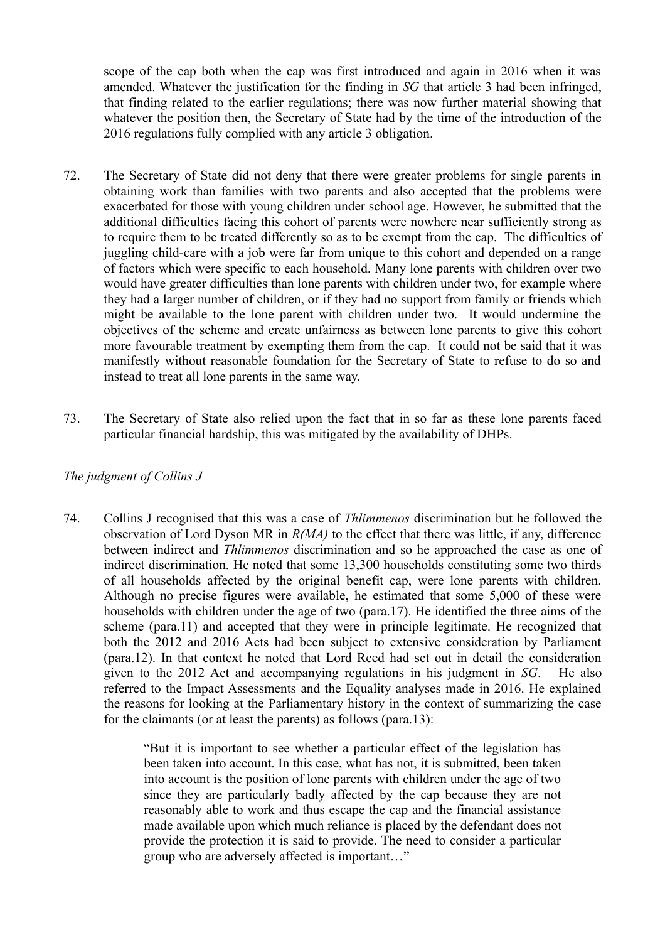scope of the cap both when the cap was first introduced and again in 2016 when it was amended. Whatever the justification for the finding in *SG* that article 3 had been infringed, that finding related to the earlier regulations; there was now further material showing that whatever the position then, the Secretary of State had by the time of the introduction of the 2016 regulations fully complied with any article 3 obligation.

- 72. The Secretary of State did not deny that there were greater problems for single parents in obtaining work than families with two parents and also accepted that the problems were exacerbated for those with young children under school age. However, he submitted that the additional difficulties facing this cohort of parents were nowhere near sufficiently strong as to require them to be treated differently so as to be exempt from the cap. The difficulties of juggling child-care with a job were far from unique to this cohort and depended on a range of factors which were specific to each household. Many lone parents with children over two would have greater difficulties than lone parents with children under two, for example where they had a larger number of children, or if they had no support from family or friends which might be available to the lone parent with children under two. It would undermine the objectives of the scheme and create unfairness as between lone parents to give this cohort more favourable treatment by exempting them from the cap. It could not be said that it was manifestly without reasonable foundation for the Secretary of State to refuse to do so and instead to treat all lone parents in the same way.
- 73. The Secretary of State also relied upon the fact that in so far as these lone parents faced particular financial hardship, this was mitigated by the availability of DHPs.

#### *The judgment of Collins J*

74. Collins J recognised that this was a case of *Thlimmenos* discrimination but he followed the observation of Lord Dyson MR in *R(MA)* to the effect that there was little, if any, difference between indirect and *Thlimmenos* discrimination and so he approached the case as one of indirect discrimination. He noted that some 13,300 households constituting some two thirds of all households affected by the original benefit cap, were lone parents with children. Although no precise figures were available, he estimated that some 5,000 of these were households with children under the age of two (para.17). He identified the three aims of the scheme (para.11) and accepted that they were in principle legitimate. He recognized that both the 2012 and 2016 Acts had been subject to extensive consideration by Parliament (para.12). In that context he noted that Lord Reed had set out in detail the consideration given to the 2012 Act and accompanying regulations in his judgment in *SG*. He also referred to the Impact Assessments and the Equality analyses made in 2016. He explained the reasons for looking at the Parliamentary history in the context of summarizing the case for the claimants (or at least the parents) as follows (para.13):

> "But it is important to see whether a particular effect of the legislation has been taken into account. In this case, what has not, it is submitted, been taken into account is the position of lone parents with children under the age of two since they are particularly badly affected by the cap because they are not reasonably able to work and thus escape the cap and the financial assistance made available upon which much reliance is placed by the defendant does not provide the protection it is said to provide. The need to consider a particular group who are adversely affected is important…"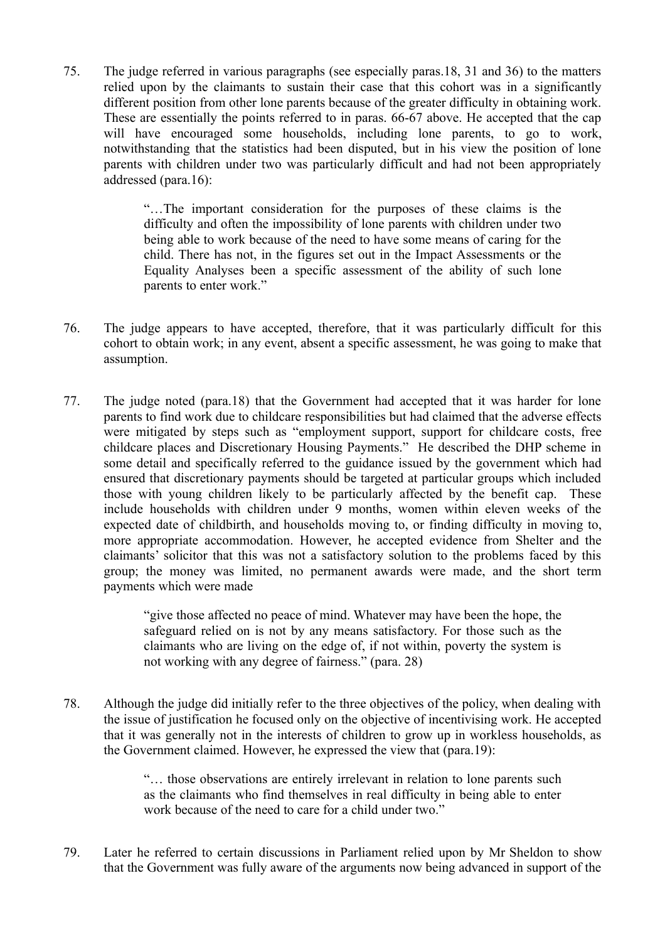75. The judge referred in various paragraphs (see especially paras.18, 31 and 36) to the matters relied upon by the claimants to sustain their case that this cohort was in a significantly different position from other lone parents because of the greater difficulty in obtaining work. These are essentially the points referred to in paras. 66-67 above. He accepted that the cap will have encouraged some households, including lone parents, to go to work, notwithstanding that the statistics had been disputed, but in his view the position of lone parents with children under two was particularly difficult and had not been appropriately addressed (para.16):

> "…The important consideration for the purposes of these claims is the difficulty and often the impossibility of lone parents with children under two being able to work because of the need to have some means of caring for the child. There has not, in the figures set out in the Impact Assessments or the Equality Analyses been a specific assessment of the ability of such lone parents to enter work."

- 76. The judge appears to have accepted, therefore, that it was particularly difficult for this cohort to obtain work; in any event, absent a specific assessment, he was going to make that assumption.
- 77. The judge noted (para.18) that the Government had accepted that it was harder for lone parents to find work due to childcare responsibilities but had claimed that the adverse effects were mitigated by steps such as "employment support, support for childcare costs, free childcare places and Discretionary Housing Payments." He described the DHP scheme in some detail and specifically referred to the guidance issued by the government which had ensured that discretionary payments should be targeted at particular groups which included those with young children likely to be particularly affected by the benefit cap. These include households with children under 9 months, women within eleven weeks of the expected date of childbirth, and households moving to, or finding difficulty in moving to, more appropriate accommodation. However, he accepted evidence from Shelter and the claimants' solicitor that this was not a satisfactory solution to the problems faced by this group; the money was limited, no permanent awards were made, and the short term payments which were made

"give those affected no peace of mind. Whatever may have been the hope, the safeguard relied on is not by any means satisfactory. For those such as the claimants who are living on the edge of, if not within, poverty the system is not working with any degree of fairness." (para. 28)

78. Although the judge did initially refer to the three objectives of the policy, when dealing with the issue of justification he focused only on the objective of incentivising work. He accepted that it was generally not in the interests of children to grow up in workless households, as the Government claimed. However, he expressed the view that (para.19):

> "… those observations are entirely irrelevant in relation to lone parents such as the claimants who find themselves in real difficulty in being able to enter work because of the need to care for a child under two."

79. Later he referred to certain discussions in Parliament relied upon by Mr Sheldon to show that the Government was fully aware of the arguments now being advanced in support of the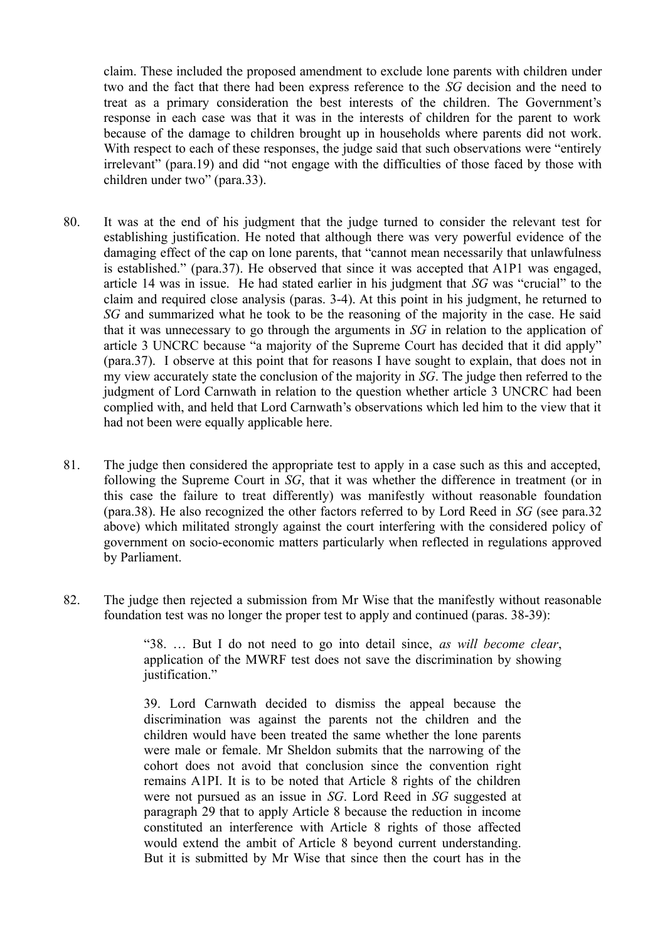claim. These included the proposed amendment to exclude lone parents with children under two and the fact that there had been express reference to the *SG* decision and the need to treat as a primary consideration the best interests of the children. The Government's response in each case was that it was in the interests of children for the parent to work because of the damage to children brought up in households where parents did not work. With respect to each of these responses, the judge said that such observations were "entirely" irrelevant" (para.19) and did "not engage with the difficulties of those faced by those with children under two" (para.33).

- 80. It was at the end of his judgment that the judge turned to consider the relevant test for establishing justification. He noted that although there was very powerful evidence of the damaging effect of the cap on lone parents, that "cannot mean necessarily that unlawfulness is established." (para.37). He observed that since it was accepted that A1P1 was engaged, article 14 was in issue. He had stated earlier in his judgment that *SG* was "crucial" to the claim and required close analysis (paras. 3-4). At this point in his judgment, he returned to *SG* and summarized what he took to be the reasoning of the majority in the case. He said that it was unnecessary to go through the arguments in *SG* in relation to the application of article 3 UNCRC because "a majority of the Supreme Court has decided that it did apply" (para.37). I observe at this point that for reasons I have sought to explain, that does not in my view accurately state the conclusion of the majority in *SG*. The judge then referred to the judgment of Lord Carnwath in relation to the question whether article 3 UNCRC had been complied with, and held that Lord Carnwath's observations which led him to the view that it had not been were equally applicable here.
- 81. The judge then considered the appropriate test to apply in a case such as this and accepted, following the Supreme Court in *SG*, that it was whether the difference in treatment (or in this case the failure to treat differently) was manifestly without reasonable foundation (para.38). He also recognized the other factors referred to by Lord Reed in *SG* (see para.32 above) which militated strongly against the court interfering with the considered policy of government on socio-economic matters particularly when reflected in regulations approved by Parliament.
- 82. The judge then rejected a submission from Mr Wise that the manifestly without reasonable foundation test was no longer the proper test to apply and continued (paras. 38-39):

"38. … But I do not need to go into detail since, *as will become clear*, application of the MWRF test does not save the discrimination by showing justification."

39. Lord Carnwath decided to dismiss the appeal because the discrimination was against the parents not the children and the children would have been treated the same whether the lone parents were male or female. Mr Sheldon submits that the narrowing of the cohort does not avoid that conclusion since the convention right remains A1PI. It is to be noted that Article 8 rights of the children were not pursued as an issue in *SG*. Lord Reed in *SG* suggested at paragraph 29 that to apply Article 8 because the reduction in income constituted an interference with Article 8 rights of those affected would extend the ambit of Article 8 beyond current understanding. But it is submitted by Mr Wise that since then the court has in the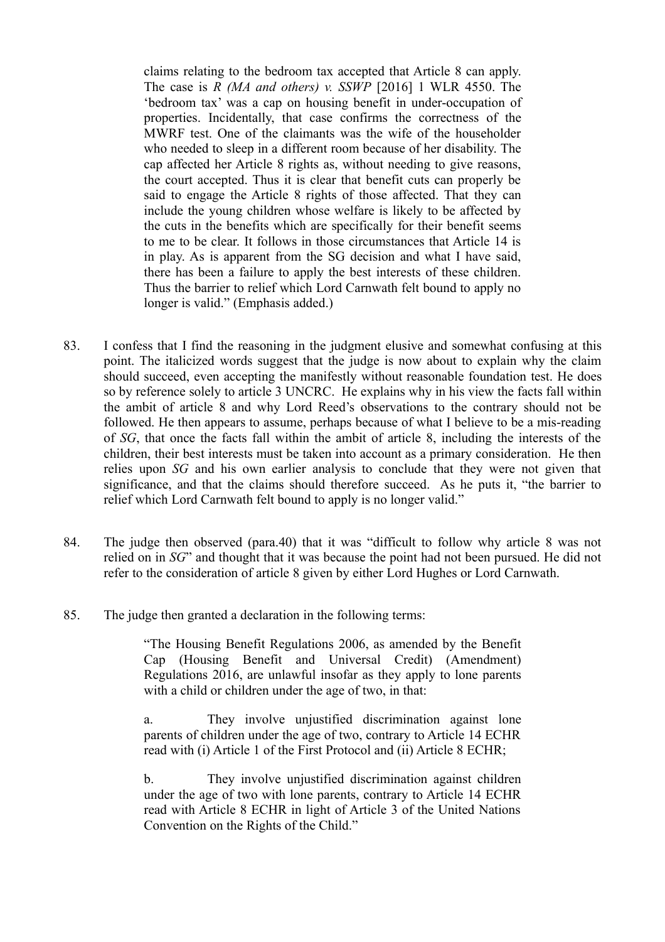claims relating to the bedroom tax accepted that Article 8 can apply. The case is *R (MA and others) v. SSWP* [2016] 1 WLR 4550. The 'bedroom tax' was a cap on housing benefit in under-occupation of properties. Incidentally, that case confirms the correctness of the MWRF test. One of the claimants was the wife of the householder who needed to sleep in a different room because of her disability. The cap affected her Article 8 rights as, without needing to give reasons, the court accepted. Thus it is clear that benefit cuts can properly be said to engage the Article 8 rights of those affected. That they can include the young children whose welfare is likely to be affected by the cuts in the benefits which are specifically for their benefit seems to me to be clear. It follows in those circumstances that Article 14 is in play. As is apparent from the SG decision and what I have said, there has been a failure to apply the best interests of these children. Thus the barrier to relief which Lord Carnwath felt bound to apply no longer is valid." (Emphasis added.)

- 83. I confess that I find the reasoning in the judgment elusive and somewhat confusing at this point. The italicized words suggest that the judge is now about to explain why the claim should succeed, even accepting the manifestly without reasonable foundation test. He does so by reference solely to article 3 UNCRC. He explains why in his view the facts fall within the ambit of article 8 and why Lord Reed's observations to the contrary should not be followed. He then appears to assume, perhaps because of what I believe to be a mis-reading of *SG*, that once the facts fall within the ambit of article 8, including the interests of the children, their best interests must be taken into account as a primary consideration. He then relies upon *SG* and his own earlier analysis to conclude that they were not given that significance, and that the claims should therefore succeed. As he puts it, "the barrier to relief which Lord Carnwath felt bound to apply is no longer valid."
- 84. The judge then observed (para.40) that it was "difficult to follow why article 8 was not relied on in *SG*" and thought that it was because the point had not been pursued. He did not refer to the consideration of article 8 given by either Lord Hughes or Lord Carnwath.
- 85. The judge then granted a declaration in the following terms:

"The Housing Benefit Regulations 2006, as amended by the Benefit Cap (Housing Benefit and Universal Credit) (Amendment) Regulations 2016, are unlawful insofar as they apply to lone parents with a child or children under the age of two, in that:

a. They involve unjustified discrimination against lone parents of children under the age of two, contrary to Article 14 ECHR read with (i) Article 1 of the First Protocol and (ii) Article 8 ECHR;

b. They involve unjustified discrimination against children under the age of two with lone parents, contrary to Article 14 ECHR read with Article 8 ECHR in light of Article 3 of the United Nations Convention on the Rights of the Child."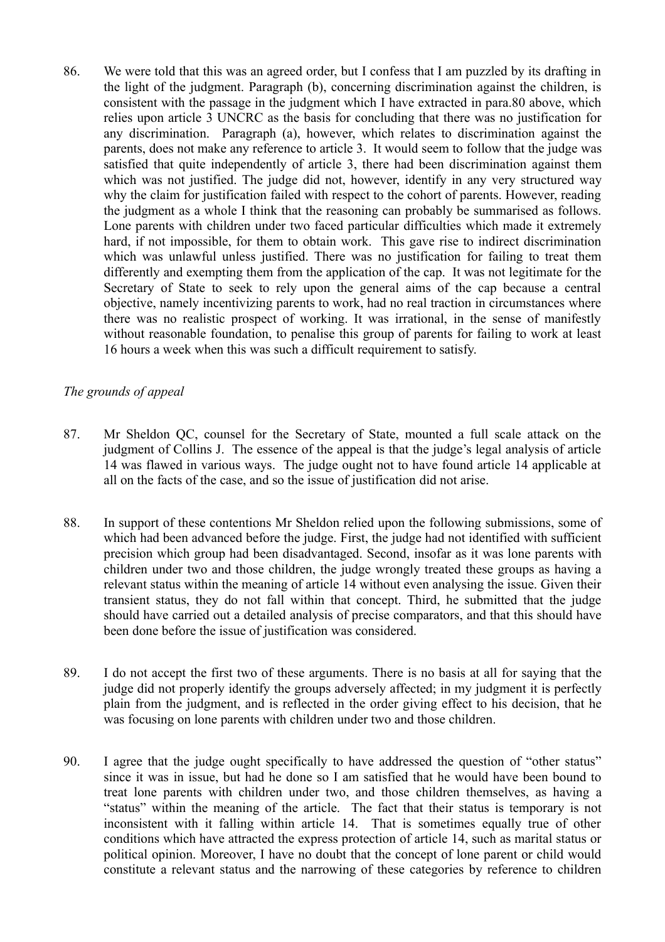86. We were told that this was an agreed order, but I confess that I am puzzled by its drafting in the light of the judgment. Paragraph (b), concerning discrimination against the children, is consistent with the passage in the judgment which I have extracted in para.80 above, which relies upon article 3 UNCRC as the basis for concluding that there was no justification for any discrimination. Paragraph (a), however, which relates to discrimination against the parents, does not make any reference to article 3. It would seem to follow that the judge was satisfied that quite independently of article 3, there had been discrimination against them which was not justified. The judge did not, however, identify in any very structured way why the claim for justification failed with respect to the cohort of parents. However, reading the judgment as a whole I think that the reasoning can probably be summarised as follows. Lone parents with children under two faced particular difficulties which made it extremely hard, if not impossible, for them to obtain work. This gave rise to indirect discrimination which was unlawful unless justified. There was no justification for failing to treat them differently and exempting them from the application of the cap. It was not legitimate for the Secretary of State to seek to rely upon the general aims of the cap because a central objective, namely incentivizing parents to work, had no real traction in circumstances where there was no realistic prospect of working. It was irrational, in the sense of manifestly without reasonable foundation, to penalise this group of parents for failing to work at least 16 hours a week when this was such a difficult requirement to satisfy.

# *The grounds of appeal*

- 87. Mr Sheldon QC, counsel for the Secretary of State, mounted a full scale attack on the judgment of Collins J. The essence of the appeal is that the judge's legal analysis of article 14 was flawed in various ways. The judge ought not to have found article 14 applicable at all on the facts of the case, and so the issue of justification did not arise.
- 88. In support of these contentions Mr Sheldon relied upon the following submissions, some of which had been advanced before the judge. First, the judge had not identified with sufficient precision which group had been disadvantaged. Second, insofar as it was lone parents with children under two and those children, the judge wrongly treated these groups as having a relevant status within the meaning of article 14 without even analysing the issue. Given their transient status, they do not fall within that concept. Third, he submitted that the judge should have carried out a detailed analysis of precise comparators, and that this should have been done before the issue of justification was considered.
- 89. I do not accept the first two of these arguments. There is no basis at all for saying that the judge did not properly identify the groups adversely affected; in my judgment it is perfectly plain from the judgment, and is reflected in the order giving effect to his decision, that he was focusing on lone parents with children under two and those children.
- 90. I agree that the judge ought specifically to have addressed the question of "other status" since it was in issue, but had he done so I am satisfied that he would have been bound to treat lone parents with children under two, and those children themselves, as having a "status" within the meaning of the article. The fact that their status is temporary is not inconsistent with it falling within article 14. That is sometimes equally true of other conditions which have attracted the express protection of article 14, such as marital status or political opinion. Moreover, I have no doubt that the concept of lone parent or child would constitute a relevant status and the narrowing of these categories by reference to children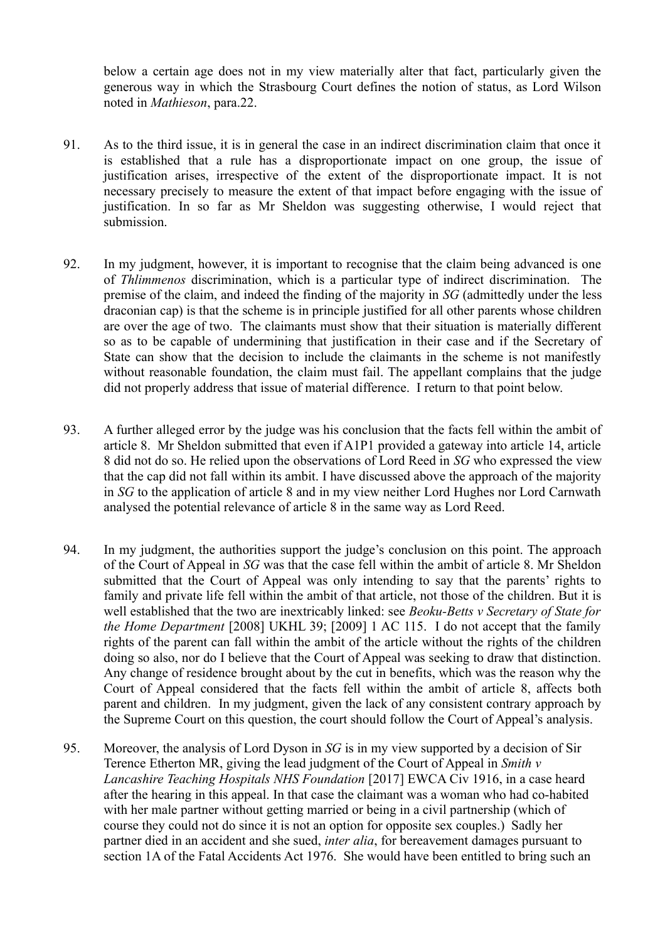below a certain age does not in my view materially alter that fact, particularly given the generous way in which the Strasbourg Court defines the notion of status, as Lord Wilson noted in *Mathieson*, para.22.

- 91. As to the third issue, it is in general the case in an indirect discrimination claim that once it is established that a rule has a disproportionate impact on one group, the issue of justification arises, irrespective of the extent of the disproportionate impact. It is not necessary precisely to measure the extent of that impact before engaging with the issue of justification. In so far as Mr Sheldon was suggesting otherwise. I would reject that submission.
- 92. In my judgment, however, it is important to recognise that the claim being advanced is one of *Thlimmenos* discrimination, which is a particular type of indirect discrimination. The premise of the claim, and indeed the finding of the majority in *SG* (admittedly under the less draconian cap) is that the scheme is in principle justified for all other parents whose children are over the age of two. The claimants must show that their situation is materially different so as to be capable of undermining that justification in their case and if the Secretary of State can show that the decision to include the claimants in the scheme is not manifestly without reasonable foundation, the claim must fail. The appellant complains that the judge did not properly address that issue of material difference. I return to that point below.
- 93. A further alleged error by the judge was his conclusion that the facts fell within the ambit of article 8. Mr Sheldon submitted that even if A1P1 provided a gateway into article 14, article 8 did not do so. He relied upon the observations of Lord Reed in *SG* who expressed the view that the cap did not fall within its ambit. I have discussed above the approach of the majority in *SG* to the application of article 8 and in my view neither Lord Hughes nor Lord Carnwath analysed the potential relevance of article 8 in the same way as Lord Reed.
- 94. In my judgment, the authorities support the judge's conclusion on this point. The approach of the Court of Appeal in *SG* was that the case fell within the ambit of article 8. Mr Sheldon submitted that the Court of Appeal was only intending to say that the parents' rights to family and private life fell within the ambit of that article, not those of the children. But it is well established that the two are inextricably linked: see *Beoku-Betts v Secretary of State for the Home Department* [2008] UKHL 39; [2009] 1 AC 115. I do not accept that the family rights of the parent can fall within the ambit of the article without the rights of the children doing so also, nor do I believe that the Court of Appeal was seeking to draw that distinction. Any change of residence brought about by the cut in benefits, which was the reason why the Court of Appeal considered that the facts fell within the ambit of article 8, affects both parent and children. In my judgment, given the lack of any consistent contrary approach by the Supreme Court on this question, the court should follow the Court of Appeal's analysis.
- 95. Moreover, the analysis of Lord Dyson in *SG* is in my view supported by a decision of Sir Terence Etherton MR, giving the lead judgment of the Court of Appeal in *Smith v Lancashire Teaching Hospitals NHS Foundation* [2017] EWCA Civ 1916, in a case heard after the hearing in this appeal. In that case the claimant was a woman who had co-habited with her male partner without getting married or being in a civil partnership (which of course they could not do since it is not an option for opposite sex couples.) Sadly her partner died in an accident and she sued, *inter alia*, for bereavement damages pursuant to section 1A of the Fatal Accidents Act 1976. She would have been entitled to bring such an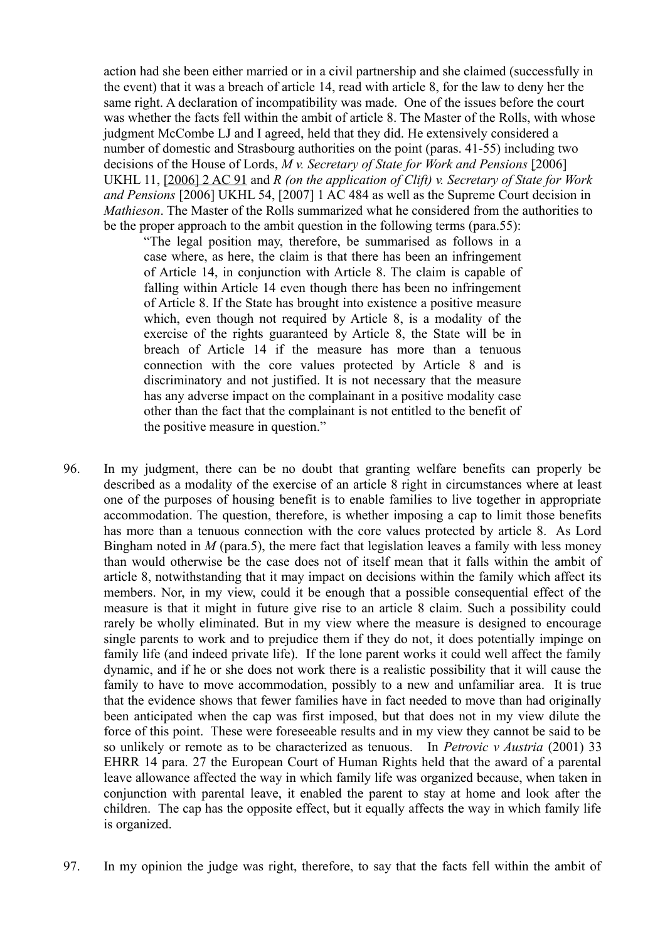action had she been either married or in a civil partnership and she claimed (successfully in the event) that it was a breach of article 14, read with article 8, for the law to deny her the same right. A declaration of incompatibility was made. One of the issues before the court was whether the facts fell within the ambit of article 8. The Master of the Rolls, with whose judgment McCombe LJ and I agreed, held that they did. He extensively considered a number of domestic and Strasbourg authorities on the point (paras. 41-55) including two decisions of the House of Lords, *M v. Secretary of State for Work and Pensions* [2006] UKHL 11, [\[2006\] 2 AC 91](http://www.bailii.org/cgi-bin/redirect.cgi?path=/uk/cases/UKHL/2006/11.html) and *R (on the application of Clift) v. Secretary of State for Work and Pensions* [2006] UKHL 54, [2007] 1 AC 484 as well as the Supreme Court decision in *Mathieson*. The Master of the Rolls summarized what he considered from the authorities to be the proper approach to the ambit question in the following terms (para.55):

"The legal position may, therefore, be summarised as follows in a case where, as here, the claim is that there has been an infringement of Article 14, in conjunction with Article 8. The claim is capable of falling within Article 14 even though there has been no infringement of Article 8. If the State has brought into existence a positive measure which, even though not required by Article 8, is a modality of the exercise of the rights guaranteed by Article 8, the State will be in breach of Article 14 if the measure has more than a tenuous connection with the core values protected by Article 8 and is discriminatory and not justified. It is not necessary that the measure has any adverse impact on the complainant in a positive modality case other than the fact that the complainant is not entitled to the benefit of the positive measure in question."

- 96. In my judgment, there can be no doubt that granting welfare benefits can properly be described as a modality of the exercise of an article 8 right in circumstances where at least one of the purposes of housing benefit is to enable families to live together in appropriate accommodation. The question, therefore, is whether imposing a cap to limit those benefits has more than a tenuous connection with the core values protected by article 8. As Lord Bingham noted in *M* (para.5), the mere fact that legislation leaves a family with less money than would otherwise be the case does not of itself mean that it falls within the ambit of article 8, notwithstanding that it may impact on decisions within the family which affect its members. Nor, in my view, could it be enough that a possible consequential effect of the measure is that it might in future give rise to an article 8 claim. Such a possibility could rarely be wholly eliminated. But in my view where the measure is designed to encourage single parents to work and to prejudice them if they do not, it does potentially impinge on family life (and indeed private life). If the lone parent works it could well affect the family dynamic, and if he or she does not work there is a realistic possibility that it will cause the family to have to move accommodation, possibly to a new and unfamiliar area. It is true that the evidence shows that fewer families have in fact needed to move than had originally been anticipated when the cap was first imposed, but that does not in my view dilute the force of this point. These were foreseeable results and in my view they cannot be said to be so unlikely or remote as to be characterized as tenuous. In *Petrovic v Austria* (2001) 33 EHRR 14 para. 27 the European Court of Human Rights held that the award of a parental leave allowance affected the way in which family life was organized because, when taken in conjunction with parental leave, it enabled the parent to stay at home and look after the children. The cap has the opposite effect, but it equally affects the way in which family life is organized.
- 97. In my opinion the judge was right, therefore, to say that the facts fell within the ambit of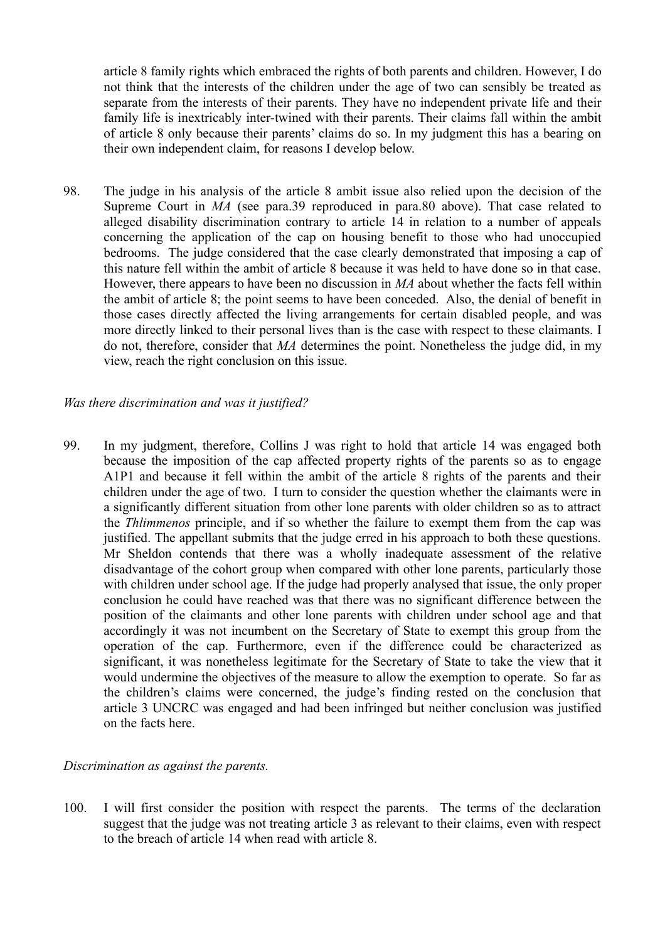article 8 family rights which embraced the rights of both parents and children. However, I do not think that the interests of the children under the age of two can sensibly be treated as separate from the interests of their parents. They have no independent private life and their family life is inextricably inter-twined with their parents. Their claims fall within the ambit of article 8 only because their parents' claims do so. In my judgment this has a bearing on their own independent claim, for reasons I develop below.

98. The judge in his analysis of the article 8 ambit issue also relied upon the decision of the Supreme Court in *MA* (see para.39 reproduced in para.80 above). That case related to alleged disability discrimination contrary to article 14 in relation to a number of appeals concerning the application of the cap on housing benefit to those who had unoccupied bedrooms. The judge considered that the case clearly demonstrated that imposing a cap of this nature fell within the ambit of article 8 because it was held to have done so in that case. However, there appears to have been no discussion in *MA* about whether the facts fell within the ambit of article 8; the point seems to have been conceded. Also, the denial of benefit in those cases directly affected the living arrangements for certain disabled people, and was more directly linked to their personal lives than is the case with respect to these claimants. I do not, therefore, consider that *MA* determines the point. Nonetheless the judge did, in my view, reach the right conclusion on this issue.

#### *Was there discrimination and was it justified?*

99. In my judgment, therefore, Collins J was right to hold that article 14 was engaged both because the imposition of the cap affected property rights of the parents so as to engage A1P1 and because it fell within the ambit of the article 8 rights of the parents and their children under the age of two. I turn to consider the question whether the claimants were in a significantly different situation from other lone parents with older children so as to attract the *Thlimmenos* principle, and if so whether the failure to exempt them from the cap was justified. The appellant submits that the judge erred in his approach to both these questions. Mr Sheldon contends that there was a wholly inadequate assessment of the relative disadvantage of the cohort group when compared with other lone parents, particularly those with children under school age. If the judge had properly analysed that issue, the only proper conclusion he could have reached was that there was no significant difference between the position of the claimants and other lone parents with children under school age and that accordingly it was not incumbent on the Secretary of State to exempt this group from the operation of the cap. Furthermore, even if the difference could be characterized as significant, it was nonetheless legitimate for the Secretary of State to take the view that it would undermine the objectives of the measure to allow the exemption to operate. So far as the children's claims were concerned, the judge's finding rested on the conclusion that article 3 UNCRC was engaged and had been infringed but neither conclusion was justified on the facts here.

#### *Discrimination as against the parents.*

100. I will first consider the position with respect the parents. The terms of the declaration suggest that the judge was not treating article 3 as relevant to their claims, even with respect to the breach of article 14 when read with article 8.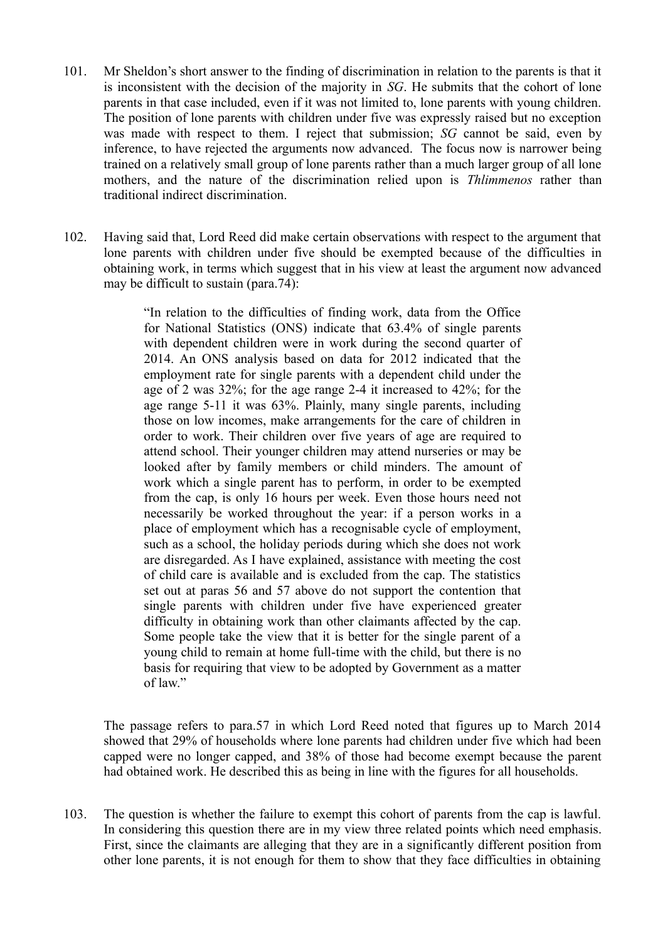- 101. Mr Sheldon's short answer to the finding of discrimination in relation to the parents is that it is inconsistent with the decision of the majority in *SG*. He submits that the cohort of lone parents in that case included, even if it was not limited to, lone parents with young children. The position of lone parents with children under five was expressly raised but no exception was made with respect to them. I reject that submission; *SG* cannot be said, even by inference, to have rejected the arguments now advanced. The focus now is narrower being trained on a relatively small group of lone parents rather than a much larger group of all lone mothers, and the nature of the discrimination relied upon is *Thlimmenos* rather than traditional indirect discrimination.
- 102. Having said that, Lord Reed did make certain observations with respect to the argument that lone parents with children under five should be exempted because of the difficulties in obtaining work, in terms which suggest that in his view at least the argument now advanced may be difficult to sustain (para.74):

"In relation to the difficulties of finding work, data from the Office for National Statistics (ONS) indicate that 63.4% of single parents with dependent children were in work during the second quarter of 2014. An ONS analysis based on data for 2012 indicated that the employment rate for single parents with a dependent child under the age of 2 was 32%; for the age range 2-4 it increased to 42%; for the age range 5-11 it was 63%. Plainly, many single parents, including those on low incomes, make arrangements for the care of children in order to work. Their children over five years of age are required to attend school. Their younger children may attend nurseries or may be looked after by family members or child minders. The amount of work which a single parent has to perform, in order to be exempted from the cap, is only 16 hours per week. Even those hours need not necessarily be worked throughout the year: if a person works in a place of employment which has a recognisable cycle of employment, such as a school, the holiday periods during which she does not work are disregarded. As I have explained, assistance with meeting the cost of child care is available and is excluded from the cap. The statistics set out at paras 56 and 57 above do not support the contention that single parents with children under five have experienced greater difficulty in obtaining work than other claimants affected by the cap. Some people take the view that it is better for the single parent of a young child to remain at home full-time with the child, but there is no basis for requiring that view to be adopted by Government as a matter of law."

The passage refers to para.57 in which Lord Reed noted that figures up to March 2014 showed that 29% of households where lone parents had children under five which had been capped were no longer capped, and 38% of those had become exempt because the parent had obtained work. He described this as being in line with the figures for all households.

103. The question is whether the failure to exempt this cohort of parents from the cap is lawful. In considering this question there are in my view three related points which need emphasis. First, since the claimants are alleging that they are in a significantly different position from other lone parents, it is not enough for them to show that they face difficulties in obtaining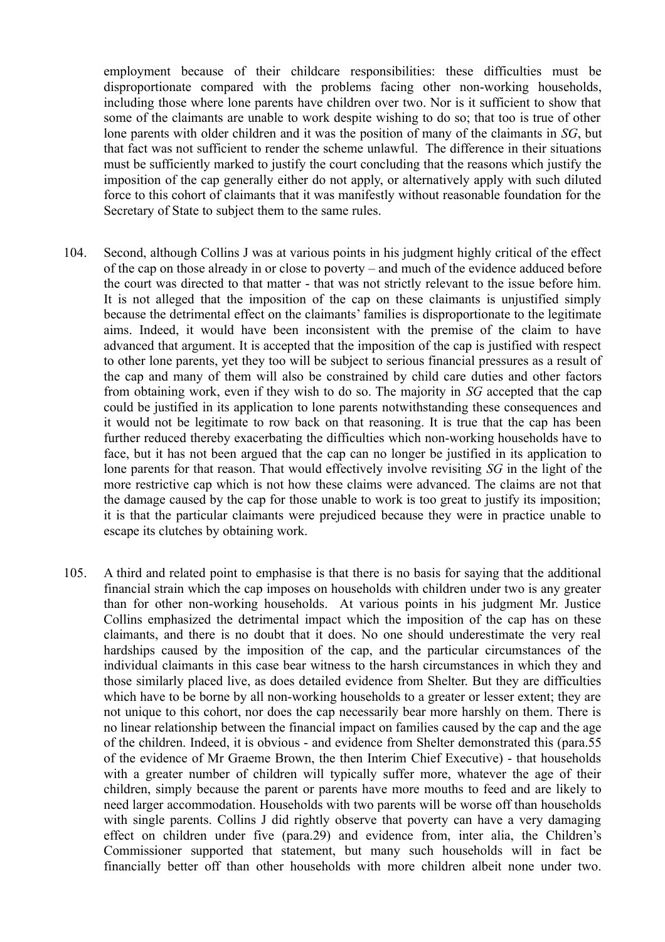employment because of their childcare responsibilities: these difficulties must be disproportionate compared with the problems facing other non-working households, including those where lone parents have children over two. Nor is it sufficient to show that some of the claimants are unable to work despite wishing to do so; that too is true of other lone parents with older children and it was the position of many of the claimants in *SG*, but that fact was not sufficient to render the scheme unlawful. The difference in their situations must be sufficiently marked to justify the court concluding that the reasons which justify the imposition of the cap generally either do not apply, or alternatively apply with such diluted force to this cohort of claimants that it was manifestly without reasonable foundation for the Secretary of State to subject them to the same rules.

- 104. Second, although Collins J was at various points in his judgment highly critical of the effect of the cap on those already in or close to poverty – and much of the evidence adduced before the court was directed to that matter - that was not strictly relevant to the issue before him. It is not alleged that the imposition of the cap on these claimants is unjustified simply because the detrimental effect on the claimants' families is disproportionate to the legitimate aims. Indeed, it would have been inconsistent with the premise of the claim to have advanced that argument. It is accepted that the imposition of the cap is justified with respect to other lone parents, yet they too will be subject to serious financial pressures as a result of the cap and many of them will also be constrained by child care duties and other factors from obtaining work, even if they wish to do so. The majority in *SG* accepted that the cap could be justified in its application to lone parents notwithstanding these consequences and it would not be legitimate to row back on that reasoning. It is true that the cap has been further reduced thereby exacerbating the difficulties which non-working households have to face, but it has not been argued that the cap can no longer be justified in its application to lone parents for that reason. That would effectively involve revisiting *SG* in the light of the more restrictive cap which is not how these claims were advanced. The claims are not that the damage caused by the cap for those unable to work is too great to justify its imposition; it is that the particular claimants were prejudiced because they were in practice unable to escape its clutches by obtaining work.
- 105. A third and related point to emphasise is that there is no basis for saying that the additional financial strain which the cap imposes on households with children under two is any greater than for other non-working households. At various points in his judgment Mr. Justice Collins emphasized the detrimental impact which the imposition of the cap has on these claimants, and there is no doubt that it does. No one should underestimate the very real hardships caused by the imposition of the cap, and the particular circumstances of the individual claimants in this case bear witness to the harsh circumstances in which they and those similarly placed live, as does detailed evidence from Shelter. But they are difficulties which have to be borne by all non-working households to a greater or lesser extent; they are not unique to this cohort, nor does the cap necessarily bear more harshly on them. There is no linear relationship between the financial impact on families caused by the cap and the age of the children. Indeed, it is obvious - and evidence from Shelter demonstrated this (para.55 of the evidence of Mr Graeme Brown, the then Interim Chief Executive) - that households with a greater number of children will typically suffer more, whatever the age of their children, simply because the parent or parents have more mouths to feed and are likely to need larger accommodation. Households with two parents will be worse off than households with single parents. Collins J did rightly observe that poverty can have a very damaging effect on children under five (para.29) and evidence from, inter alia, the Children's Commissioner supported that statement, but many such households will in fact be financially better off than other households with more children albeit none under two.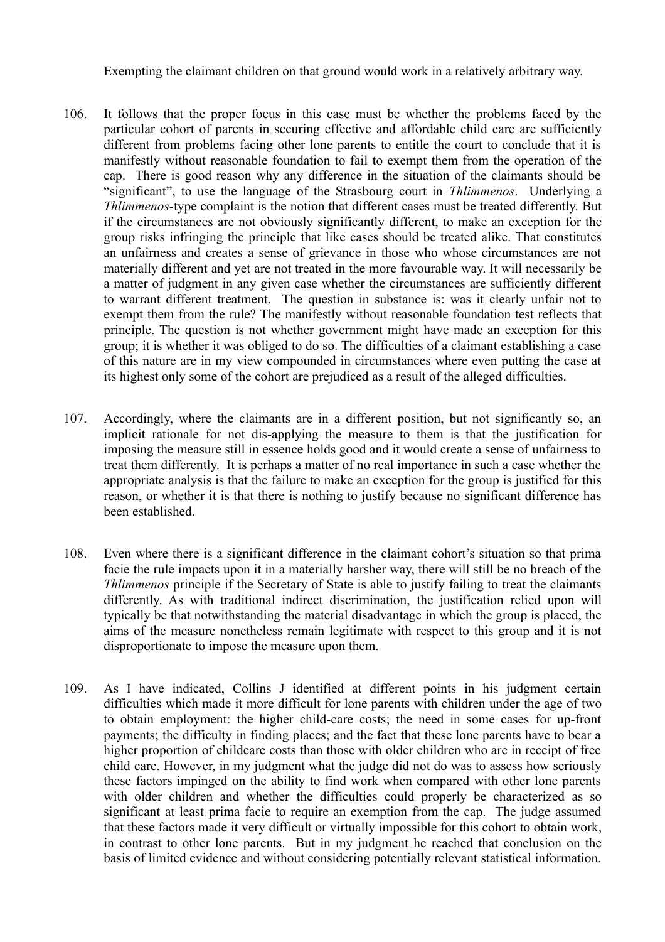Exempting the claimant children on that ground would work in a relatively arbitrary way.

- 106. It follows that the proper focus in this case must be whether the problems faced by the particular cohort of parents in securing effective and affordable child care are sufficiently different from problems facing other lone parents to entitle the court to conclude that it is manifestly without reasonable foundation to fail to exempt them from the operation of the cap. There is good reason why any difference in the situation of the claimants should be "significant", to use the language of the Strasbourg court in *Thlimmenos*. Underlying a *Thlimmenos*-type complaint is the notion that different cases must be treated differently. But if the circumstances are not obviously significantly different, to make an exception for the group risks infringing the principle that like cases should be treated alike. That constitutes an unfairness and creates a sense of grievance in those who whose circumstances are not materially different and yet are not treated in the more favourable way. It will necessarily be a matter of judgment in any given case whether the circumstances are sufficiently different to warrant different treatment. The question in substance is: was it clearly unfair not to exempt them from the rule? The manifestly without reasonable foundation test reflects that principle. The question is not whether government might have made an exception for this group; it is whether it was obliged to do so. The difficulties of a claimant establishing a case of this nature are in my view compounded in circumstances where even putting the case at its highest only some of the cohort are prejudiced as a result of the alleged difficulties.
- 107. Accordingly, where the claimants are in a different position, but not significantly so, an implicit rationale for not dis-applying the measure to them is that the justification for imposing the measure still in essence holds good and it would create a sense of unfairness to treat them differently. It is perhaps a matter of no real importance in such a case whether the appropriate analysis is that the failure to make an exception for the group is justified for this reason, or whether it is that there is nothing to justify because no significant difference has been established.
- 108. Even where there is a significant difference in the claimant cohort's situation so that prima facie the rule impacts upon it in a materially harsher way, there will still be no breach of the *Thlimmenos* principle if the Secretary of State is able to justify failing to treat the claimants differently. As with traditional indirect discrimination, the justification relied upon will typically be that notwithstanding the material disadvantage in which the group is placed, the aims of the measure nonetheless remain legitimate with respect to this group and it is not disproportionate to impose the measure upon them.
- 109. As I have indicated, Collins J identified at different points in his judgment certain difficulties which made it more difficult for lone parents with children under the age of two to obtain employment: the higher child-care costs; the need in some cases for up-front payments; the difficulty in finding places; and the fact that these lone parents have to bear a higher proportion of childcare costs than those with older children who are in receipt of free child care. However, in my judgment what the judge did not do was to assess how seriously these factors impinged on the ability to find work when compared with other lone parents with older children and whether the difficulties could properly be characterized as so significant at least prima facie to require an exemption from the cap. The judge assumed that these factors made it very difficult or virtually impossible for this cohort to obtain work, in contrast to other lone parents. But in my judgment he reached that conclusion on the basis of limited evidence and without considering potentially relevant statistical information.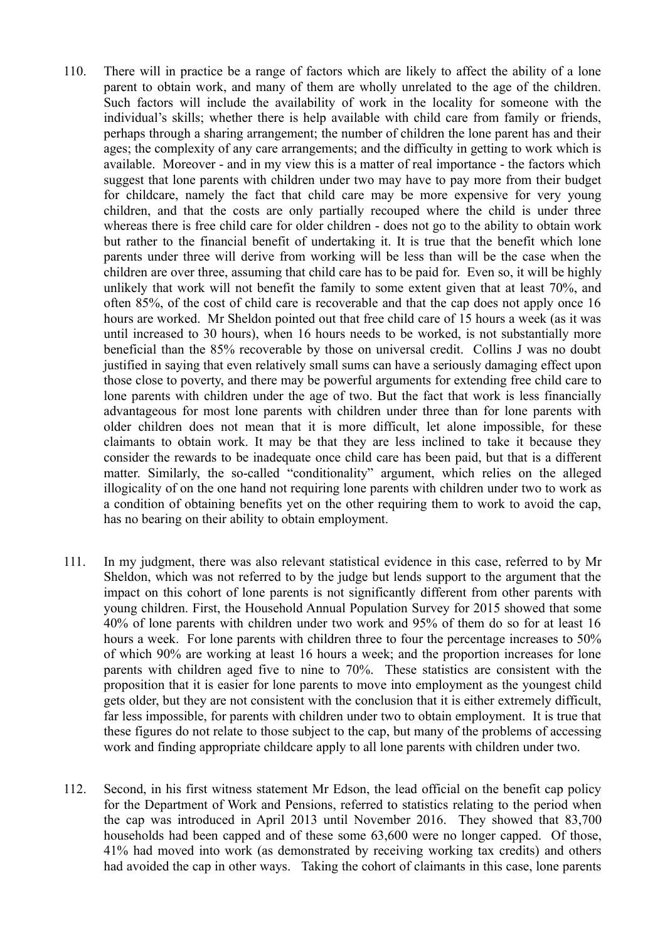- 110. There will in practice be a range of factors which are likely to affect the ability of a lone parent to obtain work, and many of them are wholly unrelated to the age of the children. Such factors will include the availability of work in the locality for someone with the individual's skills; whether there is help available with child care from family or friends, perhaps through a sharing arrangement; the number of children the lone parent has and their ages; the complexity of any care arrangements; and the difficulty in getting to work which is available. Moreover - and in my view this is a matter of real importance - the factors which suggest that lone parents with children under two may have to pay more from their budget for childcare, namely the fact that child care may be more expensive for very young children, and that the costs are only partially recouped where the child is under three whereas there is free child care for older children - does not go to the ability to obtain work but rather to the financial benefit of undertaking it. It is true that the benefit which lone parents under three will derive from working will be less than will be the case when the children are over three, assuming that child care has to be paid for. Even so, it will be highly unlikely that work will not benefit the family to some extent given that at least 70%, and often 85%, of the cost of child care is recoverable and that the cap does not apply once 16 hours are worked. Mr Sheldon pointed out that free child care of 15 hours a week (as it was until increased to 30 hours), when 16 hours needs to be worked, is not substantially more beneficial than the 85% recoverable by those on universal credit. Collins J was no doubt justified in saying that even relatively small sums can have a seriously damaging effect upon those close to poverty, and there may be powerful arguments for extending free child care to lone parents with children under the age of two. But the fact that work is less financially advantageous for most lone parents with children under three than for lone parents with older children does not mean that it is more difficult, let alone impossible, for these claimants to obtain work. It may be that they are less inclined to take it because they consider the rewards to be inadequate once child care has been paid, but that is a different matter. Similarly, the so-called "conditionality" argument, which relies on the alleged illogicality of on the one hand not requiring lone parents with children under two to work as a condition of obtaining benefits yet on the other requiring them to work to avoid the cap, has no bearing on their ability to obtain employment.
- 111. In my judgment, there was also relevant statistical evidence in this case, referred to by Mr Sheldon, which was not referred to by the judge but lends support to the argument that the impact on this cohort of lone parents is not significantly different from other parents with young children. First, the Household Annual Population Survey for 2015 showed that some 40% of lone parents with children under two work and 95% of them do so for at least 16 hours a week. For lone parents with children three to four the percentage increases to 50% of which 90% are working at least 16 hours a week; and the proportion increases for lone parents with children aged five to nine to 70%. These statistics are consistent with the proposition that it is easier for lone parents to move into employment as the youngest child gets older, but they are not consistent with the conclusion that it is either extremely difficult, far less impossible, for parents with children under two to obtain employment. It is true that these figures do not relate to those subject to the cap, but many of the problems of accessing work and finding appropriate childcare apply to all lone parents with children under two.
- 112. Second, in his first witness statement Mr Edson, the lead official on the benefit cap policy for the Department of Work and Pensions, referred to statistics relating to the period when the cap was introduced in April 2013 until November 2016. They showed that 83,700 households had been capped and of these some 63,600 were no longer capped. Of those, 41% had moved into work (as demonstrated by receiving working tax credits) and others had avoided the cap in other ways. Taking the cohort of claimants in this case, lone parents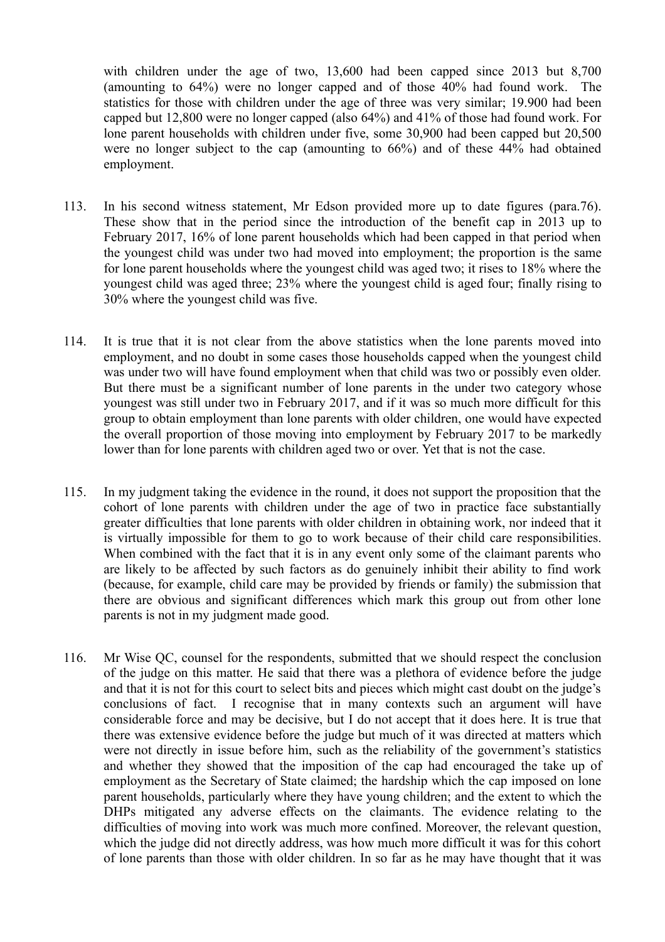with children under the age of two, 13,600 had been capped since 2013 but 8,700 (amounting to 64%) were no longer capped and of those 40% had found work. The statistics for those with children under the age of three was very similar; 19.900 had been capped but 12,800 were no longer capped (also 64%) and 41% of those had found work. For lone parent households with children under five, some 30,900 had been capped but 20,500 were no longer subject to the cap (amounting to 66%) and of these 44% had obtained employment.

- 113. In his second witness statement, Mr Edson provided more up to date figures (para.76). These show that in the period since the introduction of the benefit cap in 2013 up to February 2017, 16% of lone parent households which had been capped in that period when the youngest child was under two had moved into employment; the proportion is the same for lone parent households where the youngest child was aged two; it rises to 18% where the youngest child was aged three; 23% where the youngest child is aged four; finally rising to 30% where the youngest child was five.
- 114. It is true that it is not clear from the above statistics when the lone parents moved into employment, and no doubt in some cases those households capped when the youngest child was under two will have found employment when that child was two or possibly even older. But there must be a significant number of lone parents in the under two category whose youngest was still under two in February 2017, and if it was so much more difficult for this group to obtain employment than lone parents with older children, one would have expected the overall proportion of those moving into employment by February 2017 to be markedly lower than for lone parents with children aged two or over. Yet that is not the case.
- 115. In my judgment taking the evidence in the round, it does not support the proposition that the cohort of lone parents with children under the age of two in practice face substantially greater difficulties that lone parents with older children in obtaining work, nor indeed that it is virtually impossible for them to go to work because of their child care responsibilities. When combined with the fact that it is in any event only some of the claimant parents who are likely to be affected by such factors as do genuinely inhibit their ability to find work (because, for example, child care may be provided by friends or family) the submission that there are obvious and significant differences which mark this group out from other lone parents is not in my judgment made good.
- 116. Mr Wise QC, counsel for the respondents, submitted that we should respect the conclusion of the judge on this matter. He said that there was a plethora of evidence before the judge and that it is not for this court to select bits and pieces which might cast doubt on the judge's conclusions of fact. I recognise that in many contexts such an argument will have considerable force and may be decisive, but I do not accept that it does here. It is true that there was extensive evidence before the judge but much of it was directed at matters which were not directly in issue before him, such as the reliability of the government's statistics and whether they showed that the imposition of the cap had encouraged the take up of employment as the Secretary of State claimed; the hardship which the cap imposed on lone parent households, particularly where they have young children; and the extent to which the DHPs mitigated any adverse effects on the claimants. The evidence relating to the difficulties of moving into work was much more confined. Moreover, the relevant question, which the judge did not directly address, was how much more difficult it was for this cohort of lone parents than those with older children. In so far as he may have thought that it was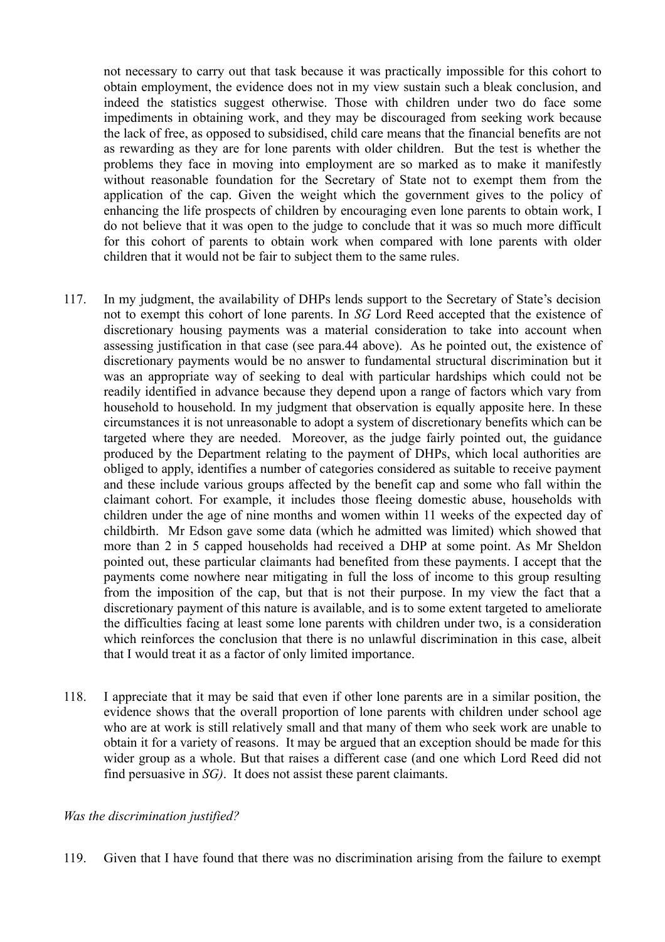not necessary to carry out that task because it was practically impossible for this cohort to obtain employment, the evidence does not in my view sustain such a bleak conclusion, and indeed the statistics suggest otherwise. Those with children under two do face some impediments in obtaining work, and they may be discouraged from seeking work because the lack of free, as opposed to subsidised, child care means that the financial benefits are not as rewarding as they are for lone parents with older children. But the test is whether the problems they face in moving into employment are so marked as to make it manifestly without reasonable foundation for the Secretary of State not to exempt them from the application of the cap. Given the weight which the government gives to the policy of enhancing the life prospects of children by encouraging even lone parents to obtain work, I do not believe that it was open to the judge to conclude that it was so much more difficult for this cohort of parents to obtain work when compared with lone parents with older children that it would not be fair to subject them to the same rules.

- 117. In my judgment, the availability of DHPs lends support to the Secretary of State's decision not to exempt this cohort of lone parents. In *SG* Lord Reed accepted that the existence of discretionary housing payments was a material consideration to take into account when assessing justification in that case (see para.44 above). As he pointed out, the existence of discretionary payments would be no answer to fundamental structural discrimination but it was an appropriate way of seeking to deal with particular hardships which could not be readily identified in advance because they depend upon a range of factors which vary from household to household. In my judgment that observation is equally apposite here. In these circumstances it is not unreasonable to adopt a system of discretionary benefits which can be targeted where they are needed. Moreover, as the judge fairly pointed out, the guidance produced by the Department relating to the payment of DHPs, which local authorities are obliged to apply, identifies a number of categories considered as suitable to receive payment and these include various groups affected by the benefit cap and some who fall within the claimant cohort. For example, it includes those fleeing domestic abuse, households with children under the age of nine months and women within 11 weeks of the expected day of childbirth. Mr Edson gave some data (which he admitted was limited) which showed that more than 2 in 5 capped households had received a DHP at some point. As Mr Sheldon pointed out, these particular claimants had benefited from these payments. I accept that the payments come nowhere near mitigating in full the loss of income to this group resulting from the imposition of the cap, but that is not their purpose. In my view the fact that a discretionary payment of this nature is available, and is to some extent targeted to ameliorate the difficulties facing at least some lone parents with children under two, is a consideration which reinforces the conclusion that there is no unlawful discrimination in this case, albeit that I would treat it as a factor of only limited importance.
- 118. I appreciate that it may be said that even if other lone parents are in a similar position, the evidence shows that the overall proportion of lone parents with children under school age who are at work is still relatively small and that many of them who seek work are unable to obtain it for a variety of reasons. It may be argued that an exception should be made for this wider group as a whole. But that raises a different case (and one which Lord Reed did not find persuasive in *SG)*. It does not assist these parent claimants.

#### *Was the discrimination justified?*

119. Given that I have found that there was no discrimination arising from the failure to exempt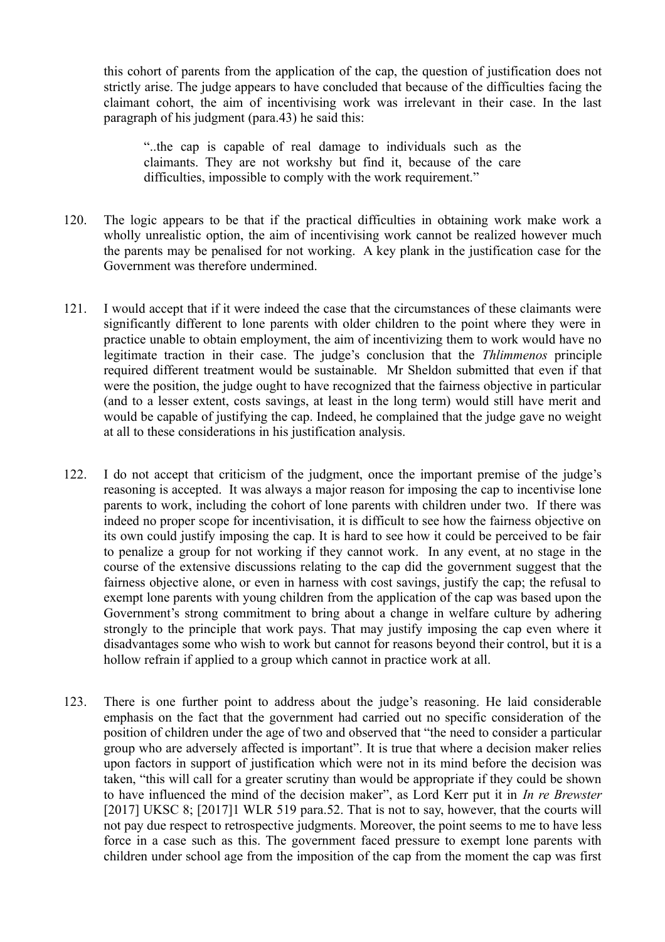this cohort of parents from the application of the cap, the question of justification does not strictly arise. The judge appears to have concluded that because of the difficulties facing the claimant cohort, the aim of incentivising work was irrelevant in their case. In the last paragraph of his judgment (para.43) he said this:

"..the cap is capable of real damage to individuals such as the claimants. They are not workshy but find it, because of the care difficulties, impossible to comply with the work requirement."

- 120. The logic appears to be that if the practical difficulties in obtaining work make work a wholly unrealistic option, the aim of incentivising work cannot be realized however much the parents may be penalised for not working. A key plank in the justification case for the Government was therefore undermined.
- 121. I would accept that if it were indeed the case that the circumstances of these claimants were significantly different to lone parents with older children to the point where they were in practice unable to obtain employment, the aim of incentivizing them to work would have no legitimate traction in their case. The judge's conclusion that the *Thlimmenos* principle required different treatment would be sustainable. Mr Sheldon submitted that even if that were the position, the judge ought to have recognized that the fairness objective in particular (and to a lesser extent, costs savings, at least in the long term) would still have merit and would be capable of justifying the cap. Indeed, he complained that the judge gave no weight at all to these considerations in his justification analysis.
- 122. I do not accept that criticism of the judgment, once the important premise of the judge's reasoning is accepted. It was always a major reason for imposing the cap to incentivise lone parents to work, including the cohort of lone parents with children under two. If there was indeed no proper scope for incentivisation, it is difficult to see how the fairness objective on its own could justify imposing the cap. It is hard to see how it could be perceived to be fair to penalize a group for not working if they cannot work. In any event, at no stage in the course of the extensive discussions relating to the cap did the government suggest that the fairness objective alone, or even in harness with cost savings, justify the cap; the refusal to exempt lone parents with young children from the application of the cap was based upon the Government's strong commitment to bring about a change in welfare culture by adhering strongly to the principle that work pays. That may justify imposing the cap even where it disadvantages some who wish to work but cannot for reasons beyond their control, but it is a hollow refrain if applied to a group which cannot in practice work at all.
- 123. There is one further point to address about the judge's reasoning. He laid considerable emphasis on the fact that the government had carried out no specific consideration of the position of children under the age of two and observed that "the need to consider a particular group who are adversely affected is important". It is true that where a decision maker relies upon factors in support of justification which were not in its mind before the decision was taken, "this will call for a greater scrutiny than would be appropriate if they could be shown to have influenced the mind of the decision maker", as Lord Kerr put it in *In re Brewster* [2017] UKSC 8; [2017]1 WLR 519 para.52. That is not to say, however, that the courts will not pay due respect to retrospective judgments. Moreover, the point seems to me to have less force in a case such as this. The government faced pressure to exempt lone parents with children under school age from the imposition of the cap from the moment the cap was first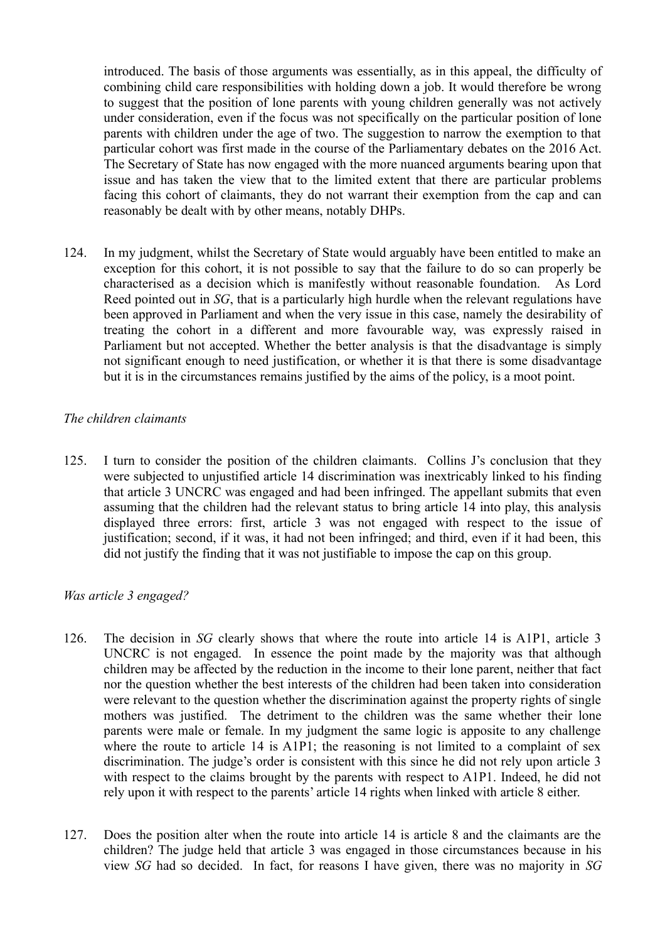introduced. The basis of those arguments was essentially, as in this appeal, the difficulty of combining child care responsibilities with holding down a job. It would therefore be wrong to suggest that the position of lone parents with young children generally was not actively under consideration, even if the focus was not specifically on the particular position of lone parents with children under the age of two. The suggestion to narrow the exemption to that particular cohort was first made in the course of the Parliamentary debates on the 2016 Act. The Secretary of State has now engaged with the more nuanced arguments bearing upon that issue and has taken the view that to the limited extent that there are particular problems facing this cohort of claimants, they do not warrant their exemption from the cap and can reasonably be dealt with by other means, notably DHPs.

124. In my judgment, whilst the Secretary of State would arguably have been entitled to make an exception for this cohort, it is not possible to say that the failure to do so can properly be characterised as a decision which is manifestly without reasonable foundation. As Lord Reed pointed out in *SG*, that is a particularly high hurdle when the relevant regulations have been approved in Parliament and when the very issue in this case, namely the desirability of treating the cohort in a different and more favourable way, was expressly raised in Parliament but not accepted. Whether the better analysis is that the disadvantage is simply not significant enough to need justification, or whether it is that there is some disadvantage but it is in the circumstances remains justified by the aims of the policy, is a moot point.

#### *The children claimants*

125. I turn to consider the position of the children claimants. Collins J's conclusion that they were subjected to unjustified article 14 discrimination was inextricably linked to his finding that article 3 UNCRC was engaged and had been infringed. The appellant submits that even assuming that the children had the relevant status to bring article 14 into play, this analysis displayed three errors: first, article 3 was not engaged with respect to the issue of justification; second, if it was, it had not been infringed; and third, even if it had been, this did not justify the finding that it was not justifiable to impose the cap on this group.

#### *Was article 3 engaged?*

- 126. The decision in *SG* clearly shows that where the route into article 14 is A1P1, article 3 UNCRC is not engaged. In essence the point made by the majority was that although children may be affected by the reduction in the income to their lone parent, neither that fact nor the question whether the best interests of the children had been taken into consideration were relevant to the question whether the discrimination against the property rights of single mothers was justified. The detriment to the children was the same whether their lone parents were male or female. In my judgment the same logic is apposite to any challenge where the route to article 14 is A1P1; the reasoning is not limited to a complaint of sex discrimination. The judge's order is consistent with this since he did not rely upon article 3 with respect to the claims brought by the parents with respect to A1P1. Indeed, he did not rely upon it with respect to the parents' article 14 rights when linked with article 8 either.
- 127. Does the position alter when the route into article 14 is article 8 and the claimants are the children? The judge held that article 3 was engaged in those circumstances because in his view *SG* had so decided. In fact, for reasons I have given, there was no majority in *SG*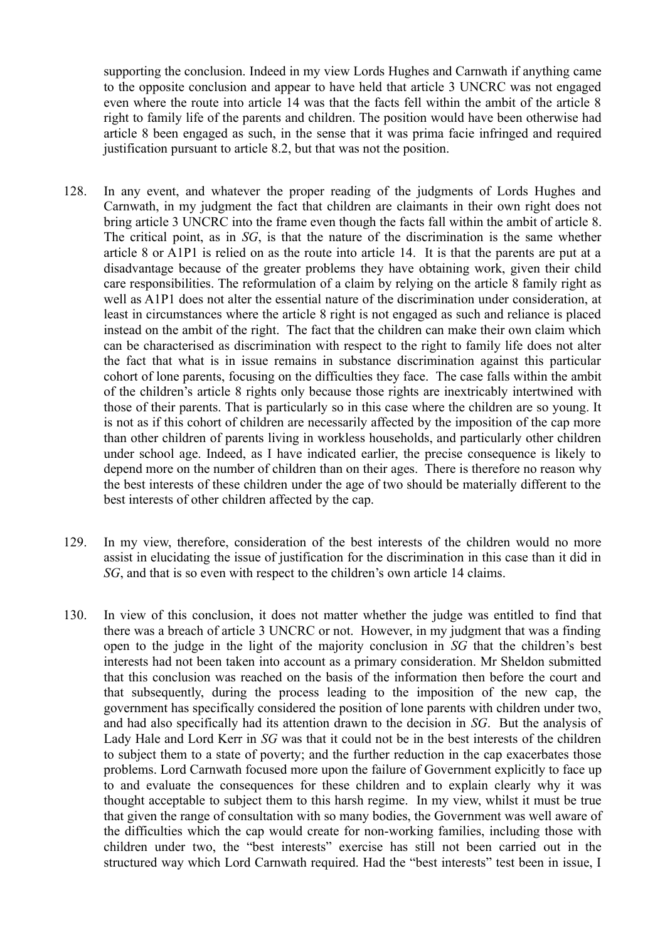supporting the conclusion. Indeed in my view Lords Hughes and Carnwath if anything came to the opposite conclusion and appear to have held that article 3 UNCRC was not engaged even where the route into article 14 was that the facts fell within the ambit of the article 8 right to family life of the parents and children. The position would have been otherwise had article 8 been engaged as such, in the sense that it was prima facie infringed and required justification pursuant to article 8.2, but that was not the position.

- 128. In any event, and whatever the proper reading of the judgments of Lords Hughes and Carnwath, in my judgment the fact that children are claimants in their own right does not bring article 3 UNCRC into the frame even though the facts fall within the ambit of article 8. The critical point, as in *SG*, is that the nature of the discrimination is the same whether article 8 or A1P1 is relied on as the route into article 14. It is that the parents are put at a disadvantage because of the greater problems they have obtaining work, given their child care responsibilities. The reformulation of a claim by relying on the article 8 family right as well as A1P1 does not alter the essential nature of the discrimination under consideration, at least in circumstances where the article 8 right is not engaged as such and reliance is placed instead on the ambit of the right. The fact that the children can make their own claim which can be characterised as discrimination with respect to the right to family life does not alter the fact that what is in issue remains in substance discrimination against this particular cohort of lone parents, focusing on the difficulties they face. The case falls within the ambit of the children's article 8 rights only because those rights are inextricably intertwined with those of their parents. That is particularly so in this case where the children are so young. It is not as if this cohort of children are necessarily affected by the imposition of the cap more than other children of parents living in workless households, and particularly other children under school age. Indeed, as I have indicated earlier, the precise consequence is likely to depend more on the number of children than on their ages. There is therefore no reason why the best interests of these children under the age of two should be materially different to the best interests of other children affected by the cap.
- 129. In my view, therefore, consideration of the best interests of the children would no more assist in elucidating the issue of justification for the discrimination in this case than it did in *SG*, and that is so even with respect to the children's own article 14 claims.
- 130. In view of this conclusion, it does not matter whether the judge was entitled to find that there was a breach of article 3 UNCRC or not. However, in my judgment that was a finding open to the judge in the light of the majority conclusion in *SG* that the children's best interests had not been taken into account as a primary consideration. Mr Sheldon submitted that this conclusion was reached on the basis of the information then before the court and that subsequently, during the process leading to the imposition of the new cap, the government has specifically considered the position of lone parents with children under two, and had also specifically had its attention drawn to the decision in *SG*. But the analysis of Lady Hale and Lord Kerr in *SG* was that it could not be in the best interests of the children to subject them to a state of poverty; and the further reduction in the cap exacerbates those problems. Lord Carnwath focused more upon the failure of Government explicitly to face up to and evaluate the consequences for these children and to explain clearly why it was thought acceptable to subject them to this harsh regime. In my view, whilst it must be true that given the range of consultation with so many bodies, the Government was well aware of the difficulties which the cap would create for non-working families, including those with children under two, the "best interests" exercise has still not been carried out in the structured way which Lord Carnwath required. Had the "best interests" test been in issue, I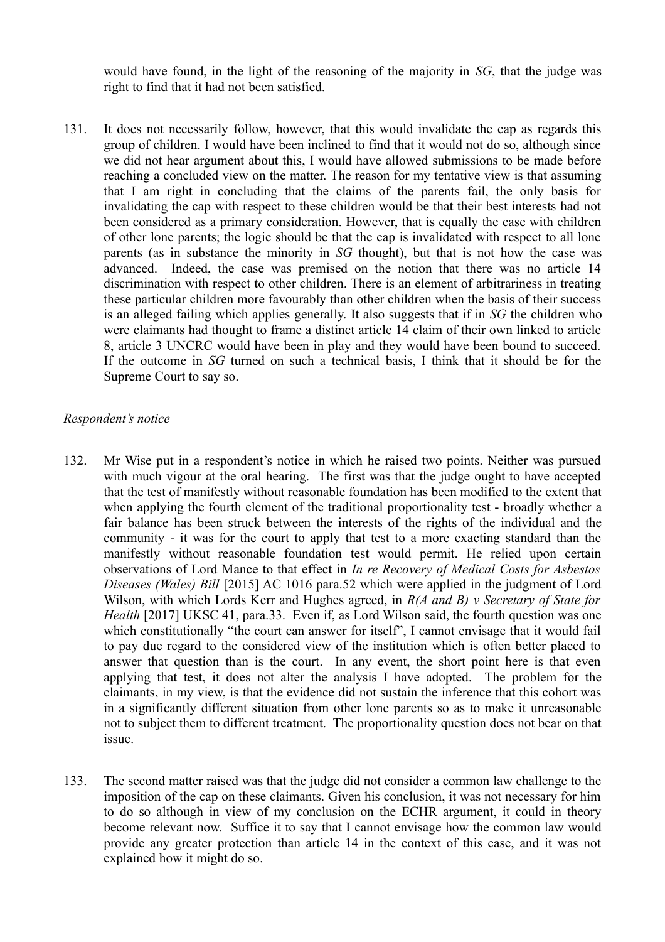would have found, in the light of the reasoning of the majority in *SG*, that the judge was right to find that it had not been satisfied.

131. It does not necessarily follow, however, that this would invalidate the cap as regards this group of children. I would have been inclined to find that it would not do so, although since we did not hear argument about this, I would have allowed submissions to be made before reaching a concluded view on the matter. The reason for my tentative view is that assuming that I am right in concluding that the claims of the parents fail, the only basis for invalidating the cap with respect to these children would be that their best interests had not been considered as a primary consideration. However, that is equally the case with children of other lone parents; the logic should be that the cap is invalidated with respect to all lone parents (as in substance the minority in *SG* thought), but that is not how the case was advanced. Indeed, the case was premised on the notion that there was no article 14 discrimination with respect to other children. There is an element of arbitrariness in treating these particular children more favourably than other children when the basis of their success is an alleged failing which applies generally. It also suggests that if in *SG* the children who were claimants had thought to frame a distinct article 14 claim of their own linked to article 8, article 3 UNCRC would have been in play and they would have been bound to succeed. If the outcome in *SG* turned on such a technical basis, I think that it should be for the Supreme Court to say so.

#### *Respondent's notice*

- 132. Mr Wise put in a respondent's notice in which he raised two points. Neither was pursued with much vigour at the oral hearing. The first was that the judge ought to have accepted that the test of manifestly without reasonable foundation has been modified to the extent that when applying the fourth element of the traditional proportionality test - broadly whether a fair balance has been struck between the interests of the rights of the individual and the community - it was for the court to apply that test to a more exacting standard than the manifestly without reasonable foundation test would permit. He relied upon certain observations of Lord Mance to that effect in *In re Recovery of Medical Costs for Asbestos Diseases (Wales) Bill* [2015] AC 1016 para.52 which were applied in the judgment of Lord Wilson, with which Lords Kerr and Hughes agreed, in *R(A and B) v Secretary of State for Health* [2017] UKSC 41, para.33. Even if, as Lord Wilson said, the fourth question was one which constitutionally "the court can answer for itself". I cannot envisage that it would fail to pay due regard to the considered view of the institution which is often better placed to answer that question than is the court. In any event, the short point here is that even applying that test, it does not alter the analysis I have adopted. The problem for the claimants, in my view, is that the evidence did not sustain the inference that this cohort was in a significantly different situation from other lone parents so as to make it unreasonable not to subject them to different treatment. The proportionality question does not bear on that issue.
- 133. The second matter raised was that the judge did not consider a common law challenge to the imposition of the cap on these claimants. Given his conclusion, it was not necessary for him to do so although in view of my conclusion on the ECHR argument, it could in theory become relevant now. Suffice it to say that I cannot envisage how the common law would provide any greater protection than article 14 in the context of this case, and it was not explained how it might do so.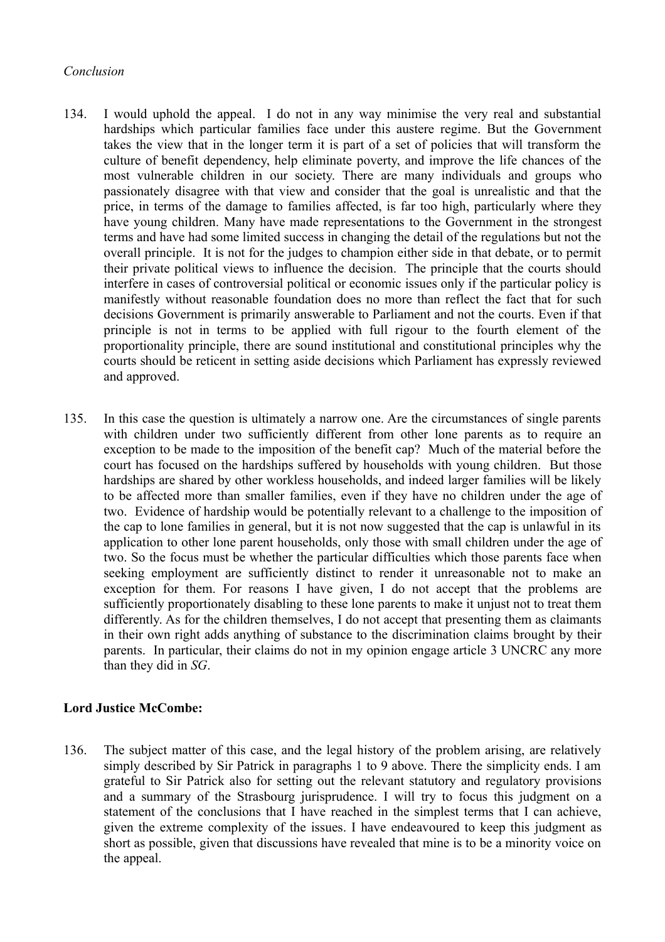#### *Conclusion*

- 134. I would uphold the appeal. I do not in any way minimise the very real and substantial hardships which particular families face under this austere regime. But the Government takes the view that in the longer term it is part of a set of policies that will transform the culture of benefit dependency, help eliminate poverty, and improve the life chances of the most vulnerable children in our society. There are many individuals and groups who passionately disagree with that view and consider that the goal is unrealistic and that the price, in terms of the damage to families affected, is far too high, particularly where they have young children. Many have made representations to the Government in the strongest terms and have had some limited success in changing the detail of the regulations but not the overall principle. It is not for the judges to champion either side in that debate, or to permit their private political views to influence the decision. The principle that the courts should interfere in cases of controversial political or economic issues only if the particular policy is manifestly without reasonable foundation does no more than reflect the fact that for such decisions Government is primarily answerable to Parliament and not the courts. Even if that principle is not in terms to be applied with full rigour to the fourth element of the proportionality principle, there are sound institutional and constitutional principles why the courts should be reticent in setting aside decisions which Parliament has expressly reviewed and approved.
- 135. In this case the question is ultimately a narrow one. Are the circumstances of single parents with children under two sufficiently different from other lone parents as to require an exception to be made to the imposition of the benefit cap? Much of the material before the court has focused on the hardships suffered by households with young children. But those hardships are shared by other workless households, and indeed larger families will be likely to be affected more than smaller families, even if they have no children under the age of two. Evidence of hardship would be potentially relevant to a challenge to the imposition of the cap to lone families in general, but it is not now suggested that the cap is unlawful in its application to other lone parent households, only those with small children under the age of two. So the focus must be whether the particular difficulties which those parents face when seeking employment are sufficiently distinct to render it unreasonable not to make an exception for them. For reasons I have given, I do not accept that the problems are sufficiently proportionately disabling to these lone parents to make it unjust not to treat them differently. As for the children themselves, I do not accept that presenting them as claimants in their own right adds anything of substance to the discrimination claims brought by their parents. In particular, their claims do not in my opinion engage article 3 UNCRC any more than they did in *SG*.

### **Lord Justice McCombe:**

136. The subject matter of this case, and the legal history of the problem arising, are relatively simply described by Sir Patrick in paragraphs 1 to 9 above. There the simplicity ends. I am grateful to Sir Patrick also for setting out the relevant statutory and regulatory provisions and a summary of the Strasbourg jurisprudence. I will try to focus this judgment on a statement of the conclusions that I have reached in the simplest terms that I can achieve, given the extreme complexity of the issues. I have endeavoured to keep this judgment as short as possible, given that discussions have revealed that mine is to be a minority voice on the appeal.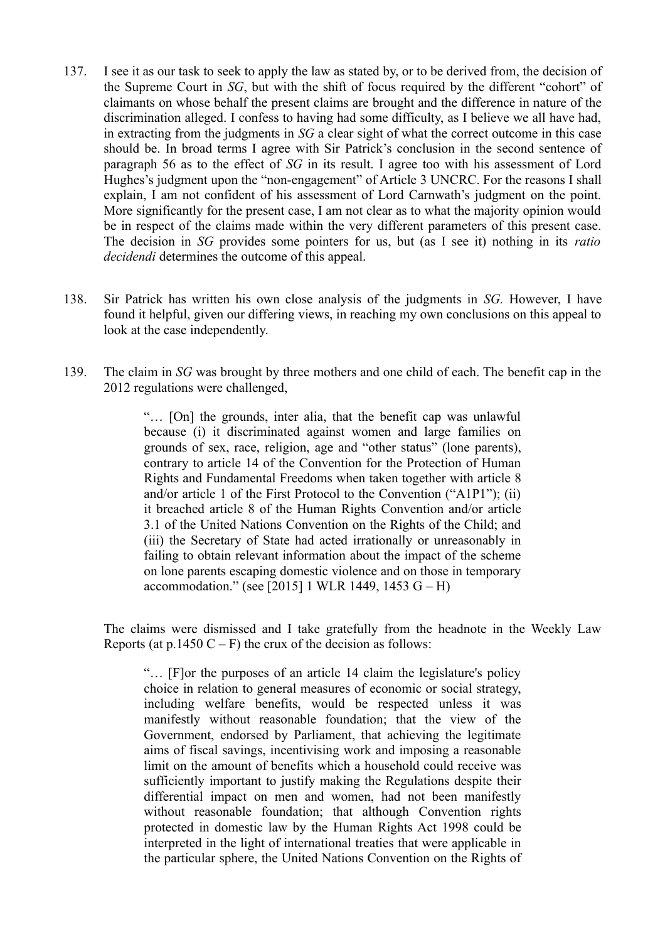- 137. I see it as our task to seek to apply the law as stated by, or to be derived from, the decision of the Supreme Court in *SG*, but with the shift of focus required by the different "cohort" of claimants on whose behalf the present claims are brought and the difference in nature of the discrimination alleged. I confess to having had some difficulty, as I believe we all have had, in extracting from the judgments in *SG* a clear sight of what the correct outcome in this case should be. In broad terms I agree with Sir Patrick's conclusion in the second sentence of paragraph 56 as to the effect of *SG* in its result. I agree too with his assessment of Lord Hughes's judgment upon the "non-engagement" of Article 3 UNCRC. For the reasons I shall explain, I am not confident of his assessment of Lord Carnwath's judgment on the point. More significantly for the present case, I am not clear as to what the majority opinion would be in respect of the claims made within the very different parameters of this present case. The decision in *SG* provides some pointers for us, but (as I see it) nothing in its *ratio decidendi* determines the outcome of this appeal.
- 138. Sir Patrick has written his own close analysis of the judgments in *SG.* However, I have found it helpful, given our differing views, in reaching my own conclusions on this appeal to look at the case independently.
- 139. The claim in *SG* was brought by three mothers and one child of each. The benefit cap in the 2012 regulations were challenged,

"… [On] the grounds, inter alia, that the benefit cap was unlawful because (i) it discriminated against women and large families on grounds of sex, race, religion, age and "other status" (lone parents), contrary to article 14 of the Convention for the Protection of Human Rights and Fundamental Freedoms when taken together with article 8 and/or article 1 of the First Protocol to the Convention ("A1P1"); (ii) it breached article 8 of the Human Rights Convention and/or article 3.1 of the United Nations Convention on the Rights of the Child; and (iii) the Secretary of State had acted irrationally or unreasonably in failing to obtain relevant information about the impact of the scheme on lone parents escaping domestic violence and on those in temporary accommodation." (see [2015] 1 WLR 1449, 1453  $G - H$ )

The claims were dismissed and I take gratefully from the headnote in the Weekly Law Reports (at  $p.1450 C - F$ ) the crux of the decision as follows:

"… [F]or the purposes of an article 14 claim the legislature's policy choice in relation to general measures of economic or social strategy, including welfare benefits, would be respected unless it was manifestly without reasonable foundation; that the view of the Government, endorsed by Parliament, that achieving the legitimate aims of fiscal savings, incentivising work and imposing a reasonable limit on the amount of benefits which a household could receive was sufficiently important to justify making the Regulations despite their differential impact on men and women, had not been manifestly without reasonable foundation; that although Convention rights protected in domestic law by the Human Rights Act 1998 could be interpreted in the light of international treaties that were applicable in the particular sphere, the United Nations Convention on the Rights of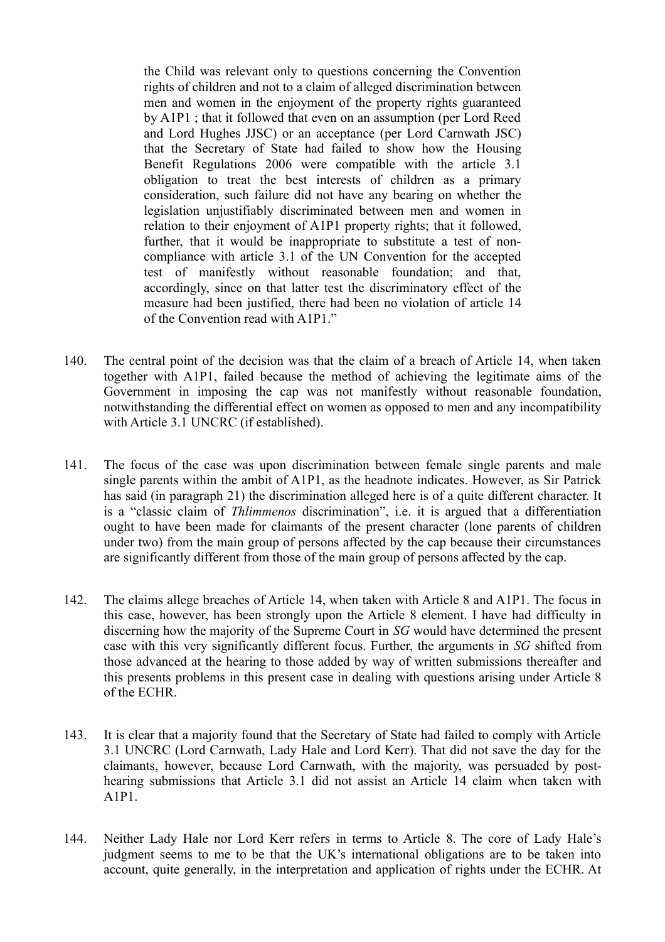the Child was relevant only to questions concerning the Convention rights of children and not to a claim of alleged discrimination between men and women in the enjoyment of the property rights guaranteed by A1P1 ; that it followed that even on an assumption (per Lord Reed and Lord Hughes JJSC) or an acceptance (per Lord Carnwath JSC) that the Secretary of State had failed to show how the Housing Benefit Regulations 2006 were compatible with the article 3.1 obligation to treat the best interests of children as a primary consideration, such failure did not have any bearing on whether the legislation unjustifiably discriminated between men and women in relation to their enjoyment of A1P1 property rights; that it followed, further, that it would be inappropriate to substitute a test of noncompliance with article 3.1 of the UN Convention for the accepted test of manifestly without reasonable foundation; and that, accordingly, since on that latter test the discriminatory effect of the measure had been justified, there had been no violation of article 14 of the Convention read with A1P1."

- 140. The central point of the decision was that the claim of a breach of Article 14, when taken together with A1P1, failed because the method of achieving the legitimate aims of the Government in imposing the cap was not manifestly without reasonable foundation, notwithstanding the differential effect on women as opposed to men and any incompatibility with Article 3.1 UNCRC (if established).
- 141. The focus of the case was upon discrimination between female single parents and male single parents within the ambit of A1P1, as the headnote indicates. However, as Sir Patrick has said (in paragraph 21) the discrimination alleged here is of a quite different character. It is a "classic claim of *Thlimmenos* discrimination", i.e. it is argued that a differentiation ought to have been made for claimants of the present character (lone parents of children under two) from the main group of persons affected by the cap because their circumstances are significantly different from those of the main group of persons affected by the cap.
- 142. The claims allege breaches of Article 14, when taken with Article 8 and A1P1. The focus in this case, however, has been strongly upon the Article 8 element. I have had difficulty in discerning how the majority of the Supreme Court in *SG* would have determined the present case with this very significantly different focus. Further, the arguments in *SG* shifted from those advanced at the hearing to those added by way of written submissions thereafter and this presents problems in this present case in dealing with questions arising under Article 8 of the ECHR.
- 143. It is clear that a majority found that the Secretary of State had failed to comply with Article 3.1 UNCRC (Lord Carnwath, Lady Hale and Lord Kerr). That did not save the day for the claimants, however, because Lord Carnwath, with the majority, was persuaded by posthearing submissions that Article 3.1 did not assist an Article 14 claim when taken with A1P1.
- 144. Neither Lady Hale nor Lord Kerr refers in terms to Article 8. The core of Lady Hale's judgment seems to me to be that the UK's international obligations are to be taken into account, quite generally, in the interpretation and application of rights under the ECHR. At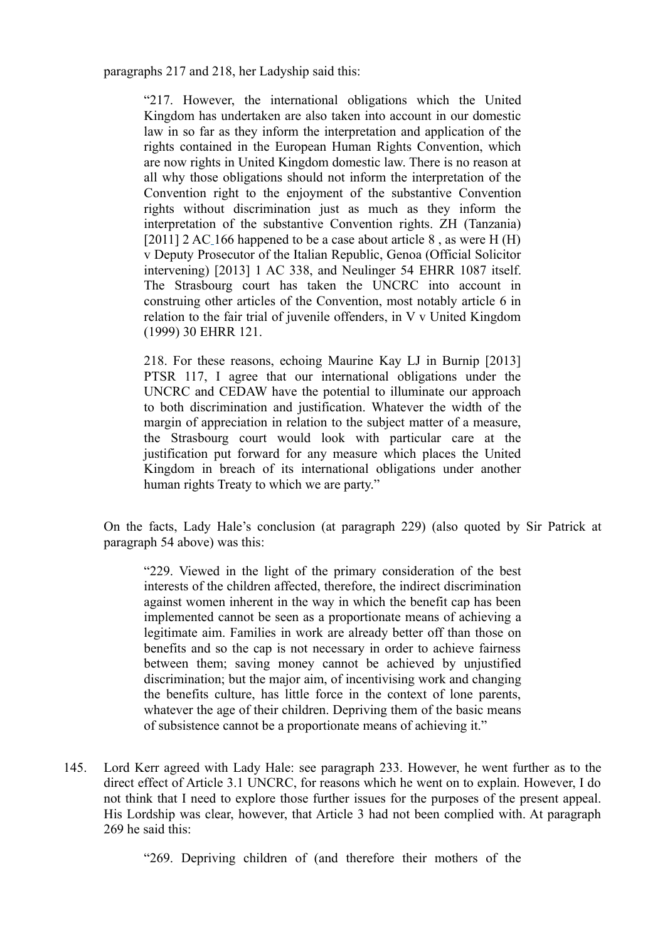paragraphs 217 and 218, her Ladyship said this:

"217. However, the international obligations which the United Kingdom has undertaken are also taken into account in our domestic law in so far as they inform the interpretation and application of the rights contained in the European Human Rights Convention, which are now rights in United Kingdom domestic law. There is no reason at all why those obligations should not inform the interpretation of the Convention right to the enjoyment of the substantive Convention rights without discrimination just as much as they inform the interpretation of the substantive Convention rights. ZH (Tanzania) [2011] 2 AC 166 happened to be a case about article  $8$ , as were H (H) v Deputy Prosecutor of the Italian Republic, Genoa (Official Solicitor intervening) [2013] 1 AC 338, and Neulinger 54 EHRR 1087 itself. The Strasbourg court has taken the UNCRC into account in construing other articles of the Convention, most notably article 6 in relation to the fair trial of juvenile offenders, in V v United Kingdom (1999) 30 EHRR 121.

218. For these reasons, echoing Maurine Kay LJ in Burnip [2013] PTSR 117, I agree that our international obligations under the UNCRC and CEDAW have the potential to illuminate our approach to both discrimination and justification. Whatever the width of the margin of appreciation in relation to the subject matter of a measure, the Strasbourg court would look with particular care at the justification put forward for any measure which places the United Kingdom in breach of its international obligations under another human rights Treaty to which we are party."

On the facts, Lady Hale's conclusion (at paragraph 229) (also quoted by Sir Patrick at paragraph 54 above) was this:

"229. Viewed in the light of the primary consideration of the best interests of the children affected, therefore, the indirect discrimination against women inherent in the way in which the benefit cap has been implemented cannot be seen as a proportionate means of achieving a legitimate aim. Families in work are already better off than those on benefits and so the cap is not necessary in order to achieve fairness between them; saving money cannot be achieved by unjustified discrimination; but the major aim, of incentivising work and changing the benefits culture, has little force in the context of lone parents, whatever the age of their children. Depriving them of the basic means of subsistence cannot be a proportionate means of achieving it."

145. Lord Kerr agreed with Lady Hale: see paragraph 233. However, he went further as to the direct effect of Article 3.1 UNCRC, for reasons which he went on to explain. However, I do not think that I need to explore those further issues for the purposes of the present appeal. His Lordship was clear, however, that Article 3 had not been complied with. At paragraph 269 he said this:

"269. Depriving children of (and therefore their mothers of the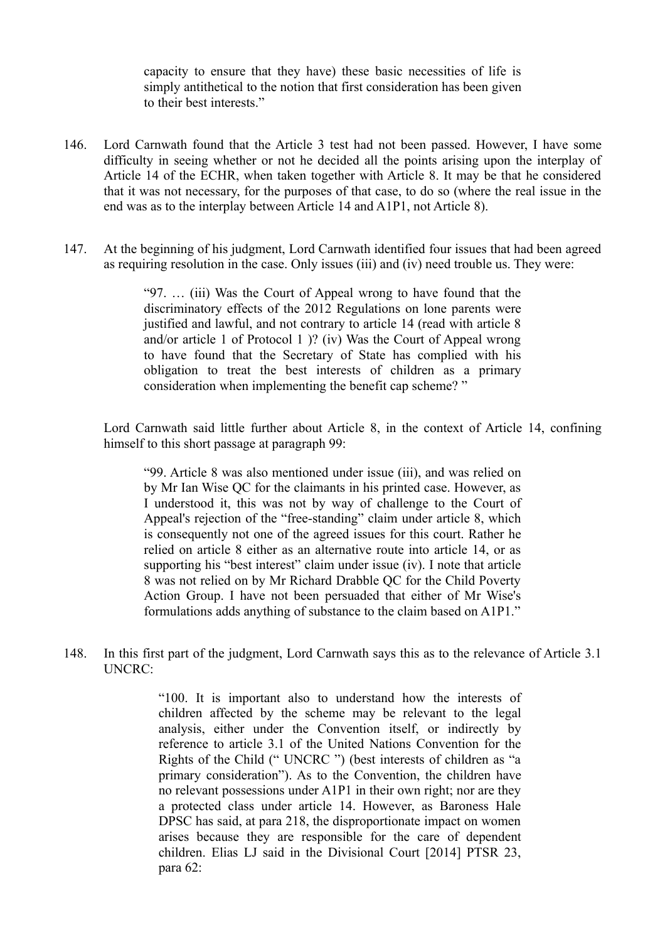capacity to ensure that they have) these basic necessities of life is simply antithetical to the notion that first consideration has been given to their best interests."

- 146. Lord Carnwath found that the Article 3 test had not been passed. However, I have some difficulty in seeing whether or not he decided all the points arising upon the interplay of Article 14 of the ECHR, when taken together with Article 8. It may be that he considered that it was not necessary, for the purposes of that case, to do so (where the real issue in the end was as to the interplay between Article 14 and A1P1, not Article 8).
- 147. At the beginning of his judgment, Lord Carnwath identified four issues that had been agreed as requiring resolution in the case. Only issues (iii) and (iv) need trouble us. They were:

"97. … (iii) Was the Court of Appeal wrong to have found that the discriminatory effects of the 2012 Regulations on lone parents were justified and lawful, and not contrary to article 14 (read with article 8 and/or article 1 of Protocol 1 )? (iv) Was the Court of Appeal wrong to have found that the Secretary of State has complied with his obligation to treat the best interests of children as a primary consideration when implementing the benefit cap scheme? "

Lord Carnwath said little further about Article 8, in the context of Article 14, confining himself to this short passage at paragraph 99:

"99. Article 8 was also mentioned under issue (iii), and was relied on by Mr Ian Wise QC for the claimants in his printed case. However, as I understood it, this was not by way of challenge to the Court of Appeal's rejection of the "free-standing" claim under article 8, which is consequently not one of the agreed issues for this court. Rather he relied on article 8 either as an alternative route into article 14, or as supporting his "best interest" claim under issue (iv). I note that article 8 was not relied on by Mr Richard Drabble QC for the Child Poverty Action Group. I have not been persuaded that either of Mr Wise's formulations adds anything of substance to the claim based on A1P1."

148. In this first part of the judgment, Lord Carnwath says this as to the relevance of Article 3.1 UNCRC:

> "100. It is important also to understand how the interests of children affected by the scheme may be relevant to the legal analysis, either under the Convention itself, or indirectly by reference to article 3.1 of the United Nations Convention for the Rights of the Child (" UNCRC ") (best interests of children as "a primary consideration"). As to the Convention, the children have no relevant possessions under A1P1 in their own right; nor are they a protected class under article 14. However, as Baroness Hale DPSC has said, at para 218, the disproportionate impact on women arises because they are responsible for the care of dependent children. Elias LJ said in the Divisional Court [2014] PTSR 23, para 62: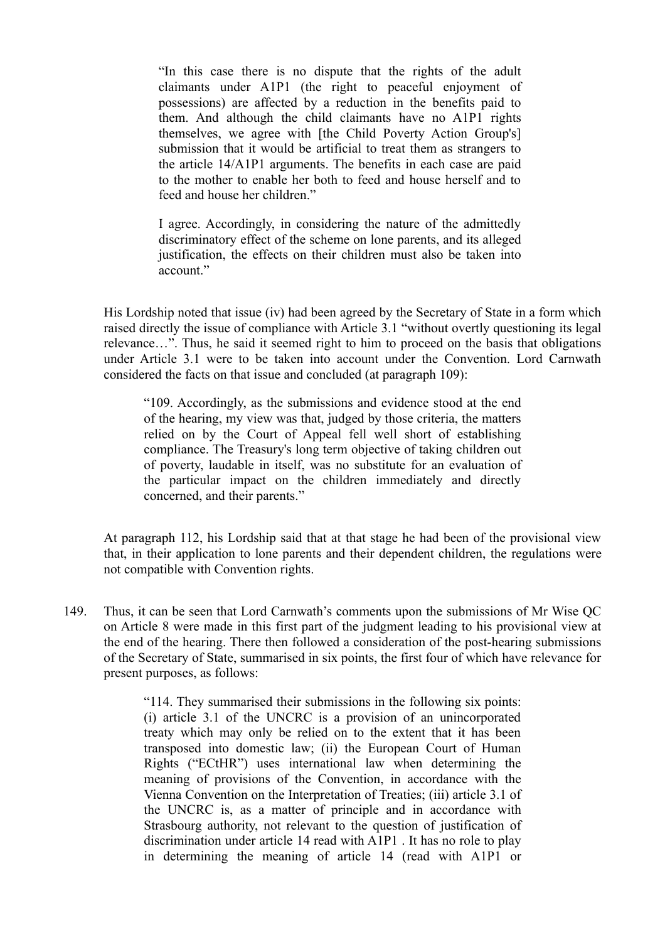"In this case there is no dispute that the rights of the adult claimants under A1P1 (the right to peaceful enjoyment of possessions) are affected by a reduction in the benefits paid to them. And although the child claimants have no A1P1 rights themselves, we agree with [the Child Poverty Action Group's] submission that it would be artificial to treat them as strangers to the article 14/A1P1 arguments. The benefits in each case are paid to the mother to enable her both to feed and house herself and to feed and house her children."

I agree. Accordingly, in considering the nature of the admittedly discriminatory effect of the scheme on lone parents, and its alleged justification, the effects on their children must also be taken into account."

His Lordship noted that issue (iv) had been agreed by the Secretary of State in a form which raised directly the issue of compliance with Article 3.1 "without overtly questioning its legal relevance…". Thus, he said it seemed right to him to proceed on the basis that obligations under Article 3.1 were to be taken into account under the Convention. Lord Carnwath considered the facts on that issue and concluded (at paragraph 109):

"109. Accordingly, as the submissions and evidence stood at the end of the hearing, my view was that, judged by those criteria, the matters relied on by the Court of Appeal fell well short of establishing compliance. The Treasury's long term objective of taking children out of poverty, laudable in itself, was no substitute for an evaluation of the particular impact on the children immediately and directly concerned, and their parents."

At paragraph 112, his Lordship said that at that stage he had been of the provisional view that, in their application to lone parents and their dependent children, the regulations were not compatible with Convention rights.

149. Thus, it can be seen that Lord Carnwath's comments upon the submissions of Mr Wise QC on Article 8 were made in this first part of the judgment leading to his provisional view at the end of the hearing. There then followed a consideration of the post-hearing submissions of the Secretary of State, summarised in six points, the first four of which have relevance for present purposes, as follows:

> "114. They summarised their submissions in the following six points: (i) article 3.1 of the UNCRC is a provision of an unincorporated treaty which may only be relied on to the extent that it has been transposed into domestic law; (ii) the European Court of Human Rights ("ECtHR") uses international law when determining the meaning of provisions of the Convention, in accordance with the Vienna Convention on the Interpretation of Treaties; (iii) article 3.1 of the UNCRC is, as a matter of principle and in accordance with Strasbourg authority, not relevant to the question of justification of discrimination under article 14 read with A1P1 . It has no role to play in determining the meaning of article 14 (read with A1P1 or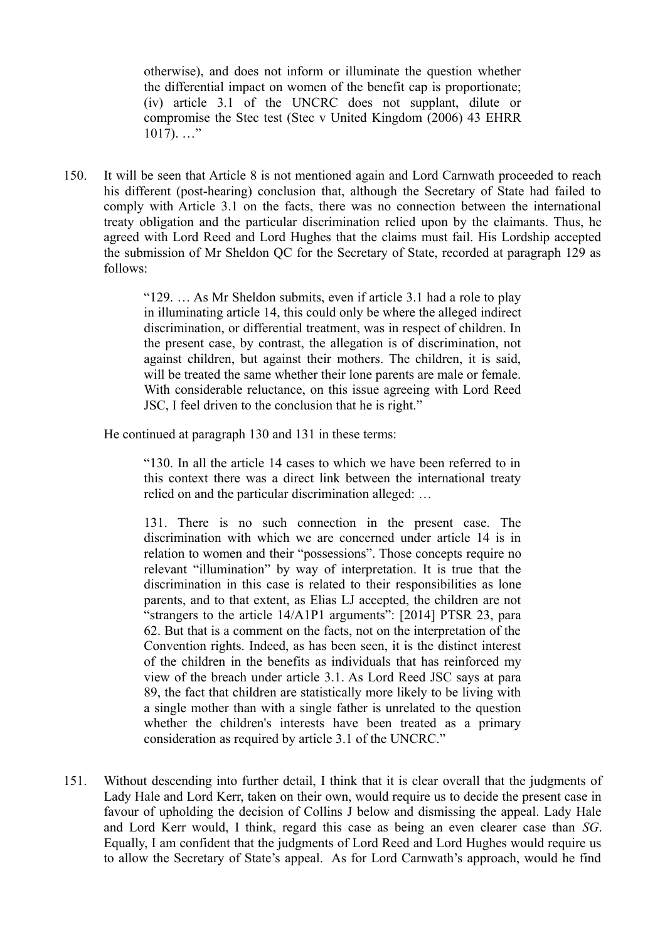otherwise), and does not inform or illuminate the question whether the differential impact on women of the benefit cap is proportionate; (iv) article 3.1 of the UNCRC does not supplant, dilute or compromise the Stec test (Stec v United Kingdom (2006) 43 EHRR  $1017)$ . ..."

150. It will be seen that Article 8 is not mentioned again and Lord Carnwath proceeded to reach his different (post-hearing) conclusion that, although the Secretary of State had failed to comply with Article 3.1 on the facts, there was no connection between the international treaty obligation and the particular discrimination relied upon by the claimants. Thus, he agreed with Lord Reed and Lord Hughes that the claims must fail. His Lordship accepted the submission of Mr Sheldon QC for the Secretary of State, recorded at paragraph 129 as follows:

> "129. … As Mr Sheldon submits, even if article 3.1 had a role to play in illuminating article 14, this could only be where the alleged indirect discrimination, or differential treatment, was in respect of children. In the present case, by contrast, the allegation is of discrimination, not against children, but against their mothers. The children, it is said, will be treated the same whether their lone parents are male or female. With considerable reluctance, on this issue agreeing with Lord Reed JSC, I feel driven to the conclusion that he is right."

He continued at paragraph 130 and 131 in these terms:

"130. In all the article 14 cases to which we have been referred to in this context there was a direct link between the international treaty relied on and the particular discrimination alleged: …

131. There is no such connection in the present case. The discrimination with which we are concerned under article 14 is in relation to women and their "possessions". Those concepts require no relevant "illumination" by way of interpretation. It is true that the discrimination in this case is related to their responsibilities as lone parents, and to that extent, as Elias LJ accepted, the children are not "strangers to the article 14/A1P1 arguments": [2014] PTSR 23, para 62. But that is a comment on the facts, not on the interpretation of the Convention rights. Indeed, as has been seen, it is the distinct interest of the children in the benefits as individuals that has reinforced my view of the breach under article 3.1. As Lord Reed JSC says at para 89, the fact that children are statistically more likely to be living with a single mother than with a single father is unrelated to the question whether the children's interests have been treated as a primary consideration as required by article 3.1 of the UNCRC."

151. Without descending into further detail, I think that it is clear overall that the judgments of Lady Hale and Lord Kerr, taken on their own, would require us to decide the present case in favour of upholding the decision of Collins J below and dismissing the appeal. Lady Hale and Lord Kerr would, I think, regard this case as being an even clearer case than *SG*. Equally, I am confident that the judgments of Lord Reed and Lord Hughes would require us to allow the Secretary of State's appeal. As for Lord Carnwath's approach, would he find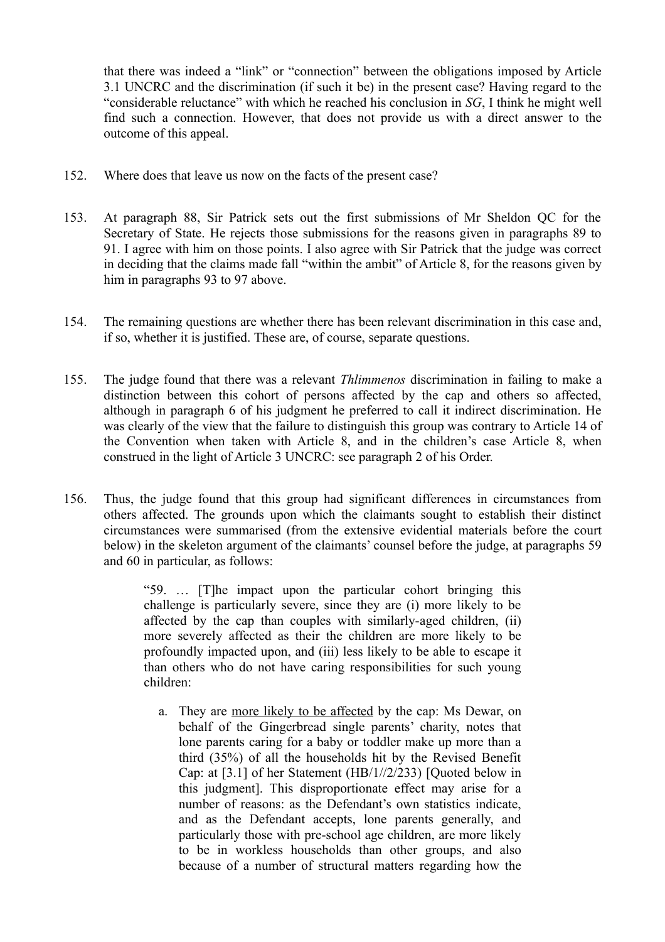that there was indeed a "link" or "connection" between the obligations imposed by Article 3.1 UNCRC and the discrimination (if such it be) in the present case? Having regard to the "considerable reluctance" with which he reached his conclusion in *SG*, I think he might well find such a connection. However, that does not provide us with a direct answer to the outcome of this appeal.

- 152. Where does that leave us now on the facts of the present case?
- 153. At paragraph 88, Sir Patrick sets out the first submissions of Mr Sheldon QC for the Secretary of State. He rejects those submissions for the reasons given in paragraphs 89 to 91. I agree with him on those points. I also agree with Sir Patrick that the judge was correct in deciding that the claims made fall "within the ambit" of Article 8, for the reasons given by him in paragraphs 93 to 97 above.
- 154. The remaining questions are whether there has been relevant discrimination in this case and, if so, whether it is justified. These are, of course, separate questions.
- 155. The judge found that there was a relevant *Thlimmenos* discrimination in failing to make a distinction between this cohort of persons affected by the cap and others so affected, although in paragraph 6 of his judgment he preferred to call it indirect discrimination. He was clearly of the view that the failure to distinguish this group was contrary to Article 14 of the Convention when taken with Article 8, and in the children's case Article 8, when construed in the light of Article 3 UNCRC: see paragraph 2 of his Order.
- 156. Thus, the judge found that this group had significant differences in circumstances from others affected. The grounds upon which the claimants sought to establish their distinct circumstances were summarised (from the extensive evidential materials before the court below) in the skeleton argument of the claimants' counsel before the judge, at paragraphs 59 and 60 in particular, as follows:

"59. … [T]he impact upon the particular cohort bringing this challenge is particularly severe, since they are (i) more likely to be affected by the cap than couples with similarly-aged children, (ii) more severely affected as their the children are more likely to be profoundly impacted upon, and (iii) less likely to be able to escape it than others who do not have caring responsibilities for such young children:

a. They are more likely to be affected by the cap: Ms Dewar, on behalf of the Gingerbread single parents' charity, notes that lone parents caring for a baby or toddler make up more than a third (35%) of all the households hit by the Revised Benefit Cap: at [3.1] of her Statement (HB/1//2/233) [Quoted below in this judgment]. This disproportionate effect may arise for a number of reasons: as the Defendant's own statistics indicate, and as the Defendant accepts, lone parents generally, and particularly those with pre-school age children, are more likely to be in workless households than other groups, and also because of a number of structural matters regarding how the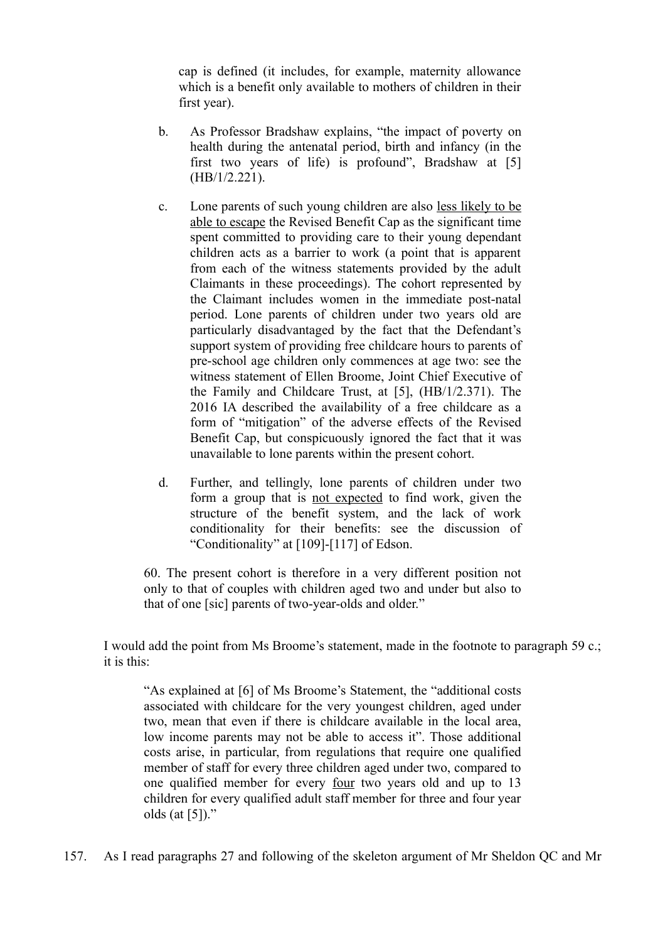cap is defined (it includes, for example, maternity allowance which is a benefit only available to mothers of children in their first year).

- b. As Professor Bradshaw explains, "the impact of poverty on health during the antenatal period, birth and infancy (in the first two years of life) is profound", Bradshaw at [5] (HB/1/2.221).
- c. Lone parents of such young children are also less likely to be able to escape the Revised Benefit Cap as the significant time spent committed to providing care to their young dependant children acts as a barrier to work (a point that is apparent from each of the witness statements provided by the adult Claimants in these proceedings). The cohort represented by the Claimant includes women in the immediate post-natal period. Lone parents of children under two years old are particularly disadvantaged by the fact that the Defendant's support system of providing free childcare hours to parents of pre-school age children only commences at age two: see the witness statement of Ellen Broome, Joint Chief Executive of the Family and Childcare Trust, at [5], (HB/1/2.371). The 2016 IA described the availability of a free childcare as a form of "mitigation" of the adverse effects of the Revised Benefit Cap, but conspicuously ignored the fact that it was unavailable to lone parents within the present cohort.
- d. Further, and tellingly, lone parents of children under two form a group that is not expected to find work, given the structure of the benefit system, and the lack of work conditionality for their benefits: see the discussion of "Conditionality" at [109]-[117] of Edson.

60. The present cohort is therefore in a very different position not only to that of couples with children aged two and under but also to that of one [sic] parents of two-year-olds and older."

I would add the point from Ms Broome's statement, made in the footnote to paragraph 59 c.; it is this:

"As explained at [6] of Ms Broome's Statement, the "additional costs associated with childcare for the very youngest children, aged under two, mean that even if there is childcare available in the local area, low income parents may not be able to access it". Those additional costs arise, in particular, from regulations that require one qualified member of staff for every three children aged under two, compared to one qualified member for every four two years old and up to 13 children for every qualified adult staff member for three and four year olds (at [5])."

157. As I read paragraphs 27 and following of the skeleton argument of Mr Sheldon QC and Mr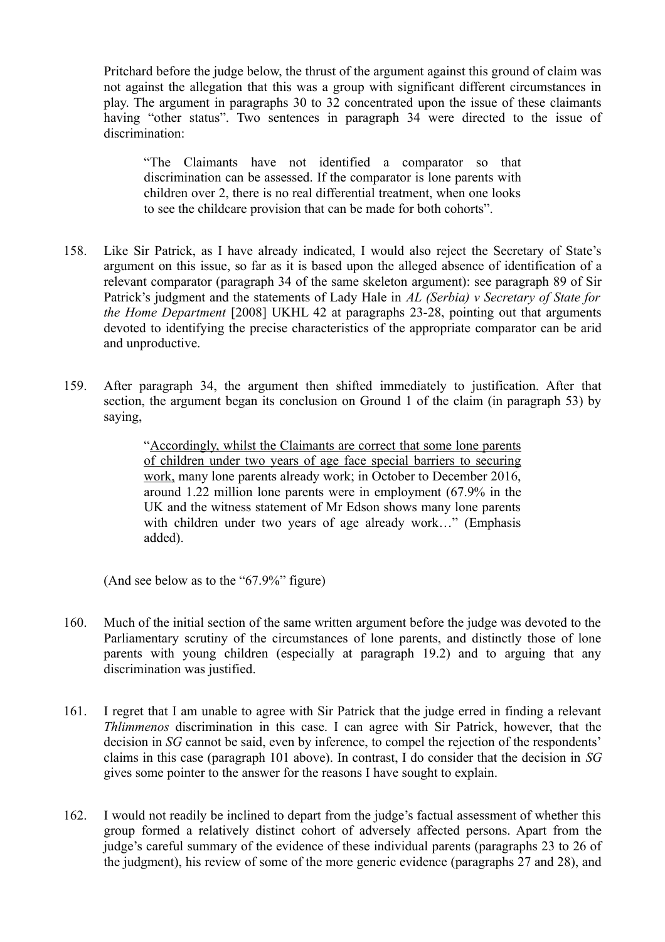Pritchard before the judge below, the thrust of the argument against this ground of claim was not against the allegation that this was a group with significant different circumstances in play. The argument in paragraphs 30 to 32 concentrated upon the issue of these claimants having "other status". Two sentences in paragraph 34 were directed to the issue of discrimination:

"The Claimants have not identified a comparator so that discrimination can be assessed. If the comparator is lone parents with children over 2, there is no real differential treatment, when one looks to see the childcare provision that can be made for both cohorts".

- 158. Like Sir Patrick, as I have already indicated, I would also reject the Secretary of State's argument on this issue, so far as it is based upon the alleged absence of identification of a relevant comparator (paragraph 34 of the same skeleton argument): see paragraph 89 of Sir Patrick's judgment and the statements of Lady Hale in *AL (Serbia) v Secretary of State for the Home Department* [2008] UKHL 42 at paragraphs 23-28, pointing out that arguments devoted to identifying the precise characteristics of the appropriate comparator can be arid and unproductive.
- 159. After paragraph 34, the argument then shifted immediately to justification. After that section, the argument began its conclusion on Ground 1 of the claim (in paragraph 53) by saying,

"Accordingly, whilst the Claimants are correct that some lone parents of children under two years of age face special barriers to securing work, many lone parents already work; in October to December 2016, around 1.22 million lone parents were in employment (67.9% in the UK and the witness statement of Mr Edson shows many lone parents with children under two years of age already work..." (Emphasis added).

(And see below as to the "67.9%" figure)

- 160. Much of the initial section of the same written argument before the judge was devoted to the Parliamentary scrutiny of the circumstances of lone parents, and distinctly those of lone parents with young children (especially at paragraph 19.2) and to arguing that any discrimination was justified.
- 161. I regret that I am unable to agree with Sir Patrick that the judge erred in finding a relevant *Thlimmenos* discrimination in this case. I can agree with Sir Patrick, however, that the decision in *SG* cannot be said, even by inference, to compel the rejection of the respondents' claims in this case (paragraph 101 above). In contrast, I do consider that the decision in *SG* gives some pointer to the answer for the reasons I have sought to explain.
- 162. I would not readily be inclined to depart from the judge's factual assessment of whether this group formed a relatively distinct cohort of adversely affected persons. Apart from the judge's careful summary of the evidence of these individual parents (paragraphs 23 to 26 of the judgment), his review of some of the more generic evidence (paragraphs 27 and 28), and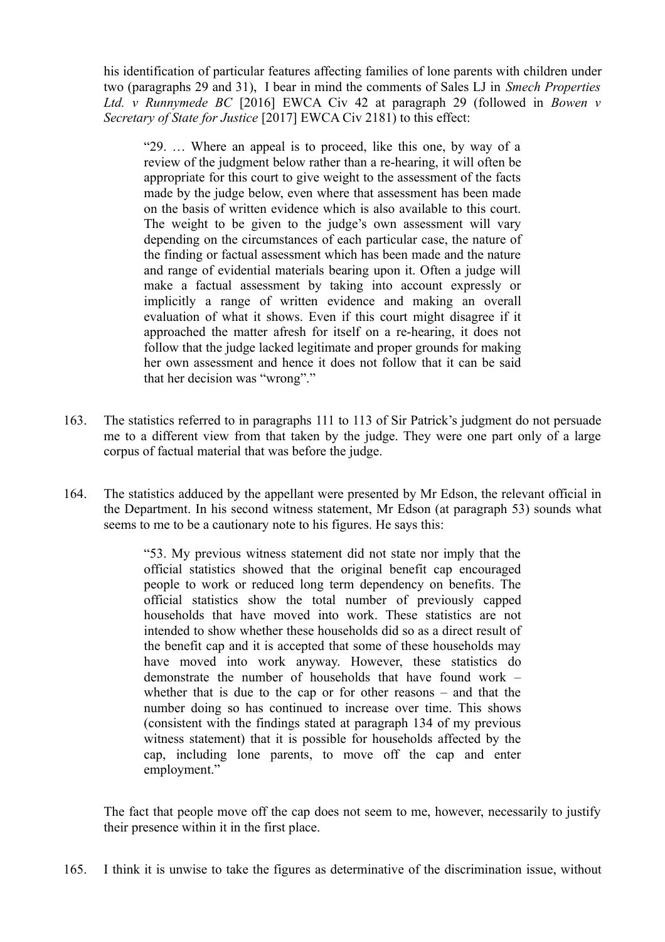his identification of particular features affecting families of lone parents with children under two (paragraphs 29 and 31), I bear in mind the comments of Sales LJ in *Smech Properties Ltd. v Runnymede BC* [2016] EWCA Civ 42 at paragraph 29 (followed in *Bowen v Secretary of State for Justice* [2017] EWCA Civ 2181) to this effect:

"29. … Where an appeal is to proceed, like this one, by way of a review of the judgment below rather than a re-hearing, it will often be appropriate for this court to give weight to the assessment of the facts made by the judge below, even where that assessment has been made on the basis of written evidence which is also available to this court. The weight to be given to the judge's own assessment will vary depending on the circumstances of each particular case, the nature of the finding or factual assessment which has been made and the nature and range of evidential materials bearing upon it. Often a judge will make a factual assessment by taking into account expressly or implicitly a range of written evidence and making an overall evaluation of what it shows. Even if this court might disagree if it approached the matter afresh for itself on a re-hearing, it does not follow that the judge lacked legitimate and proper grounds for making her own assessment and hence it does not follow that it can be said that her decision was "wrong"."

- 163. The statistics referred to in paragraphs 111 to 113 of Sir Patrick's judgment do not persuade me to a different view from that taken by the judge. They were one part only of a large corpus of factual material that was before the judge.
- 164. The statistics adduced by the appellant were presented by Mr Edson, the relevant official in the Department. In his second witness statement, Mr Edson (at paragraph 53) sounds what seems to me to be a cautionary note to his figures. He says this:

"53. My previous witness statement did not state nor imply that the official statistics showed that the original benefit cap encouraged people to work or reduced long term dependency on benefits. The official statistics show the total number of previously capped households that have moved into work. These statistics are not intended to show whether these households did so as a direct result of the benefit cap and it is accepted that some of these households may have moved into work anyway. However, these statistics do demonstrate the number of households that have found work – whether that is due to the cap or for other reasons – and that the number doing so has continued to increase over time. This shows (consistent with the findings stated at paragraph 134 of my previous witness statement) that it is possible for households affected by the cap, including lone parents, to move off the cap and enter employment."

The fact that people move off the cap does not seem to me, however, necessarily to justify their presence within it in the first place.

165. I think it is unwise to take the figures as determinative of the discrimination issue, without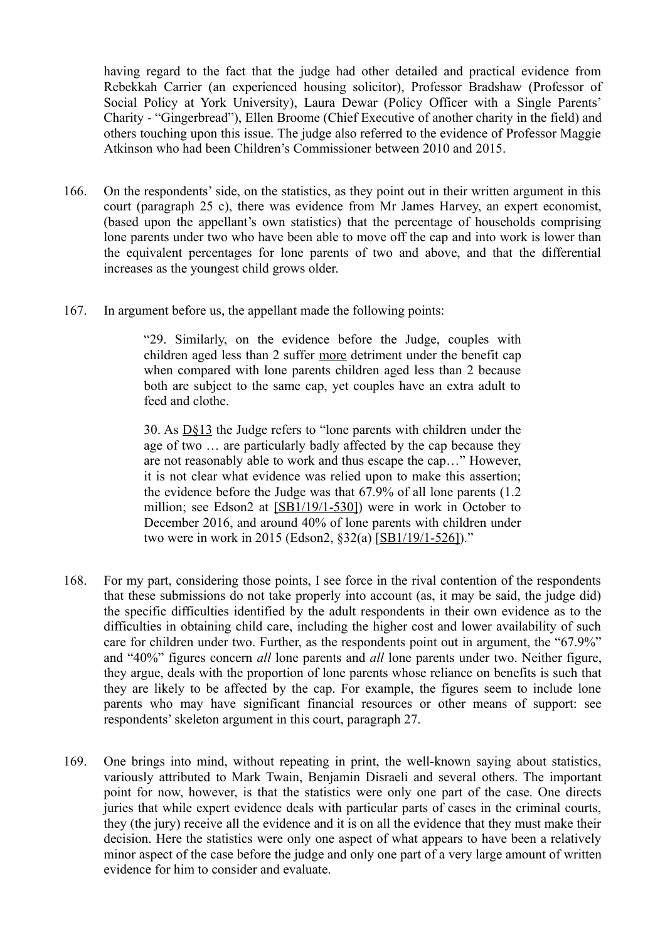having regard to the fact that the judge had other detailed and practical evidence from Rebekkah Carrier (an experienced housing solicitor), Professor Bradshaw (Professor of Social Policy at York University), Laura Dewar (Policy Officer with a Single Parents' Charity - "Gingerbread"), Ellen Broome (Chief Executive of another charity in the field) and others touching upon this issue. The judge also referred to the evidence of Professor Maggie Atkinson who had been Children's Commissioner between 2010 and 2015.

- 166. On the respondents' side, on the statistics, as they point out in their written argument in this court (paragraph 25 c), there was evidence from Mr James Harvey, an expert economist, (based upon the appellant's own statistics) that the percentage of households comprising lone parents under two who have been able to move off the cap and into work is lower than the equivalent percentages for lone parents of two and above, and that the differential increases as the youngest child grows older.
- 167. In argument before us, the appellant made the following points:

"29. Similarly, on the evidence before the Judge, couples with children aged less than 2 suffer more detriment under the benefit cap when compared with lone parents children aged less than 2 because both are subject to the same cap, yet couples have an extra adult to feed and clothe

30. As D§13 the Judge refers to "lone parents with children under the age of two … are particularly badly affected by the cap because they are not reasonably able to work and thus escape the cap…" However, it is not clear what evidence was relied upon to make this assertion; the evidence before the Judge was that 67.9% of all lone parents (1.2 million; see Edson2 at [SB1/19/1-530]) were in work in October to December 2016, and around 40% of lone parents with children under two were in work in 2015 (Edson2, §32(a) [SB1/19/1-526])."

- 168. For my part, considering those points, I see force in the rival contention of the respondents that these submissions do not take properly into account (as, it may be said, the judge did) the specific difficulties identified by the adult respondents in their own evidence as to the difficulties in obtaining child care, including the higher cost and lower availability of such care for children under two. Further, as the respondents point out in argument, the "67.9%" and "40%" figures concern *all* lone parents and *all* lone parents under two. Neither figure, they argue, deals with the proportion of lone parents whose reliance on benefits is such that they are likely to be affected by the cap. For example, the figures seem to include lone parents who may have significant financial resources or other means of support: see respondents' skeleton argument in this court, paragraph 27.
- 169. One brings into mind, without repeating in print, the well-known saying about statistics, variously attributed to Mark Twain, Benjamin Disraeli and several others. The important point for now, however, is that the statistics were only one part of the case. One directs juries that while expert evidence deals with particular parts of cases in the criminal courts, they (the jury) receive all the evidence and it is on all the evidence that they must make their decision. Here the statistics were only one aspect of what appears to have been a relatively minor aspect of the case before the judge and only one part of a very large amount of written evidence for him to consider and evaluate.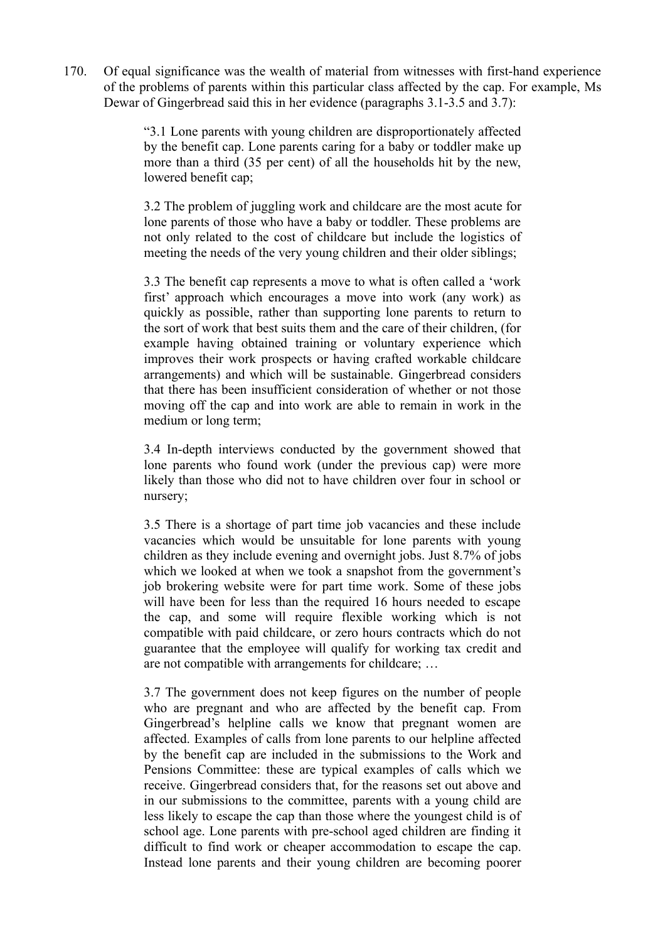170. Of equal significance was the wealth of material from witnesses with first-hand experience of the problems of parents within this particular class affected by the cap. For example, Ms Dewar of Gingerbread said this in her evidence (paragraphs 3.1-3.5 and 3.7):

> "3.1 Lone parents with young children are disproportionately affected by the benefit cap. Lone parents caring for a baby or toddler make up more than a third (35 per cent) of all the households hit by the new, lowered benefit cap;

> 3.2 The problem of juggling work and childcare are the most acute for lone parents of those who have a baby or toddler. These problems are not only related to the cost of childcare but include the logistics of meeting the needs of the very young children and their older siblings;

> 3.3 The benefit cap represents a move to what is often called a 'work first' approach which encourages a move into work (any work) as quickly as possible, rather than supporting lone parents to return to the sort of work that best suits them and the care of their children, (for example having obtained training or voluntary experience which improves their work prospects or having crafted workable childcare arrangements) and which will be sustainable. Gingerbread considers that there has been insufficient consideration of whether or not those moving off the cap and into work are able to remain in work in the medium or long term;

> 3.4 In-depth interviews conducted by the government showed that lone parents who found work (under the previous cap) were more likely than those who did not to have children over four in school or nursery;

> 3.5 There is a shortage of part time job vacancies and these include vacancies which would be unsuitable for lone parents with young children as they include evening and overnight jobs. Just 8.7% of jobs which we looked at when we took a snapshot from the government's job brokering website were for part time work. Some of these jobs will have been for less than the required 16 hours needed to escape the cap, and some will require flexible working which is not compatible with paid childcare, or zero hours contracts which do not guarantee that the employee will qualify for working tax credit and are not compatible with arrangements for childcare; …

> 3.7 The government does not keep figures on the number of people who are pregnant and who are affected by the benefit cap. From Gingerbread's helpline calls we know that pregnant women are affected. Examples of calls from lone parents to our helpline affected by the benefit cap are included in the submissions to the Work and Pensions Committee: these are typical examples of calls which we receive. Gingerbread considers that, for the reasons set out above and in our submissions to the committee, parents with a young child are less likely to escape the cap than those where the youngest child is of school age. Lone parents with pre-school aged children are finding it difficult to find work or cheaper accommodation to escape the cap. Instead lone parents and their young children are becoming poorer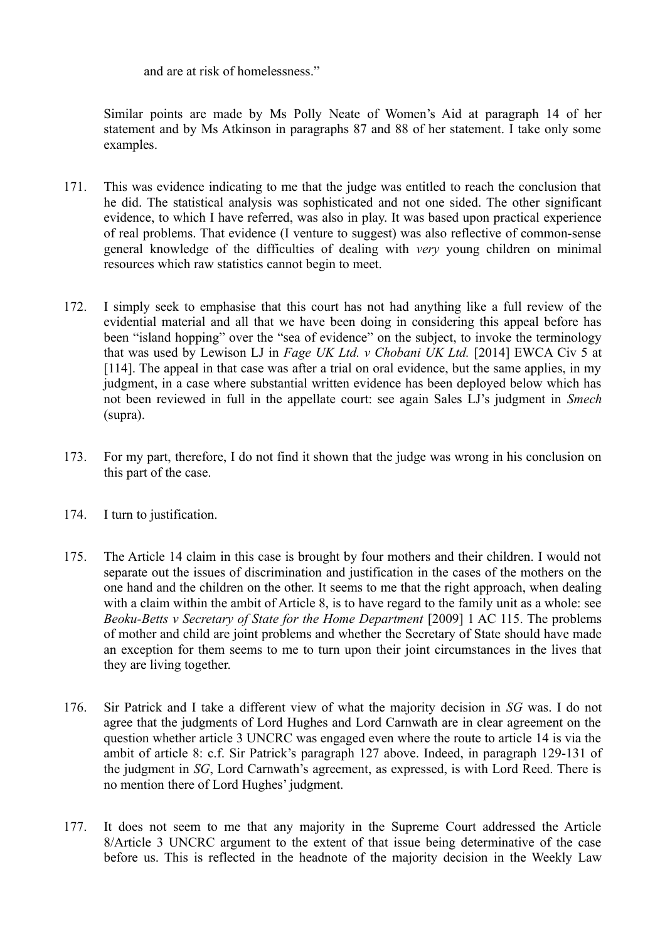and are at risk of homelessness."

Similar points are made by Ms Polly Neate of Women's Aid at paragraph 14 of her statement and by Ms Atkinson in paragraphs 87 and 88 of her statement. I take only some examples.

- 171. This was evidence indicating to me that the judge was entitled to reach the conclusion that he did. The statistical analysis was sophisticated and not one sided. The other significant evidence, to which I have referred, was also in play. It was based upon practical experience of real problems. That evidence (I venture to suggest) was also reflective of common-sense general knowledge of the difficulties of dealing with *very* young children on minimal resources which raw statistics cannot begin to meet.
- 172. I simply seek to emphasise that this court has not had anything like a full review of the evidential material and all that we have been doing in considering this appeal before has been "island hopping" over the "sea of evidence" on the subject, to invoke the terminology that was used by Lewison LJ in *Fage UK Ltd. v Chobani UK Ltd.* [2014] EWCA Civ 5 at [114]. The appeal in that case was after a trial on oral evidence, but the same applies, in my judgment, in a case where substantial written evidence has been deployed below which has not been reviewed in full in the appellate court: see again Sales LJ's judgment in *Smech* (supra).
- 173. For my part, therefore, I do not find it shown that the judge was wrong in his conclusion on this part of the case.
- 174. I turn to justification.
- 175. The Article 14 claim in this case is brought by four mothers and their children. I would not separate out the issues of discrimination and justification in the cases of the mothers on the one hand and the children on the other. It seems to me that the right approach, when dealing with a claim within the ambit of Article 8, is to have regard to the family unit as a whole: see *Beoku-Betts v Secretary of State for the Home Department* [2009] 1 AC 115. The problems of mother and child are joint problems and whether the Secretary of State should have made an exception for them seems to me to turn upon their joint circumstances in the lives that they are living together.
- 176. Sir Patrick and I take a different view of what the majority decision in *SG* was. I do not agree that the judgments of Lord Hughes and Lord Carnwath are in clear agreement on the question whether article 3 UNCRC was engaged even where the route to article 14 is via the ambit of article 8: c.f. Sir Patrick's paragraph 127 above. Indeed, in paragraph 129-131 of the judgment in *SG*, Lord Carnwath's agreement, as expressed, is with Lord Reed. There is no mention there of Lord Hughes' judgment.
- 177. It does not seem to me that any majority in the Supreme Court addressed the Article 8/Article 3 UNCRC argument to the extent of that issue being determinative of the case before us. This is reflected in the headnote of the majority decision in the Weekly Law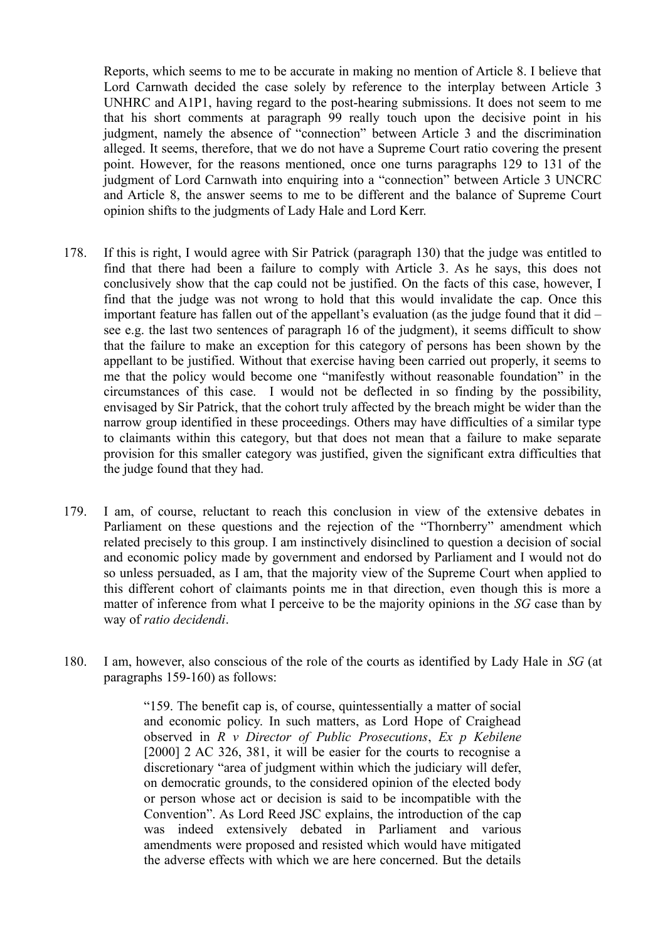Reports, which seems to me to be accurate in making no mention of Article 8. I believe that Lord Carnwath decided the case solely by reference to the interplay between Article 3 UNHRC and A1P1, having regard to the post-hearing submissions. It does not seem to me that his short comments at paragraph 99 really touch upon the decisive point in his judgment, namely the absence of "connection" between Article 3 and the discrimination alleged. It seems, therefore, that we do not have a Supreme Court ratio covering the present point. However, for the reasons mentioned, once one turns paragraphs 129 to 131 of the judgment of Lord Carnwath into enquiring into a "connection" between Article 3 UNCRC and Article 8, the answer seems to me to be different and the balance of Supreme Court opinion shifts to the judgments of Lady Hale and Lord Kerr.

- 178. If this is right, I would agree with Sir Patrick (paragraph 130) that the judge was entitled to find that there had been a failure to comply with Article 3. As he says, this does not conclusively show that the cap could not be justified. On the facts of this case, however, I find that the judge was not wrong to hold that this would invalidate the cap. Once this important feature has fallen out of the appellant's evaluation (as the judge found that it did – see e.g. the last two sentences of paragraph 16 of the judgment), it seems difficult to show that the failure to make an exception for this category of persons has been shown by the appellant to be justified. Without that exercise having been carried out properly, it seems to me that the policy would become one "manifestly without reasonable foundation" in the circumstances of this case. I would not be deflected in so finding by the possibility, envisaged by Sir Patrick, that the cohort truly affected by the breach might be wider than the narrow group identified in these proceedings. Others may have difficulties of a similar type to claimants within this category, but that does not mean that a failure to make separate provision for this smaller category was justified, given the significant extra difficulties that the judge found that they had.
- 179. I am, of course, reluctant to reach this conclusion in view of the extensive debates in Parliament on these questions and the rejection of the "Thornberry" amendment which related precisely to this group. I am instinctively disinclined to question a decision of social and economic policy made by government and endorsed by Parliament and I would not do so unless persuaded, as I am, that the majority view of the Supreme Court when applied to this different cohort of claimants points me in that direction, even though this is more a matter of inference from what I perceive to be the majority opinions in the *SG* case than by way of *ratio decidendi*.
- 180. I am, however, also conscious of the role of the courts as identified by Lady Hale in *SG* (at paragraphs 159-160) as follows:

"159. The benefit cap is, of course, quintessentially a matter of social and economic policy. In such matters, as Lord Hope of Craighead observed in *R v Director of Public Prosecutions*, *Ex p Kebilene* [2000] 2 AC 326, 381, it will be easier for the courts to recognise a discretionary "area of judgment within which the judiciary will defer, on democratic grounds, to the considered opinion of the elected body or person whose act or decision is said to be incompatible with the Convention". As Lord Reed JSC explains, the introduction of the cap was indeed extensively debated in Parliament and various amendments were proposed and resisted which would have mitigated the adverse effects with which we are here concerned. But the details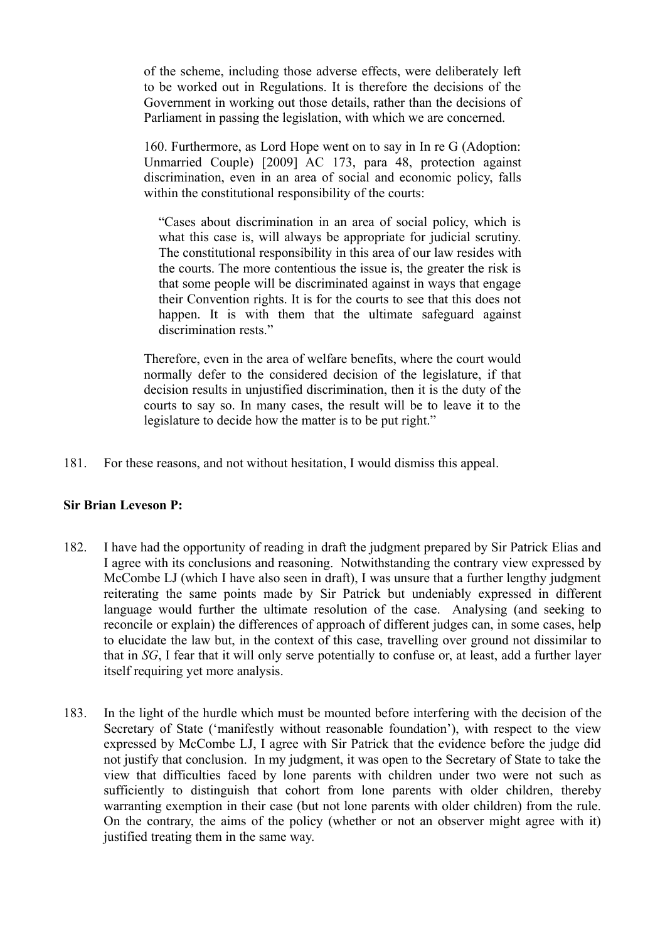of the scheme, including those adverse effects, were deliberately left to be worked out in Regulations. It is therefore the decisions of the Government in working out those details, rather than the decisions of Parliament in passing the legislation, with which we are concerned.

160. Furthermore, as Lord Hope went on to say in In re G (Adoption: Unmarried Couple) [2009] AC 173, para 48, protection against discrimination, even in an area of social and economic policy, falls within the constitutional responsibility of the courts:

"Cases about discrimination in an area of social policy, which is what this case is, will always be appropriate for judicial scrutiny. The constitutional responsibility in this area of our law resides with the courts. The more contentious the issue is, the greater the risk is that some people will be discriminated against in ways that engage their Convention rights. It is for the courts to see that this does not happen. It is with them that the ultimate safeguard against discrimination rests."

Therefore, even in the area of welfare benefits, where the court would normally defer to the considered decision of the legislature, if that decision results in unjustified discrimination, then it is the duty of the courts to say so. In many cases, the result will be to leave it to the legislature to decide how the matter is to be put right."

181. For these reasons, and not without hesitation, I would dismiss this appeal.

### **Sir Brian Leveson P:**

- 182. I have had the opportunity of reading in draft the judgment prepared by Sir Patrick Elias and I agree with its conclusions and reasoning. Notwithstanding the contrary view expressed by McCombe LJ (which I have also seen in draft), I was unsure that a further lengthy judgment reiterating the same points made by Sir Patrick but undeniably expressed in different language would further the ultimate resolution of the case. Analysing (and seeking to reconcile or explain) the differences of approach of different judges can, in some cases, help to elucidate the law but, in the context of this case, travelling over ground not dissimilar to that in *SG*, I fear that it will only serve potentially to confuse or, at least, add a further layer itself requiring yet more analysis.
- 183. In the light of the hurdle which must be mounted before interfering with the decision of the Secretary of State ('manifestly without reasonable foundation'), with respect to the view expressed by McCombe LJ, I agree with Sir Patrick that the evidence before the judge did not justify that conclusion. In my judgment, it was open to the Secretary of State to take the view that difficulties faced by lone parents with children under two were not such as sufficiently to distinguish that cohort from lone parents with older children, thereby warranting exemption in their case (but not lone parents with older children) from the rule. On the contrary, the aims of the policy (whether or not an observer might agree with it) justified treating them in the same way.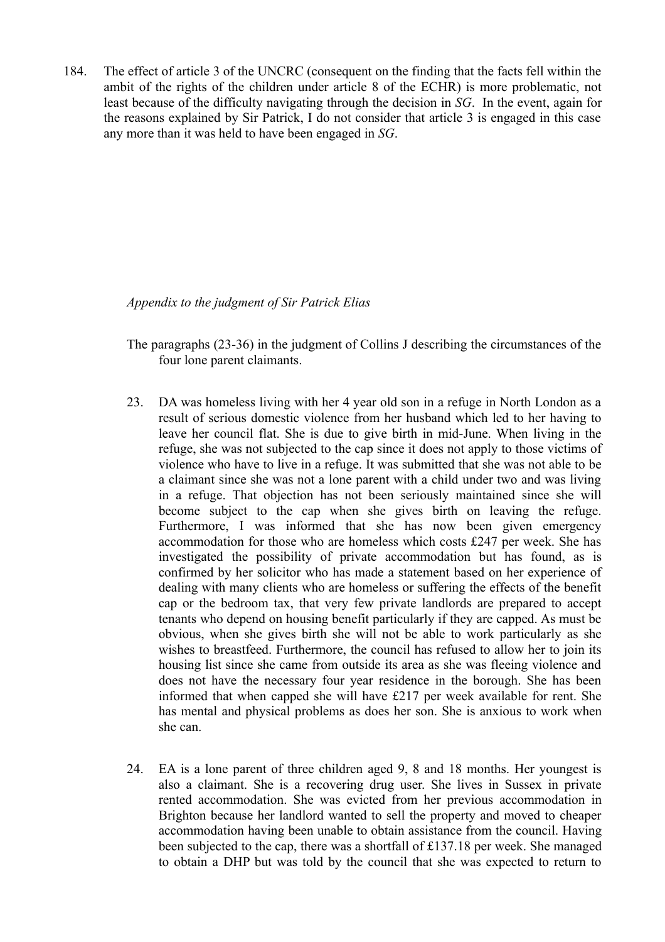184. The effect of article 3 of the UNCRC (consequent on the finding that the facts fell within the ambit of the rights of the children under article 8 of the ECHR) is more problematic, not least because of the difficulty navigating through the decision in *SG*. In the event, again for the reasons explained by Sir Patrick, I do not consider that article 3 is engaged in this case any more than it was held to have been engaged in *SG*.

*Appendix to the judgment of Sir Patrick Elias*

- The paragraphs (23-36) in the judgment of Collins J describing the circumstances of the four lone parent claimants.
- 23. DA was homeless living with her 4 year old son in a refuge in North London as a result of serious domestic violence from her husband which led to her having to leave her council flat. She is due to give birth in mid-June. When living in the refuge, she was not subjected to the cap since it does not apply to those victims of violence who have to live in a refuge. It was submitted that she was not able to be a claimant since she was not a lone parent with a child under two and was living in a refuge. That objection has not been seriously maintained since she will become subject to the cap when she gives birth on leaving the refuge. Furthermore, I was informed that she has now been given emergency accommodation for those who are homeless which costs £247 per week. She has investigated the possibility of private accommodation but has found, as is confirmed by her solicitor who has made a statement based on her experience of dealing with many clients who are homeless or suffering the effects of the benefit cap or the bedroom tax, that very few private landlords are prepared to accept tenants who depend on housing benefit particularly if they are capped. As must be obvious, when she gives birth she will not be able to work particularly as she wishes to breastfeed. Furthermore, the council has refused to allow her to join its housing list since she came from outside its area as she was fleeing violence and does not have the necessary four year residence in the borough. She has been informed that when capped she will have £217 per week available for rent. She has mental and physical problems as does her son. She is anxious to work when she can.
- 24. EA is a lone parent of three children aged 9, 8 and 18 months. Her youngest is also a claimant. She is a recovering drug user. She lives in Sussex in private rented accommodation. She was evicted from her previous accommodation in Brighton because her landlord wanted to sell the property and moved to cheaper accommodation having been unable to obtain assistance from the council. Having been subjected to the cap, there was a shortfall of £137.18 per week. She managed to obtain a DHP but was told by the council that she was expected to return to